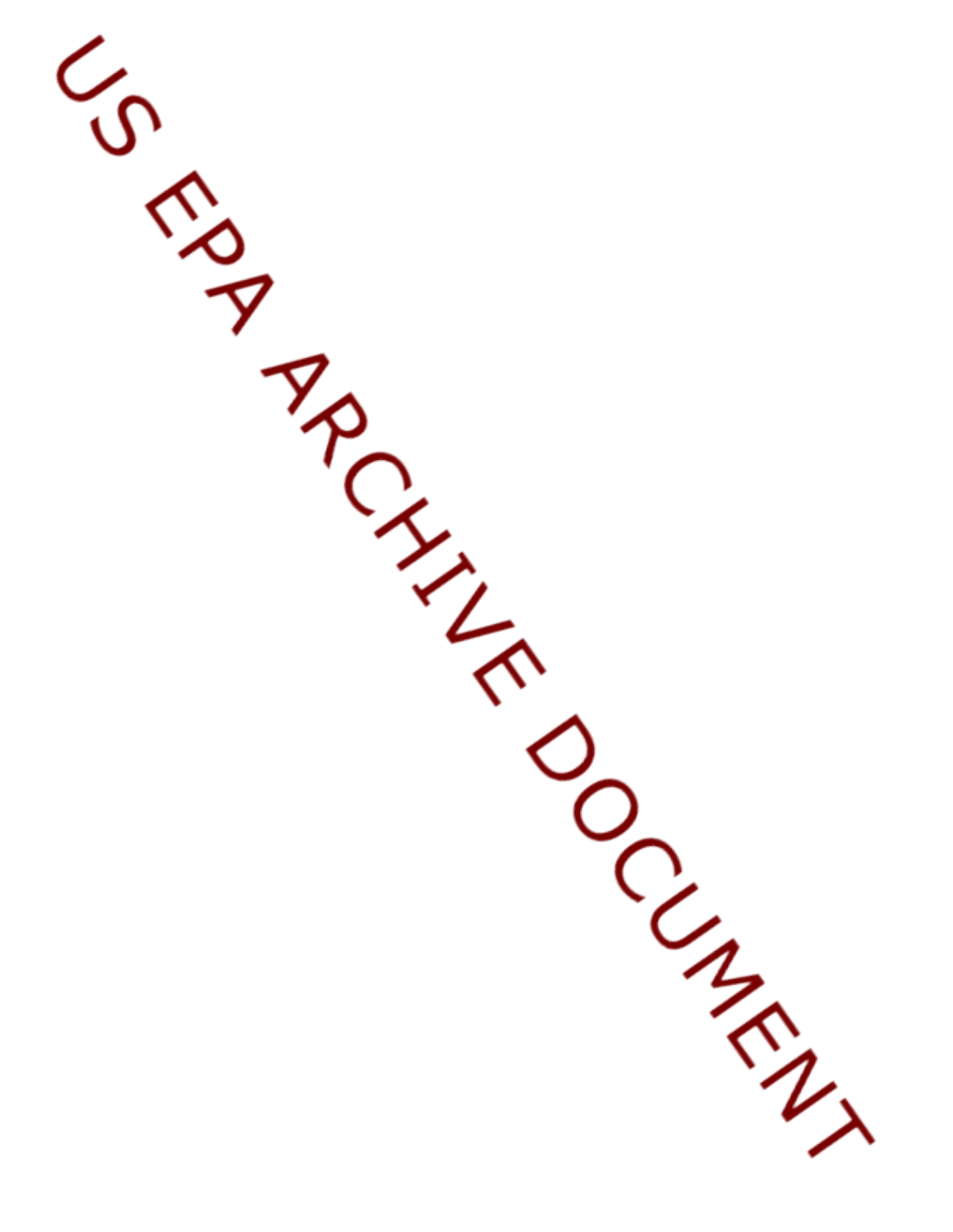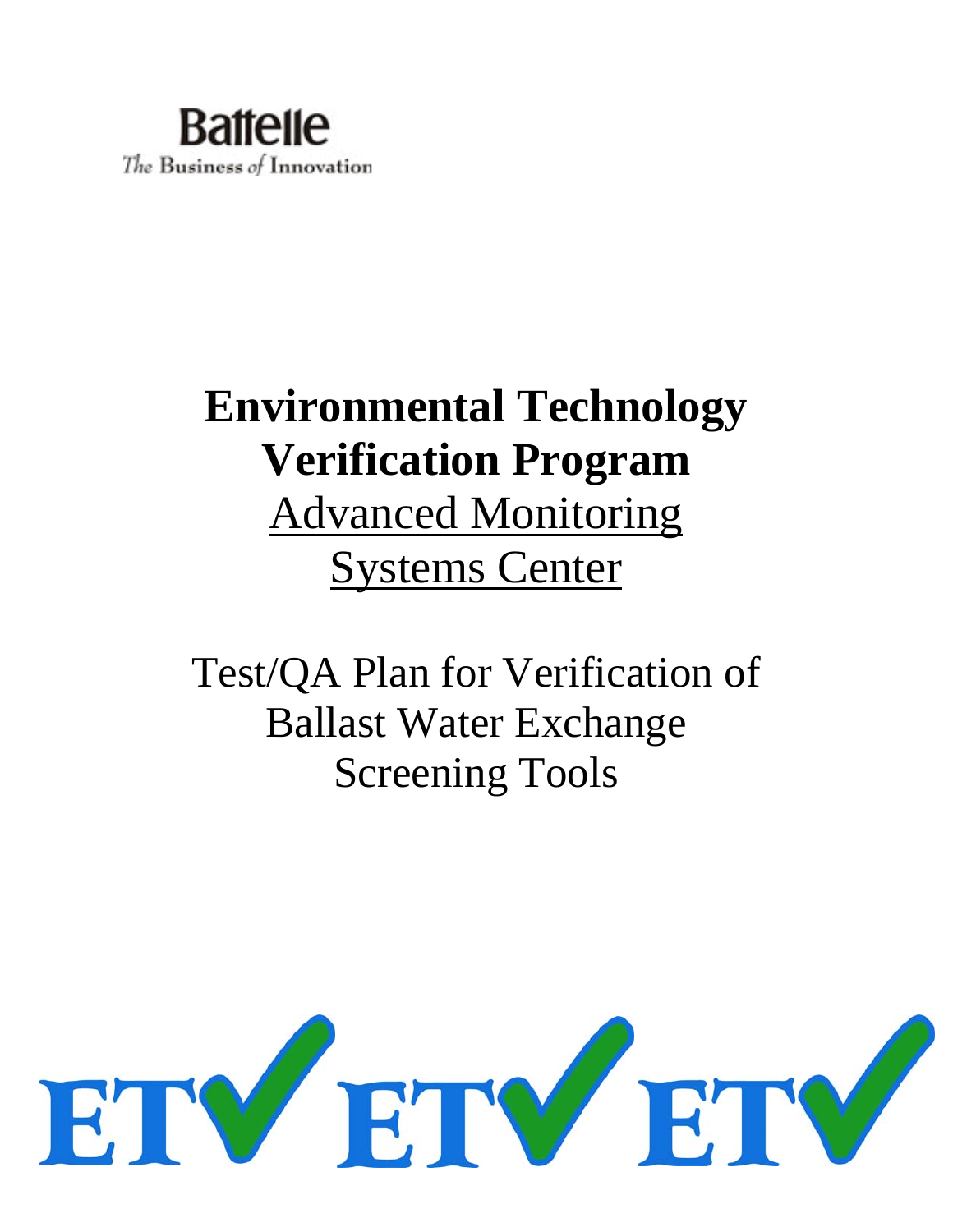

# **Environmental Technology Verification Program**  Advanced Monitoring Systems Center

Test/QA Plan for Verification of Ballast Water Exchange Screening Tools

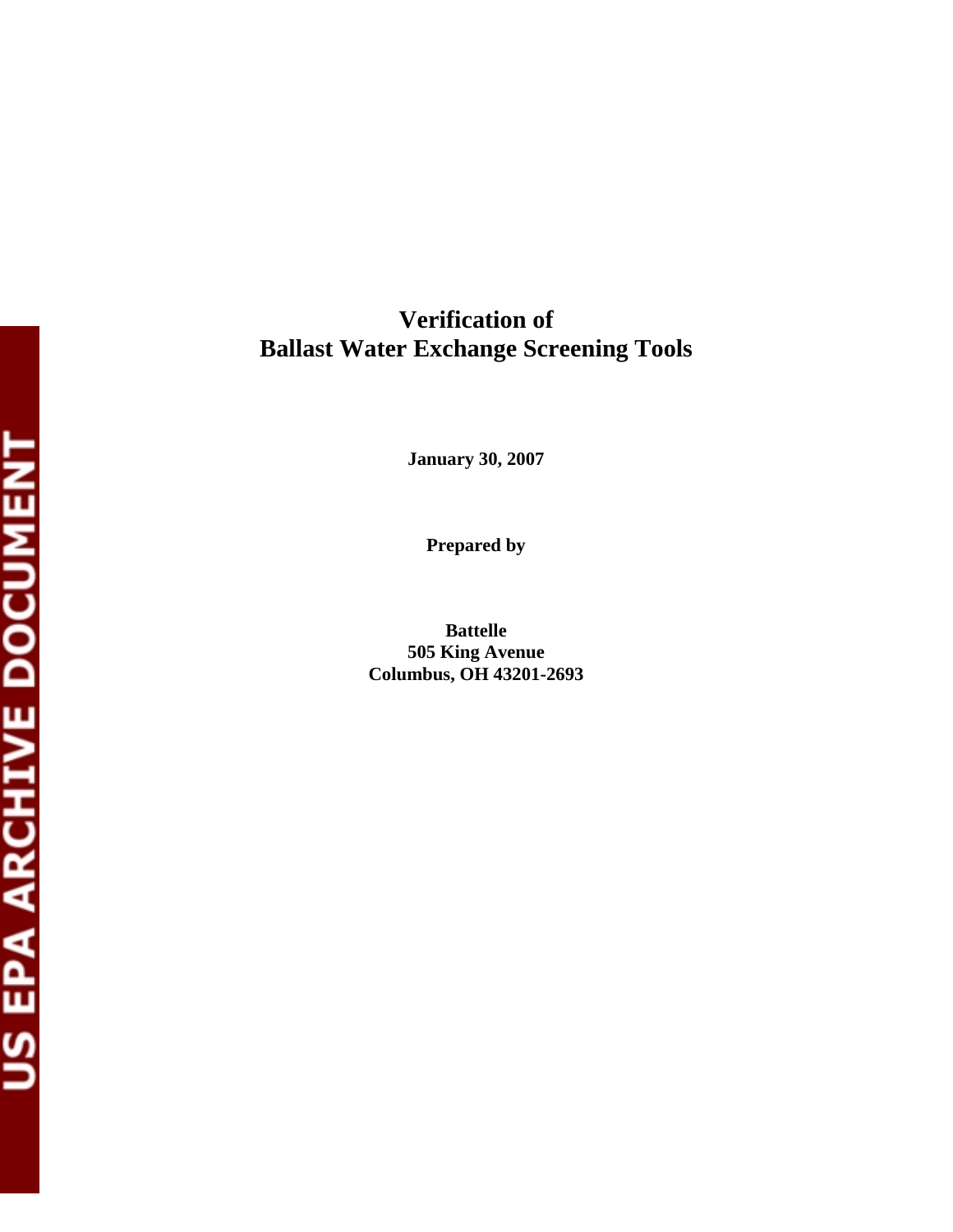**Verification of Ballast Water Exchange Screening Tools** 

**January 30, 2007** 

**Prepared by** 

**Battelle 505 King Avenue Columbus, OH 43201-2693**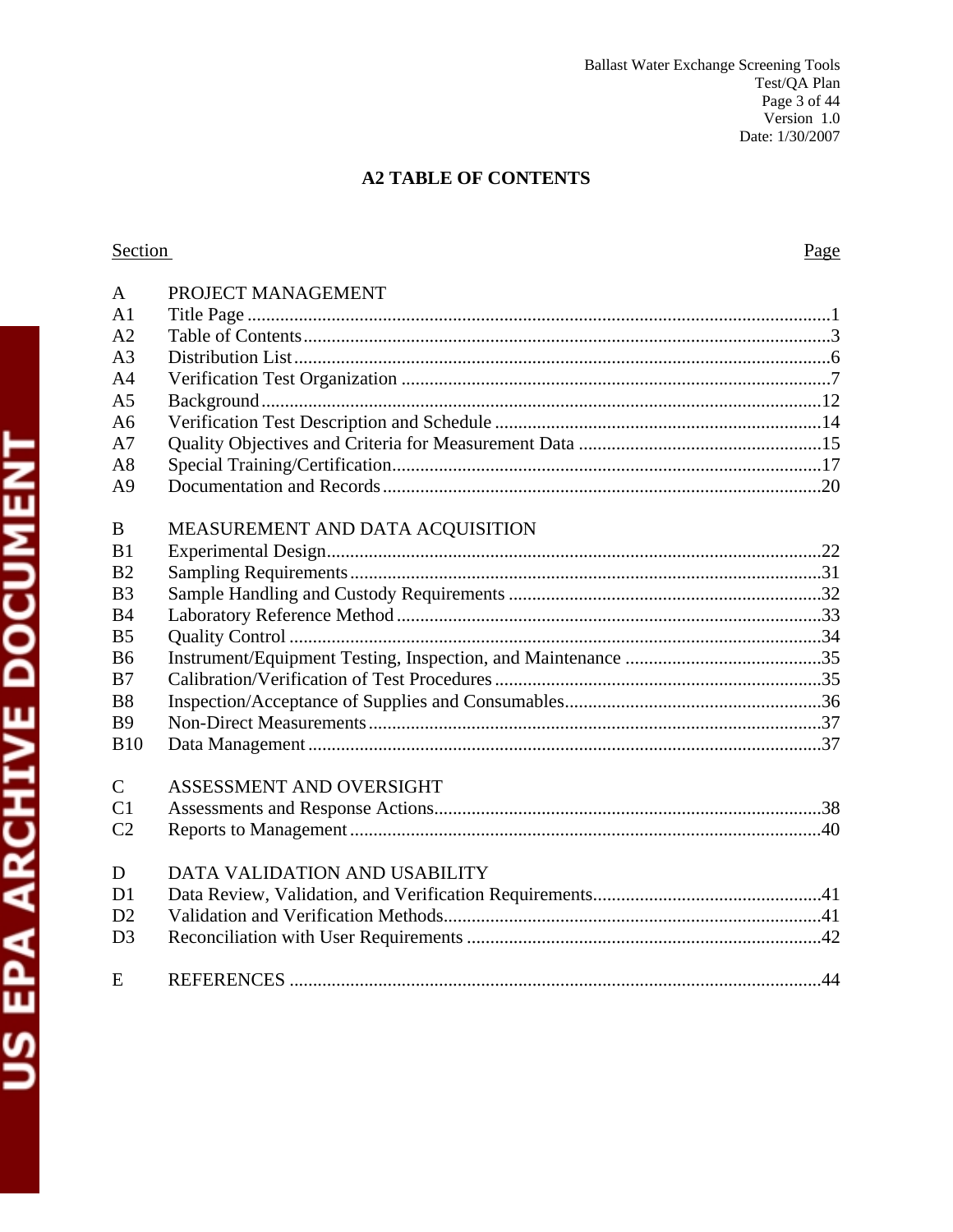# **A2 TABLE OF CONTENTS**

# Section

| $\mathbf{A}$   | PROJECT MANAGEMENT               |
|----------------|----------------------------------|
| A <sub>1</sub> |                                  |
| A <sub>2</sub> |                                  |
| A <sub>3</sub> |                                  |
| A <sub>4</sub> |                                  |
| A <sub>5</sub> |                                  |
| A6             |                                  |
| A7             |                                  |
| A8             |                                  |
| A <sup>9</sup> |                                  |
|                |                                  |
| B              | MEASUREMENT AND DATA ACQUISITION |
| B <sub>1</sub> |                                  |
| B <sub>2</sub> |                                  |
| B <sub>3</sub> |                                  |
| B <sub>4</sub> |                                  |
| B <sub>5</sub> |                                  |
| <b>B6</b>      |                                  |
| B7             |                                  |
| B <sub>8</sub> |                                  |
| <b>B9</b>      |                                  |
| <b>B10</b>     |                                  |
| $\mathcal{C}$  | ASSESSMENT AND OVERSIGHT         |
| C <sub>1</sub> |                                  |
| C <sub>2</sub> |                                  |
|                |                                  |
| D              | DATA VALIDATION AND USABILITY    |
| D <sub>1</sub> |                                  |
| D2             |                                  |
| D <sub>3</sub> |                                  |
| E              |                                  |
|                |                                  |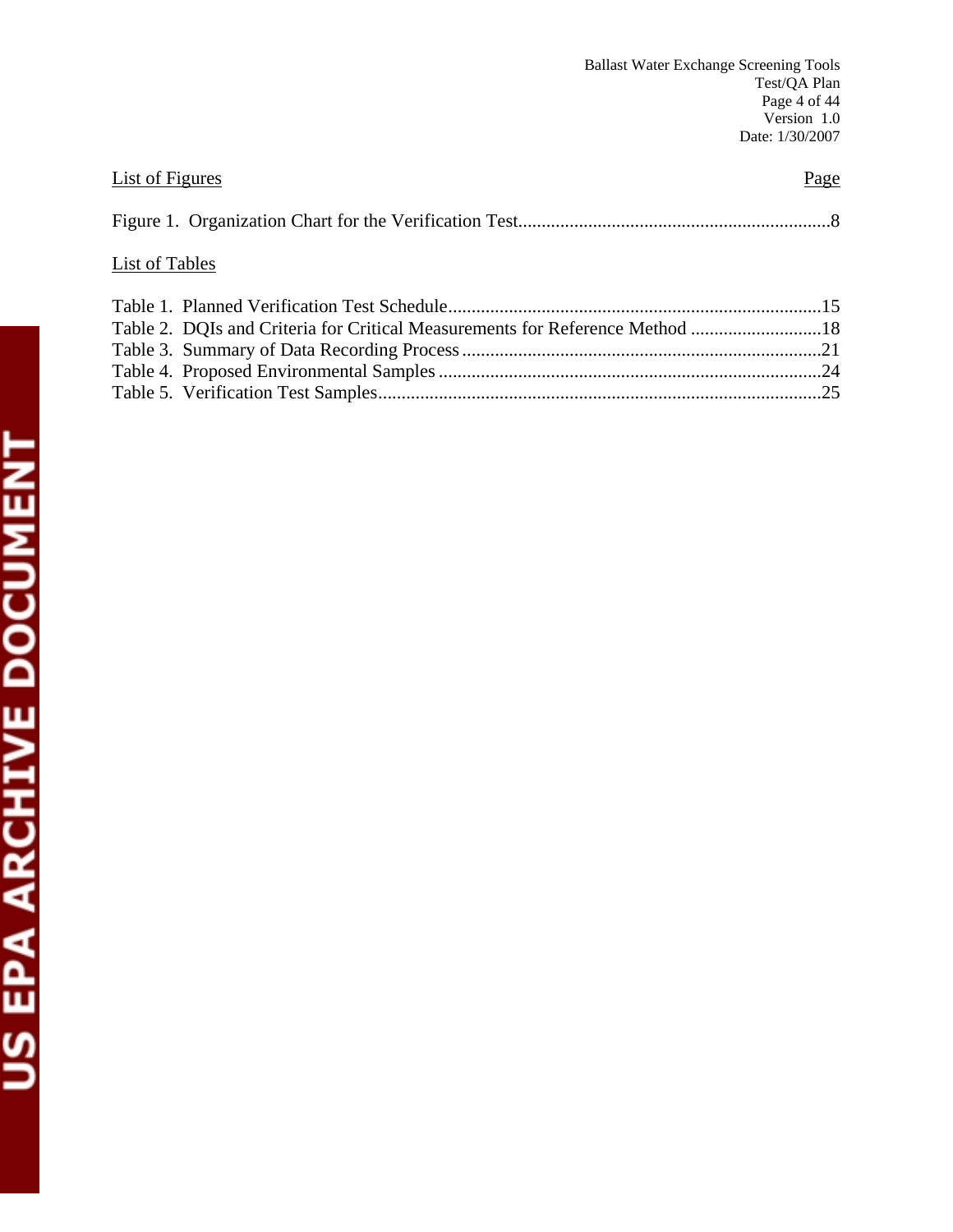| <b>List of Figures</b>                                                       | Page |
|------------------------------------------------------------------------------|------|
|                                                                              |      |
| <b>List of Tables</b>                                                        |      |
|                                                                              |      |
| Table 2. DQIs and Criteria for Critical Measurements for Reference Method 18 |      |
|                                                                              |      |
|                                                                              |      |
|                                                                              |      |
|                                                                              |      |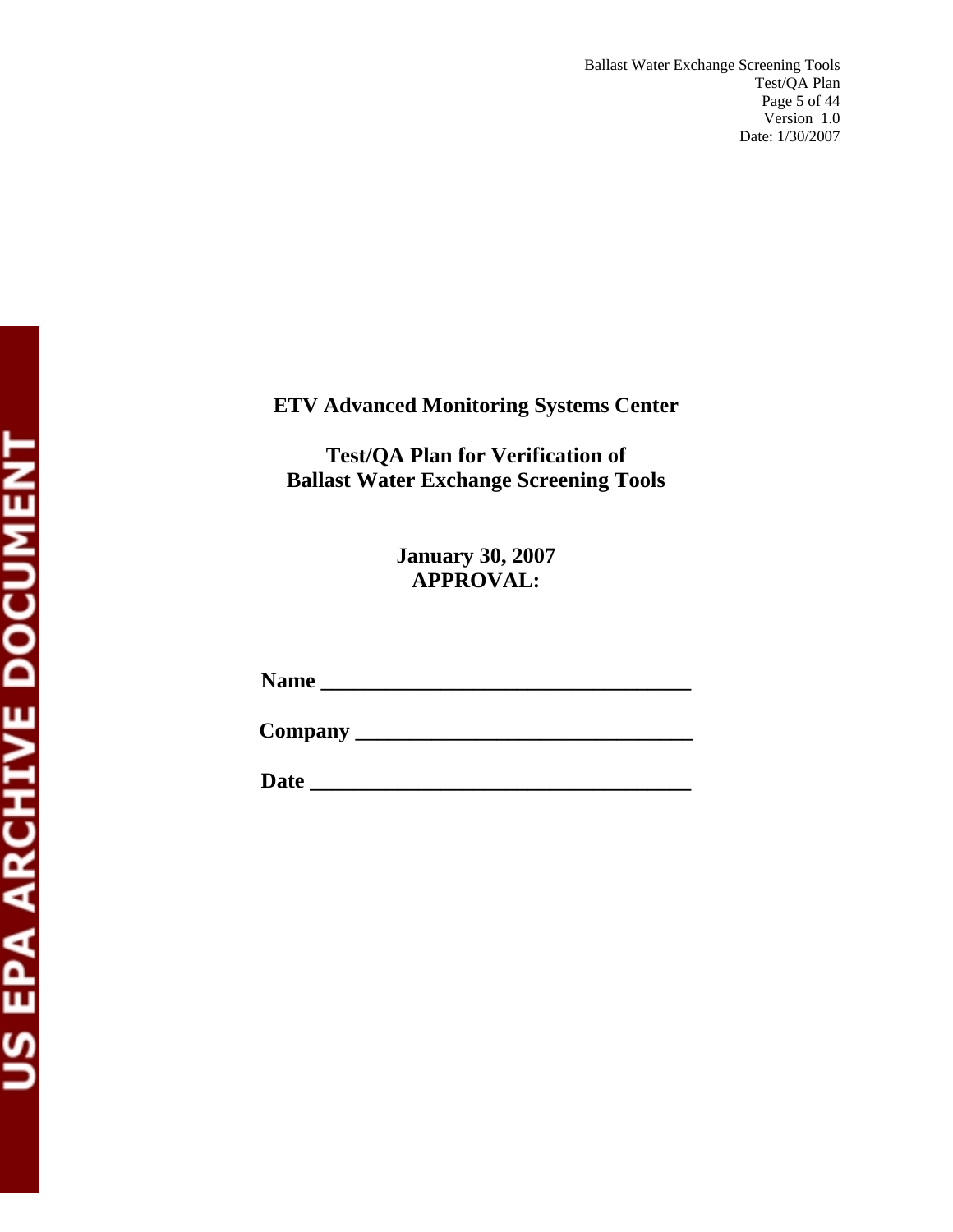# **ETV Advanced Monitoring Systems Center**

**Test/QA Plan for Verification of Ballast Water Exchange Screening Tools** 

> **January 30, 2007 APPROVAL:**

**Name \_\_\_\_\_\_\_\_\_\_\_\_\_\_\_\_\_\_\_\_\_\_\_\_\_\_\_\_\_\_\_\_\_\_** 

**Company \_\_\_\_\_\_\_\_\_\_\_\_\_\_\_\_\_\_\_\_\_\_\_\_\_\_\_\_\_\_\_** 

**Date \_\_\_\_\_\_\_\_\_\_\_\_\_\_\_\_\_\_\_\_\_\_\_\_\_\_\_\_\_\_\_\_\_\_\_**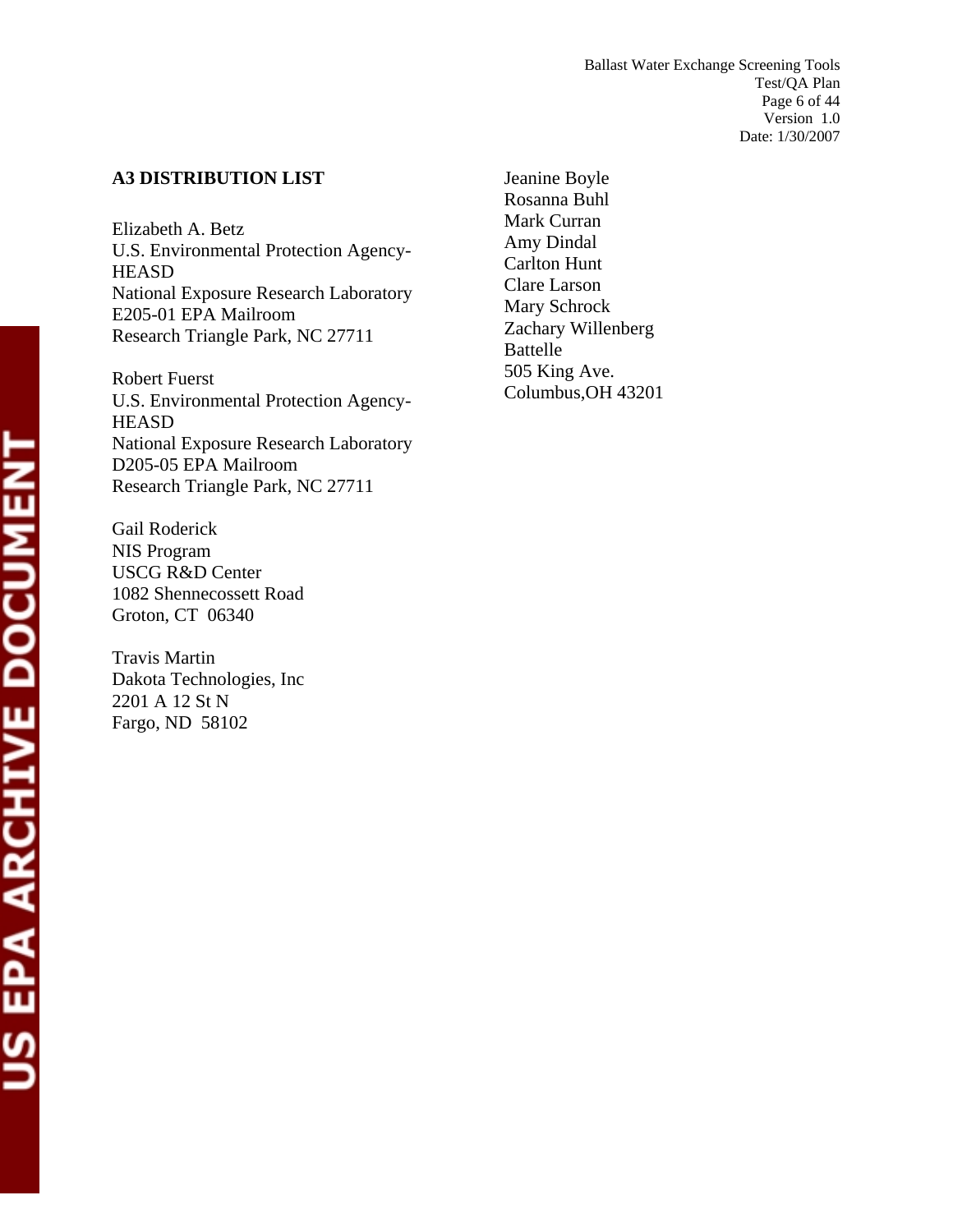# **A3 DISTRIBUTION LIST**

Elizabeth A. Betz U.S. Environmental Protection Agency-**HEASD** National Exposure Research Laboratory E205-01 EPA Mailroom Research Triangle Park, NC 27711

Robert Fuerst U.S. Environmental Protection Agency-**HEASD** National Exposure Research Laboratory D205-05 EPA Mailroom Research Triangle Park, NC 27711

Gail Roderick NIS Program USCG R&D Center 1082 Shennecossett Road Groton, CT 06340

Travis Martin Dakota Technologies, Inc 2201 A 12 St N Fargo, ND 58102

Jeanine Boyle Rosanna Buhl Mark Curran Amy Dindal Carlton Hunt Clare Larson Mary Schrock Zachary Willenberg Battelle 505 King Ave. Columbus,OH 43201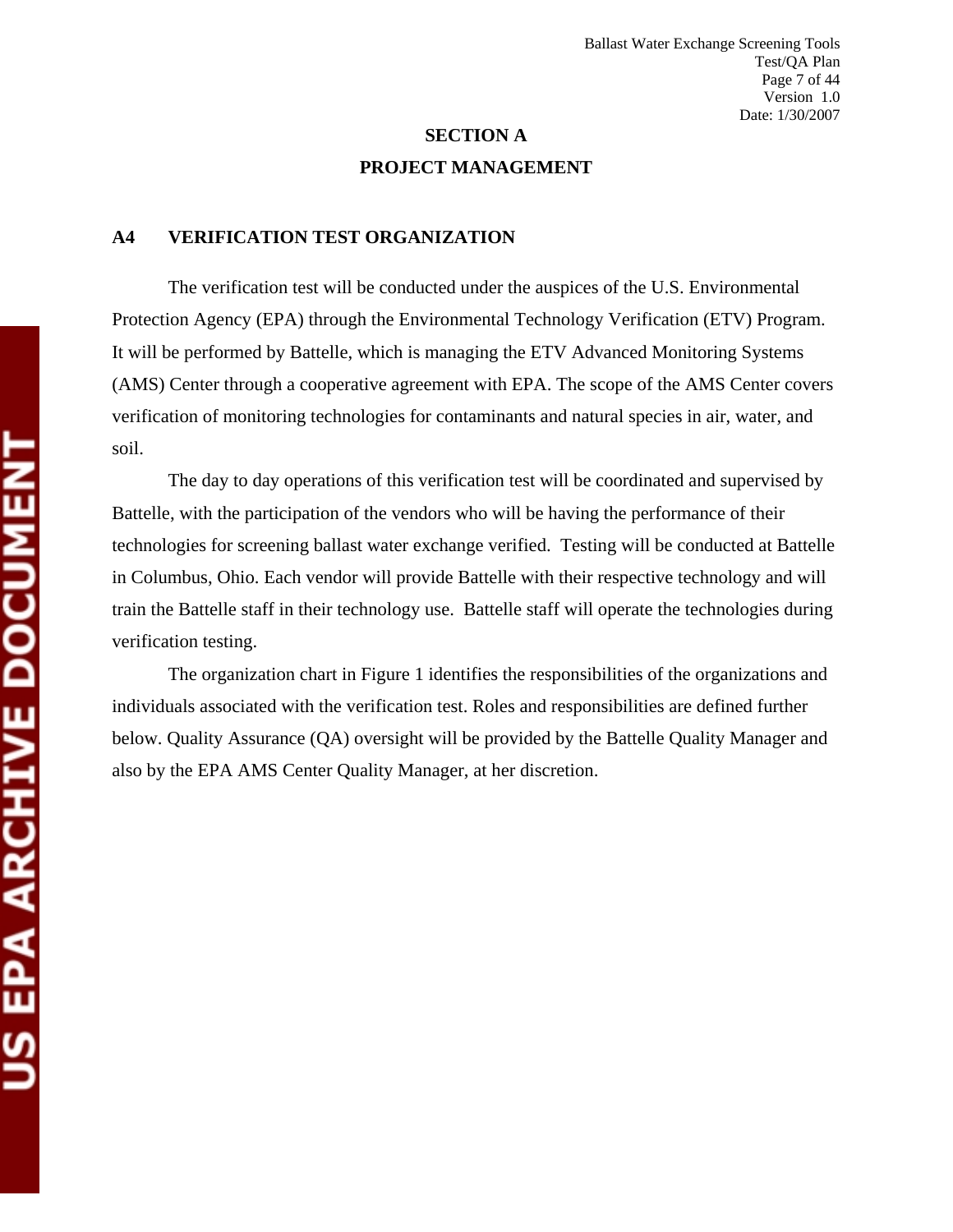# **SECTION A PROJECT MANAGEMENT**

#### **A4 VERIFICATION TEST ORGANIZATION**

The verification test will be conducted under the auspices of the U.S. Environmental Protection Agency (EPA) through the Environmental Technology Verification (ETV) Program. It will be performed by Battelle, which is managing the ETV Advanced Monitoring Systems (AMS) Center through a cooperative agreement with EPA. The scope of the AMS Center covers verification of monitoring technologies for contaminants and natural species in air, water, and soil.

The day to day operations of this verification test will be coordinated and supervised by Battelle, with the participation of the vendors who will be having the performance of their technologies for screening ballast water exchange verified. Testing will be conducted at Battelle in Columbus, Ohio. Each vendor will provide Battelle with their respective technology and will train the Battelle staff in their technology use. Battelle staff will operate the technologies during verification testing.

The organization chart in Figure 1 identifies the responsibilities of the organizations and individuals associated with the verification test. Roles and responsibilities are defined further below. Quality Assurance (QA) oversight will be provided by the Battelle Quality Manager and also by the EPA AMS Center Quality Manager, at her discretion.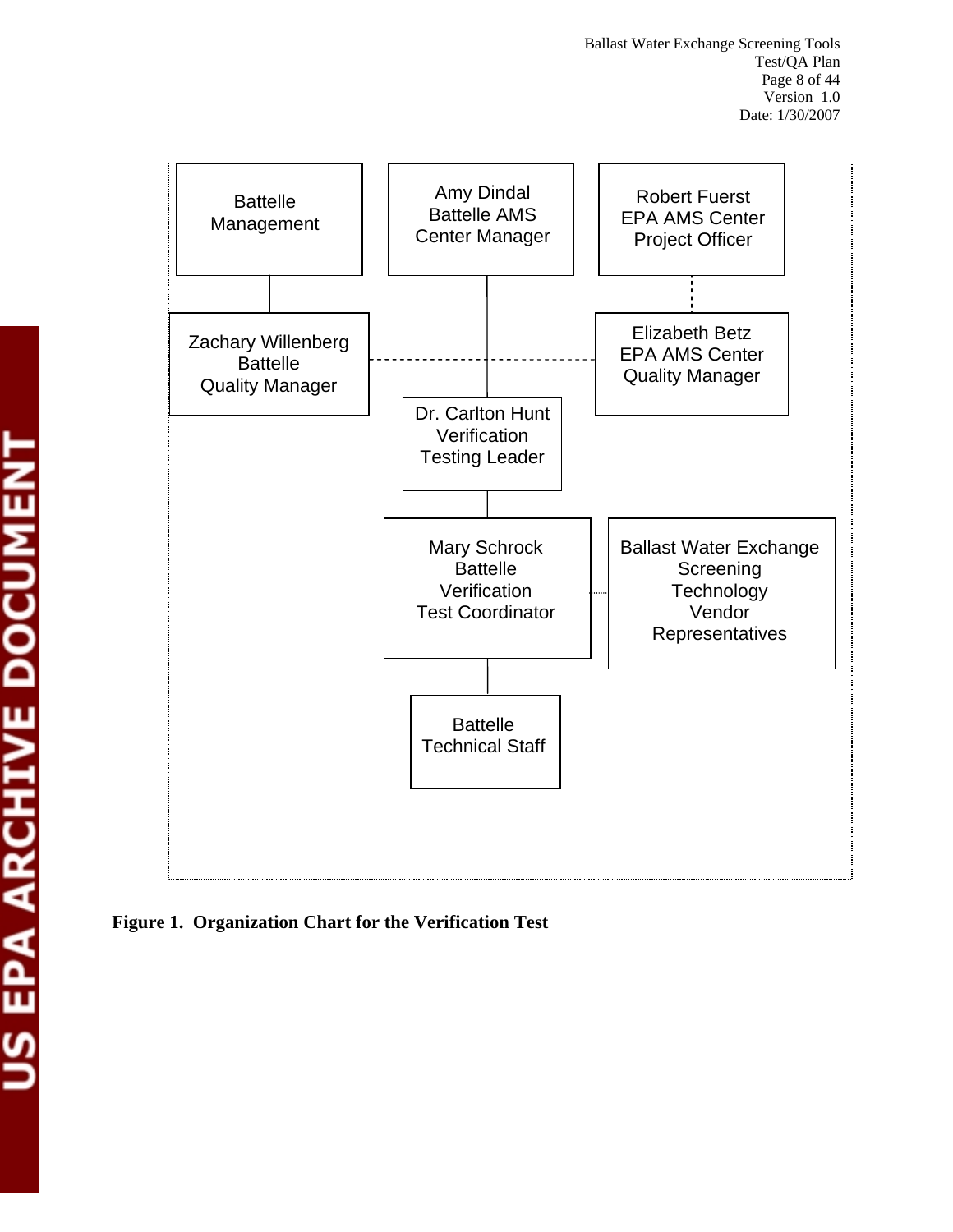

**Figure 1. Organization Chart for the Verification Test**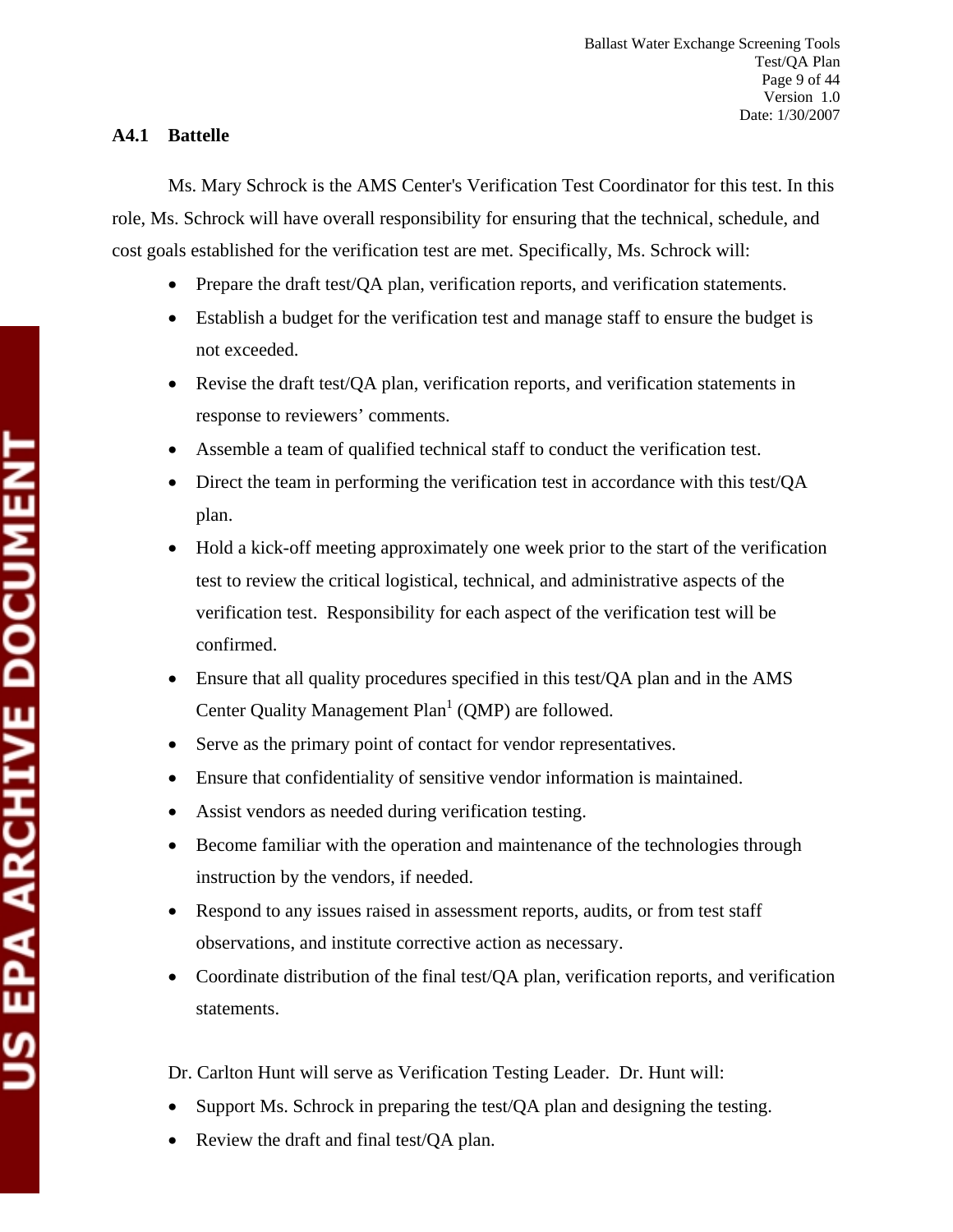# **A4.1 Battelle**

Ms. Mary Schrock is the AMS Center's Verification Test Coordinator for this test. In this role, Ms. Schrock will have overall responsibility for ensuring that the technical, schedule, and cost goals established for the verification test are met. Specifically, Ms. Schrock will:

- Prepare the draft test/QA plan, verification reports, and verification statements.
- Establish a budget for the verification test and manage staff to ensure the budget is not exceeded.
- Revise the draft test/QA plan, verification reports, and verification statements in response to reviewers' comments.
- Assemble a team of qualified technical staff to conduct the verification test.
- Direct the team in performing the verification test in accordance with this test/QA plan.
- Hold a kick-off meeting approximately one week prior to the start of the verification test to review the critical logistical, technical, and administrative aspects of the verification test. Responsibility for each aspect of the verification test will be confirmed.
- Ensure that all quality procedures specified in this test/QA plan and in the AMS Center Quality Management  $Plan<sup>1</sup>$  (QMP) are followed.
- Serve as the primary point of contact for vendor representatives.
- Ensure that confidentiality of sensitive vendor information is maintained.
- Assist vendors as needed during verification testing.
- Become familiar with the operation and maintenance of the technologies through instruction by the vendors, if needed.
- Respond to any issues raised in assessment reports, audits, or from test staff observations, and institute corrective action as necessary.
- Coordinate distribution of the final test/QA plan, verification reports, and verification statements.

Dr. Carlton Hunt will serve as Verification Testing Leader. Dr. Hunt will:

- Support Ms. Schrock in preparing the test/QA plan and designing the testing.
- Review the draft and final test/OA plan.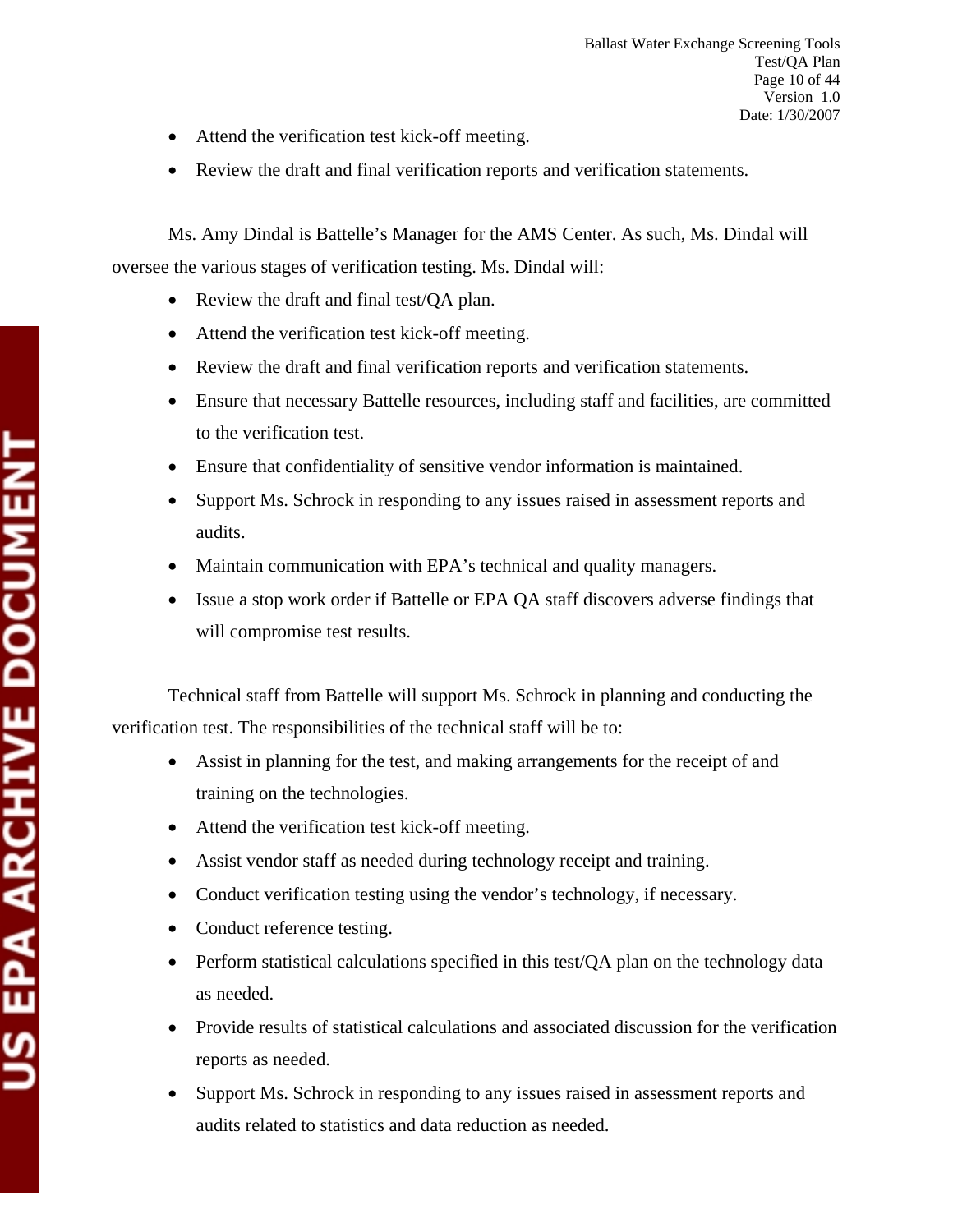- Attend the verification test kick-off meeting.
- Review the draft and final verification reports and verification statements.

Ms. Amy Dindal is Battelle's Manager for the AMS Center. As such, Ms. Dindal will oversee the various stages of verification testing. Ms. Dindal will:

- Review the draft and final test/QA plan.
- Attend the verification test kick-off meeting.
- Review the draft and final verification reports and verification statements.
- Ensure that necessary Battelle resources, including staff and facilities, are committed to the verification test.
- Ensure that confidentiality of sensitive vendor information is maintained.
- Support Ms. Schrock in responding to any issues raised in assessment reports and audits.
- Maintain communication with EPA's technical and quality managers.
- Issue a stop work order if Battelle or EPA QA staff discovers adverse findings that will compromise test results.

Technical staff from Battelle will support Ms. Schrock in planning and conducting the verification test. The responsibilities of the technical staff will be to:

- Assist in planning for the test, and making arrangements for the receipt of and training on the technologies.
- Attend the verification test kick-off meeting.
- Assist vendor staff as needed during technology receipt and training.
- Conduct verification testing using the vendor's technology, if necessary.
- Conduct reference testing.
- Perform statistical calculations specified in this test/QA plan on the technology data as needed.
- Provide results of statistical calculations and associated discussion for the verification reports as needed.
- Support Ms. Schrock in responding to any issues raised in assessment reports and audits related to statistics and data reduction as needed.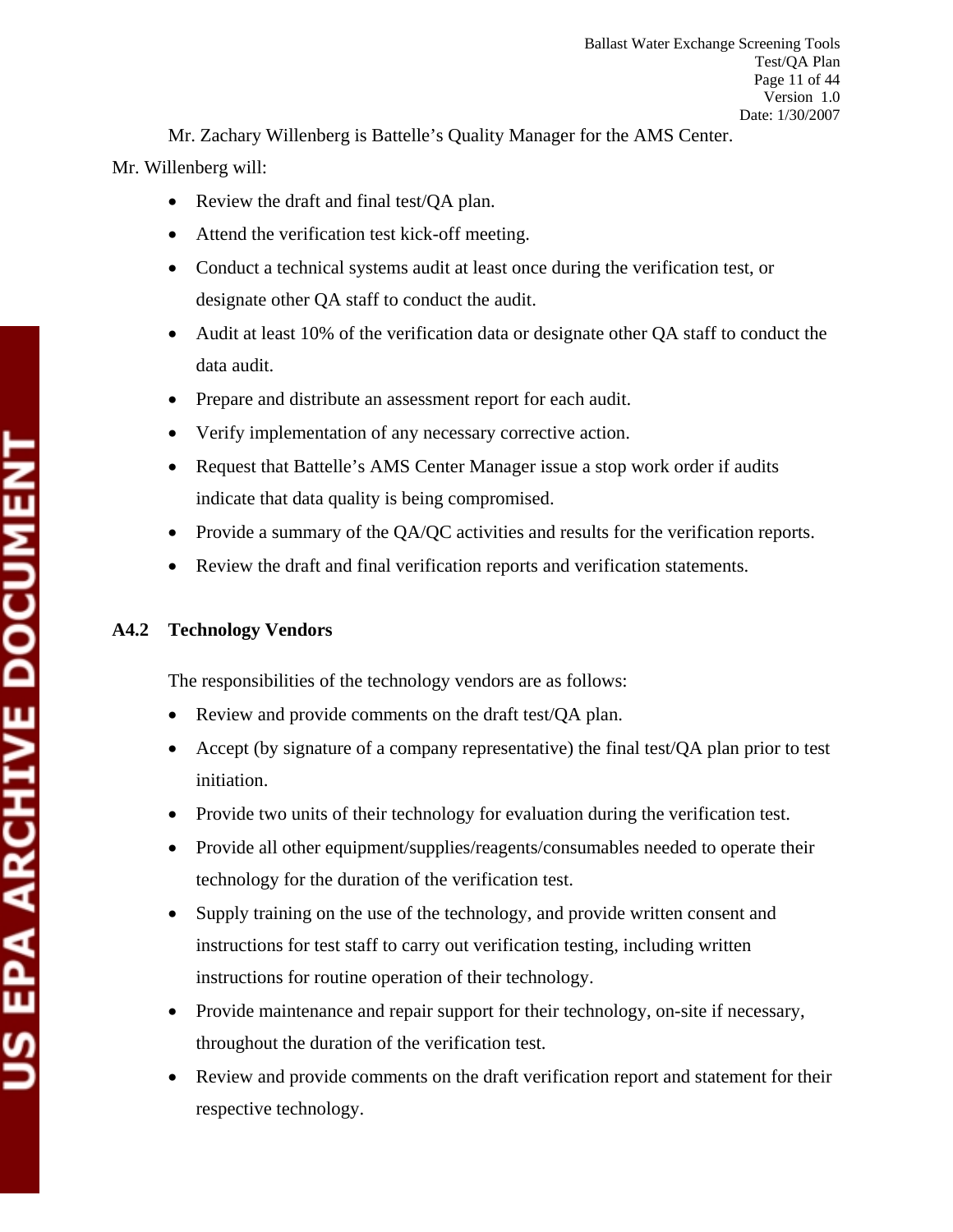Mr. Zachary Willenberg is Battelle's Quality Manager for the AMS Center.

Mr. Willenberg will:

- Review the draft and final test/QA plan.
- Attend the verification test kick-off meeting.
- Conduct a technical systems audit at least once during the verification test, or designate other QA staff to conduct the audit.
- Audit at least 10% of the verification data or designate other QA staff to conduct the data audit.
- Prepare and distribute an assessment report for each audit.
- Verify implementation of any necessary corrective action.
- Request that Battelle's AMS Center Manager issue a stop work order if audits indicate that data quality is being compromised.
- Provide a summary of the QA/QC activities and results for the verification reports.
- Review the draft and final verification reports and verification statements.

# **A4.2 Technology Vendors**

The responsibilities of the technology vendors are as follows:

- Review and provide comments on the draft test/QA plan.
- Accept (by signature of a company representative) the final test/QA plan prior to test initiation.
- Provide two units of their technology for evaluation during the verification test.
- Provide all other equipment/supplies/reagents/consumables needed to operate their technology for the duration of the verification test.
- Supply training on the use of the technology, and provide written consent and instructions for test staff to carry out verification testing, including written instructions for routine operation of their technology.
- Provide maintenance and repair support for their technology, on-site if necessary, throughout the duration of the verification test.
- Review and provide comments on the draft verification report and statement for their respective technology.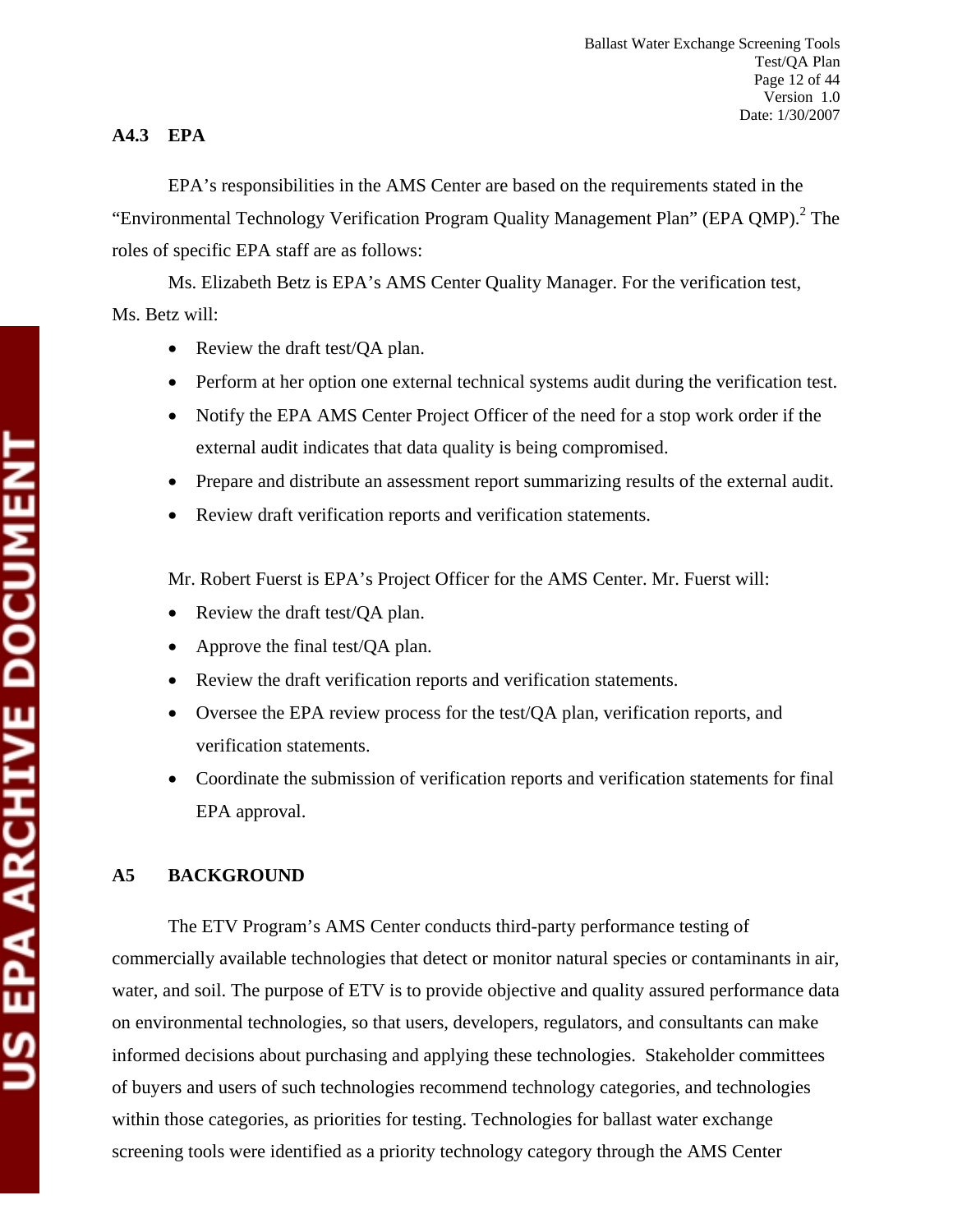# **A4.3 EPA**

EPA's responsibilities in the AMS Center are based on the requirements stated in the "Environmental Technology Verification Program Quality Management Plan" (EPA QMP). $^{2}$  The roles of specific EPA staff are as follows:

Ms. Elizabeth Betz is EPA's AMS Center Quality Manager. For the verification test, Ms. Betz will:

- Review the draft test/QA plan.
- Perform at her option one external technical systems audit during the verification test.
- Notify the EPA AMS Center Project Officer of the need for a stop work order if the external audit indicates that data quality is being compromised.
- Prepare and distribute an assessment report summarizing results of the external audit.
- Review draft verification reports and verification statements.

Mr. Robert Fuerst is EPA's Project Officer for the AMS Center. Mr. Fuerst will:

- Review the draft test/QA plan.
- Approve the final test/QA plan.
- Review the draft verification reports and verification statements.
- Oversee the EPA review process for the test/QA plan, verification reports, and verification statements.
- Coordinate the submission of verification reports and verification statements for final EPA approval.

# **A5 BACKGROUND**

The ETV Program's AMS Center conducts third-party performance testing of commercially available technologies that detect or monitor natural species or contaminants in air, water, and soil. The purpose of ETV is to provide objective and quality assured performance data on environmental technologies, so that users, developers, regulators, and consultants can make informed decisions about purchasing and applying these technologies. Stakeholder committees of buyers and users of such technologies recommend technology categories, and technologies within those categories, as priorities for testing. Technologies for ballast water exchange screening tools were identified as a priority technology category through the AMS Center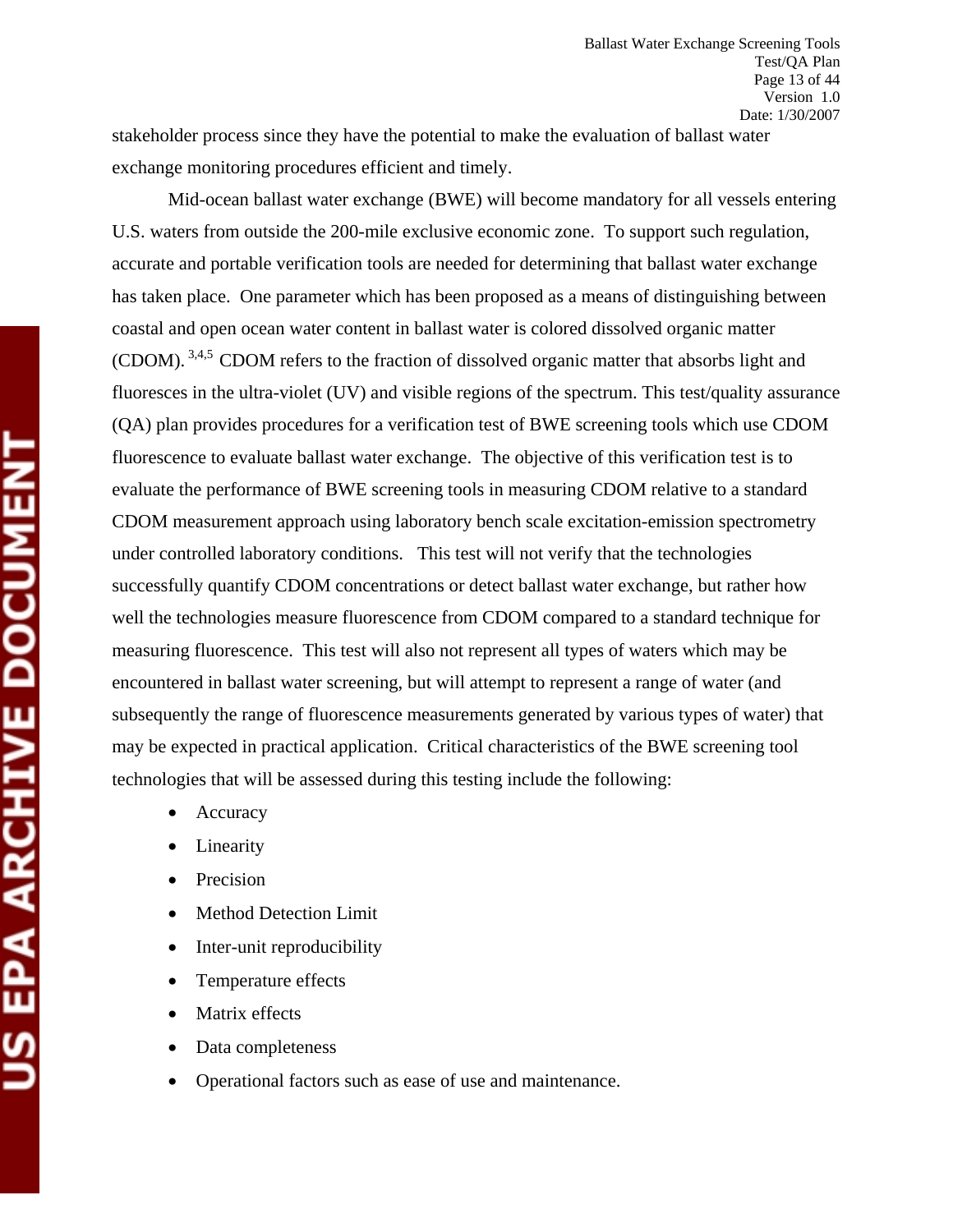stakeholder process since they have the potential to make the evaluation of ballast water exchange monitoring procedures efficient and timely.

Mid-ocean ballast water exchange (BWE) will become mandatory for all vessels entering U.S. waters from outside the 200-mile exclusive economic zone. To support such regulation, accurate and portable verification tools are needed for determining that ballast water exchange has taken place. One parameter which has been proposed as a means of distinguishing between coastal and open ocean water content in ballast water is colored dissolved organic matter (CDOM). 3,4,5 CDOM refers to the fraction of dissolved organic matter that absorbs light and fluoresces in the ultra-violet (UV) and visible regions of the spectrum. This test/quality assurance (QA) plan provides procedures for a verification test of BWE screening tools which use CDOM fluorescence to evaluate ballast water exchange. The objective of this verification test is to evaluate the performance of BWE screening tools in measuring CDOM relative to a standard CDOM measurement approach using laboratory bench scale excitation-emission spectrometry under controlled laboratory conditions. This test will not verify that the technologies successfully quantify CDOM concentrations or detect ballast water exchange, but rather how well the technologies measure fluorescence from CDOM compared to a standard technique for measuring fluorescence. This test will also not represent all types of waters which may be encountered in ballast water screening, but will attempt to represent a range of water (and subsequently the range of fluorescence measurements generated by various types of water) that may be expected in practical application. Critical characteristics of the BWE screening tool technologies that will be assessed during this testing include the following:

- Accuracy
- **Linearity**
- Precision
- Method Detection Limit
- Inter-unit reproducibility
- Temperature effects
- Matrix effects
- Data completeness
- Operational factors such as ease of use and maintenance.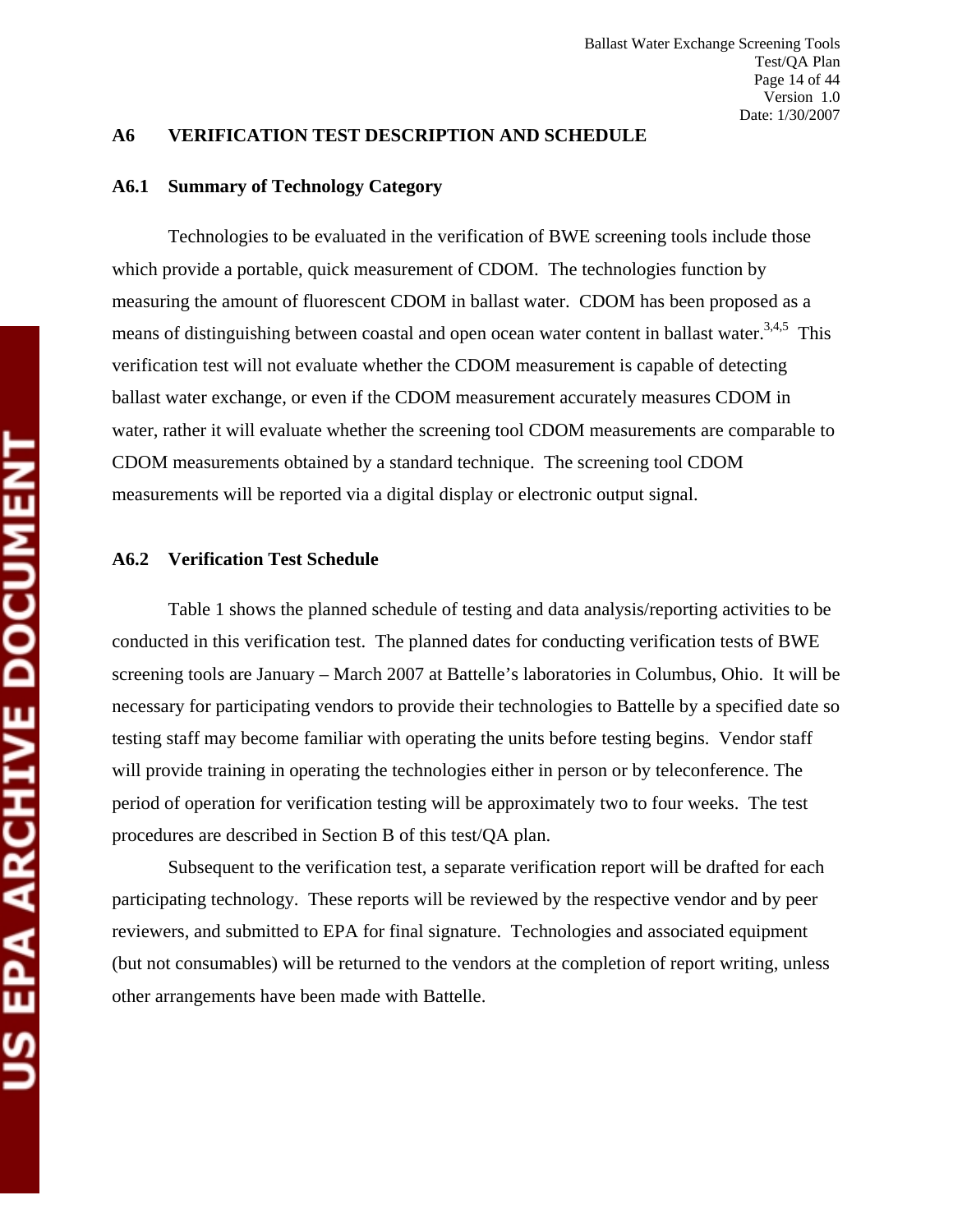#### **A6 VERIFICATION TEST DESCRIPTION AND SCHEDULE**

#### **A6.1 Summary of Technology Category**

Technologies to be evaluated in the verification of BWE screening tools include those which provide a portable, quick measurement of CDOM. The technologies function by measuring the amount of fluorescent CDOM in ballast water. CDOM has been proposed as a means of distinguishing between coastal and open ocean water content in ballast water.<sup>3,4,5</sup> This verification test will not evaluate whether the CDOM measurement is capable of detecting ballast water exchange, or even if the CDOM measurement accurately measures CDOM in water, rather it will evaluate whether the screening tool CDOM measurements are comparable to CDOM measurements obtained by a standard technique. The screening tool CDOM measurements will be reported via a digital display or electronic output signal.

#### **A6.2 Verification Test Schedule**

Table 1 shows the planned schedule of testing and data analysis/reporting activities to be conducted in this verification test. The planned dates for conducting verification tests of BWE screening tools are January – March 2007 at Battelle's laboratories in Columbus, Ohio. It will be necessary for participating vendors to provide their technologies to Battelle by a specified date so testing staff may become familiar with operating the units before testing begins. Vendor staff will provide training in operating the technologies either in person or by teleconference. The period of operation for verification testing will be approximately two to four weeks. The test procedures are described in Section B of this test/QA plan.

Subsequent to the verification test, a separate verification report will be drafted for each participating technology. These reports will be reviewed by the respective vendor and by peer reviewers, and submitted to EPA for final signature. Technologies and associated equipment (but not consumables) will be returned to the vendors at the completion of report writing, unless other arrangements have been made with Battelle.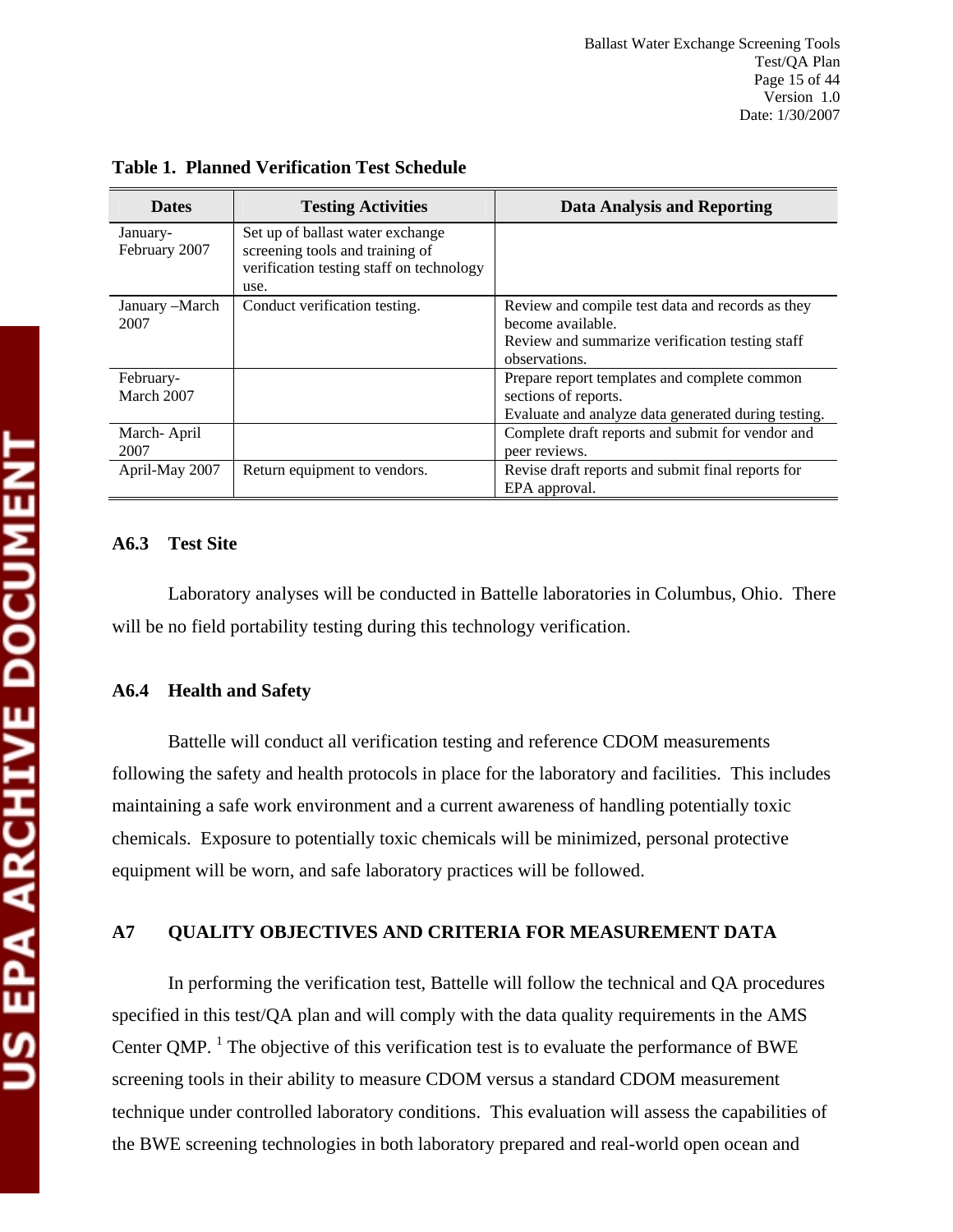| <b>Dates</b>   | <b>Testing Activities</b>                | <b>Data Analysis and Reporting</b>                  |
|----------------|------------------------------------------|-----------------------------------------------------|
| January-       | Set up of ballast water exchange         |                                                     |
| February 2007  | screening tools and training of          |                                                     |
|                | verification testing staff on technology |                                                     |
|                | use.                                     |                                                     |
| January -March | Conduct verification testing.            | Review and compile test data and records as they    |
| 2007           |                                          | become available.                                   |
|                |                                          | Review and summarize verification testing staff     |
|                |                                          | observations.                                       |
| February-      |                                          | Prepare report templates and complete common        |
| March 2007     |                                          | sections of reports.                                |
|                |                                          | Evaluate and analyze data generated during testing. |
| March-April    |                                          | Complete draft reports and submit for vendor and    |
| 2007           |                                          | peer reviews.                                       |
| April-May 2007 | Return equipment to vendors.             | Revise draft reports and submit final reports for   |
|                |                                          | EPA approval.                                       |

**Table 1. Planned Verification Test Schedule** 

#### **A6.3 Test Site**

Laboratory analyses will be conducted in Battelle laboratories in Columbus, Ohio. There will be no field portability testing during this technology verification.

## **A6.4 Health and Safety**

Battelle will conduct all verification testing and reference CDOM measurements following the safety and health protocols in place for the laboratory and facilities. This includes maintaining a safe work environment and a current awareness of handling potentially toxic chemicals. Exposure to potentially toxic chemicals will be minimized, personal protective equipment will be worn, and safe laboratory practices will be followed.

# **A7 QUALITY OBJECTIVES AND CRITERIA FOR MEASUREMENT DATA**

In performing the verification test, Battelle will follow the technical and QA procedures specified in this test/QA plan and will comply with the data quality requirements in the AMS Center QMP. <sup>1</sup> The objective of this verification test is to evaluate the performance of BWE screening tools in their ability to measure CDOM versus a standard CDOM measurement technique under controlled laboratory conditions. This evaluation will assess the capabilities of the BWE screening technologies in both laboratory prepared and real-world open ocean and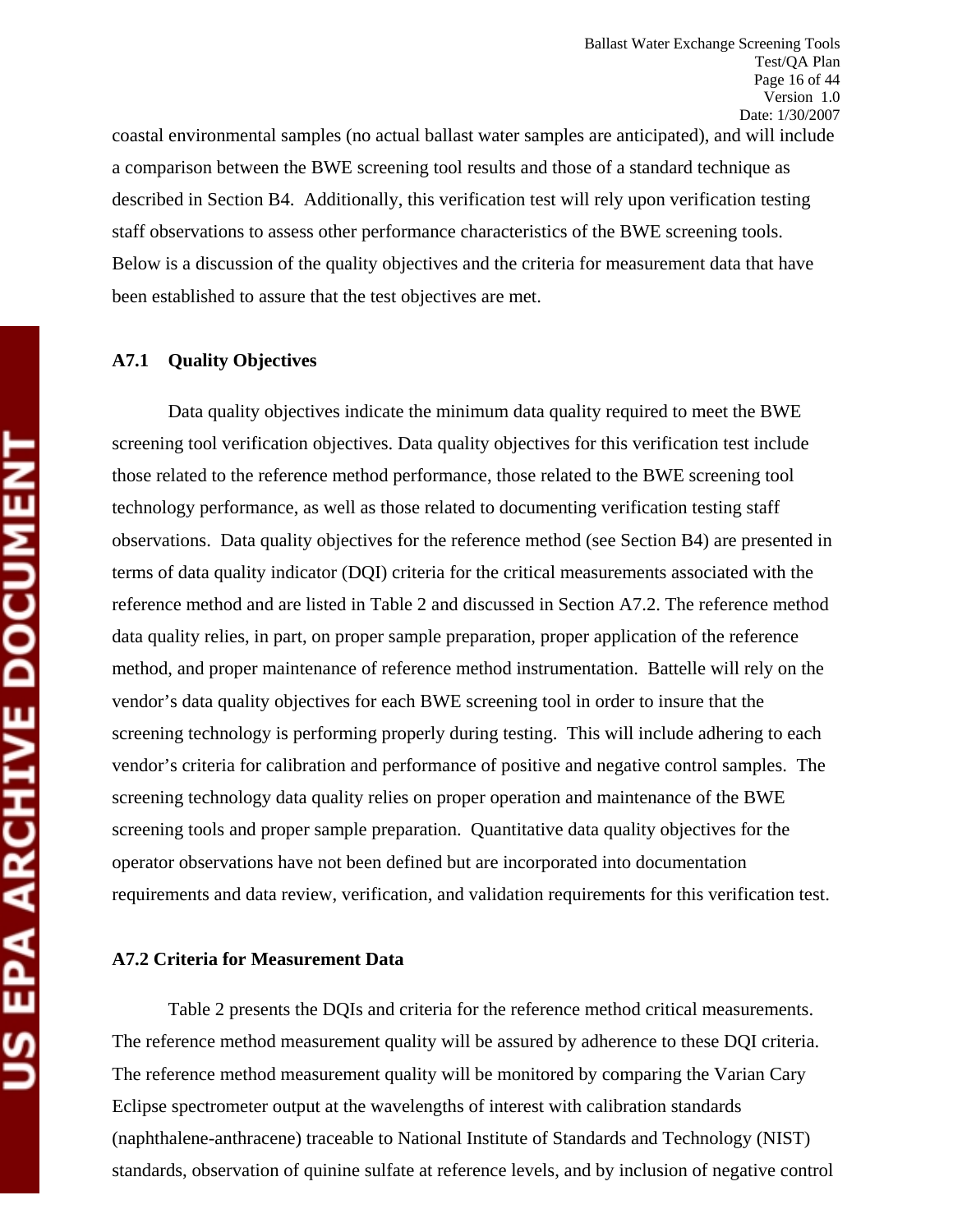coastal environmental samples (no actual ballast water samples are anticipated), and will include a comparison between the BWE screening tool results and those of a standard technique as described in Section B4. Additionally, this verification test will rely upon verification testing staff observations to assess other performance characteristics of the BWE screening tools. Below is a discussion of the quality objectives and the criteria for measurement data that have been established to assure that the test objectives are met.

#### **A7.1 Quality Objectives**

Data quality objectives indicate the minimum data quality required to meet the BWE screening tool verification objectives. Data quality objectives for this verification test include those related to the reference method performance, those related to the BWE screening tool technology performance, as well as those related to documenting verification testing staff observations. Data quality objectives for the reference method (see Section B4) are presented in terms of data quality indicator (DQI) criteria for the critical measurements associated with the reference method and are listed in Table 2 and discussed in Section A7.2. The reference method data quality relies, in part, on proper sample preparation, proper application of the reference method, and proper maintenance of reference method instrumentation. Battelle will rely on the vendor's data quality objectives for each BWE screening tool in order to insure that the screening technology is performing properly during testing. This will include adhering to each vendor's criteria for calibration and performance of positive and negative control samples. The screening technology data quality relies on proper operation and maintenance of the BWE screening tools and proper sample preparation. Quantitative data quality objectives for the operator observations have not been defined but are incorporated into documentation requirements and data review, verification, and validation requirements for this verification test.

#### **A7.2 Criteria for Measurement Data**

Table 2 presents the DQIs and criteria for the reference method critical measurements. The reference method measurement quality will be assured by adherence to these DQI criteria. The reference method measurement quality will be monitored by comparing the Varian Cary Eclipse spectrometer output at the wavelengths of interest with calibration standards (naphthalene-anthracene) traceable to National Institute of Standards and Technology (NIST) standards, observation of quinine sulfate at reference levels, and by inclusion of negative control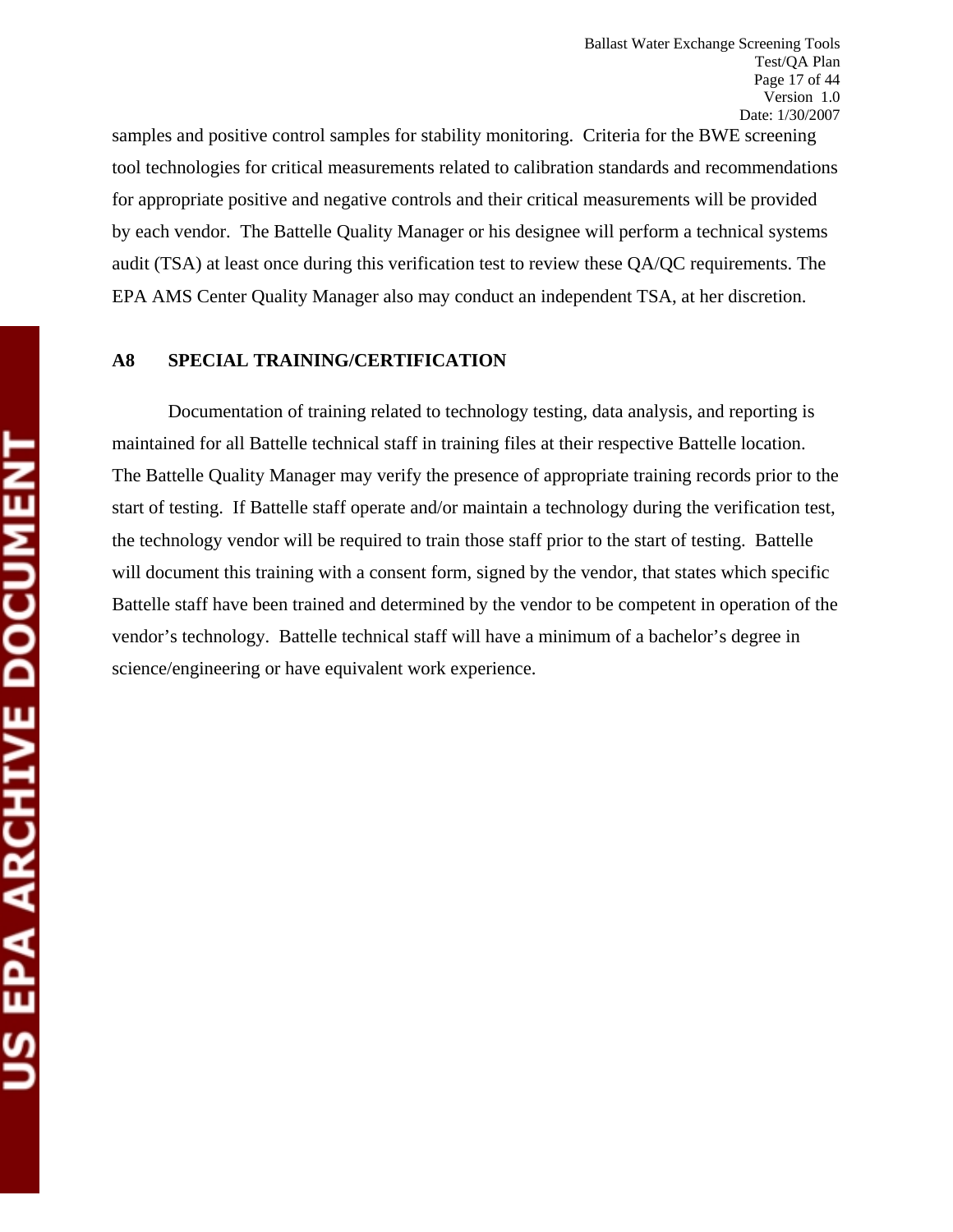samples and positive control samples for stability monitoring. Criteria for the BWE screening tool technologies for critical measurements related to calibration standards and recommendations for appropriate positive and negative controls and their critical measurements will be provided by each vendor. The Battelle Quality Manager or his designee will perform a technical systems audit (TSA) at least once during this verification test to review these QA/QC requirements. The EPA AMS Center Quality Manager also may conduct an independent TSA, at her discretion.

# **A8 SPECIAL TRAINING/CERTIFICATION**

Documentation of training related to technology testing, data analysis, and reporting is maintained for all Battelle technical staff in training files at their respective Battelle location. The Battelle Quality Manager may verify the presence of appropriate training records prior to the start of testing. If Battelle staff operate and/or maintain a technology during the verification test, the technology vendor will be required to train those staff prior to the start of testing. Battelle will document this training with a consent form, signed by the vendor, that states which specific Battelle staff have been trained and determined by the vendor to be competent in operation of the vendor's technology. Battelle technical staff will have a minimum of a bachelor's degree in science/engineering or have equivalent work experience.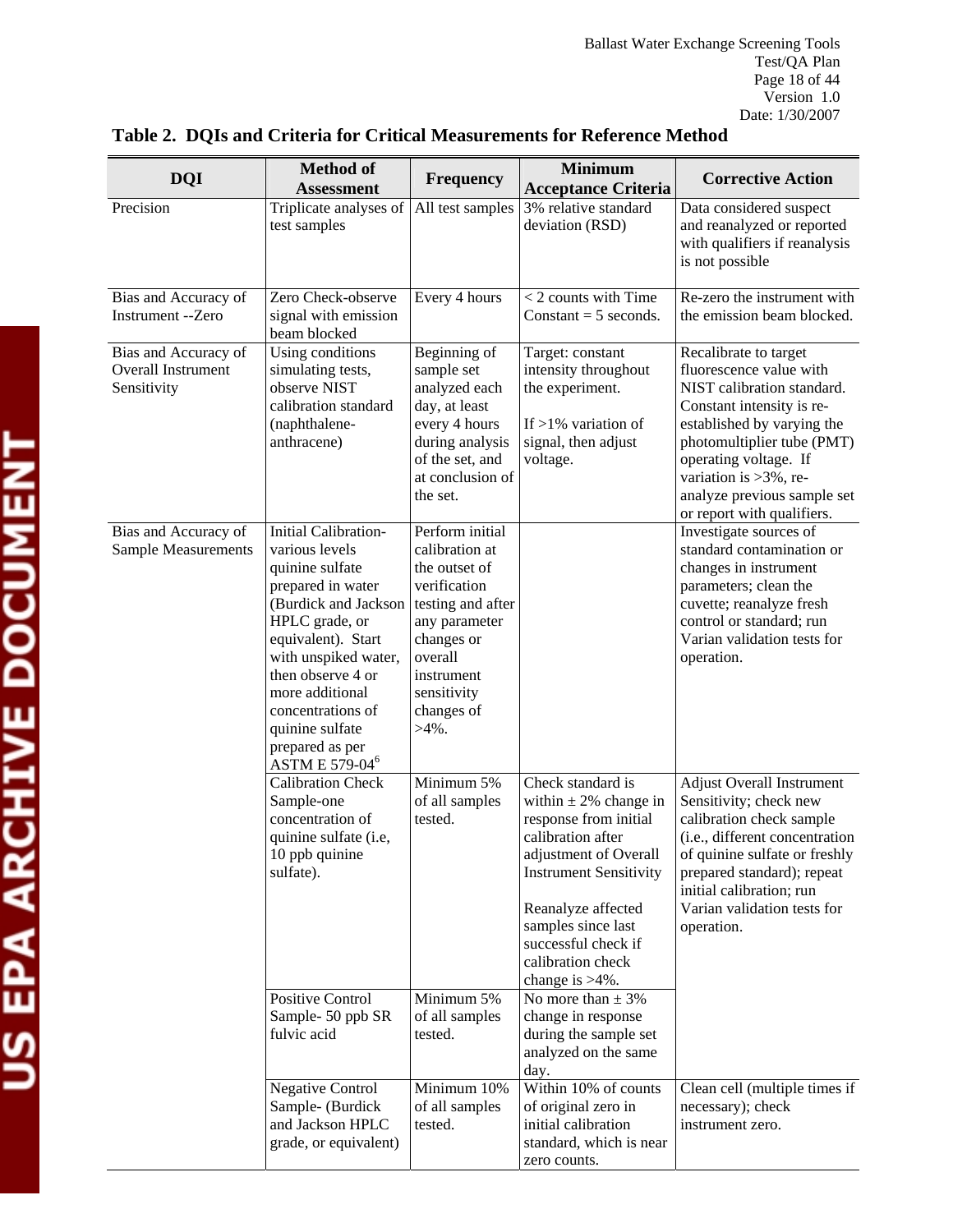| <b>DQI</b>                                                | <b>Method of</b><br><b>Assessment</b>                                                                                                                                                                                                                                                                                | <b>Frequency</b>                                                                                                                                                                         | <b>Minimum</b><br><b>Acceptance Criteria</b>                                                                                                                                                                                                                         | <b>Corrective Action</b>                                                                                                                                                                                                                                                                   |
|-----------------------------------------------------------|----------------------------------------------------------------------------------------------------------------------------------------------------------------------------------------------------------------------------------------------------------------------------------------------------------------------|------------------------------------------------------------------------------------------------------------------------------------------------------------------------------------------|----------------------------------------------------------------------------------------------------------------------------------------------------------------------------------------------------------------------------------------------------------------------|--------------------------------------------------------------------------------------------------------------------------------------------------------------------------------------------------------------------------------------------------------------------------------------------|
| Precision                                                 | Triplicate analyses of<br>test samples                                                                                                                                                                                                                                                                               | All test samples                                                                                                                                                                         | 3% relative standard<br>deviation (RSD)                                                                                                                                                                                                                              | Data considered suspect<br>and reanalyzed or reported<br>with qualifiers if reanalysis<br>is not possible                                                                                                                                                                                  |
| Bias and Accuracy of<br>Instrument --Zero                 | Zero Check-observe<br>signal with emission<br>beam blocked                                                                                                                                                                                                                                                           | Every 4 hours                                                                                                                                                                            | $<$ 2 counts with Time<br>Constant = $5$ seconds.                                                                                                                                                                                                                    | Re-zero the instrument with<br>the emission beam blocked.                                                                                                                                                                                                                                  |
| Bias and Accuracy of<br>Overall Instrument<br>Sensitivity | Using conditions<br>simulating tests,<br>observe NIST<br>calibration standard<br>(naphthalene-<br>anthracene)                                                                                                                                                                                                        | Beginning of<br>sample set<br>analyzed each<br>day, at least<br>every 4 hours<br>during analysis<br>of the set, and<br>at conclusion of<br>the set.                                      | Target: constant<br>intensity throughout<br>the experiment.<br>If $>1\%$ variation of<br>signal, then adjust<br>voltage.                                                                                                                                             | Recalibrate to target<br>fluorescence value with<br>NIST calibration standard.<br>Constant intensity is re-<br>established by varying the<br>photomultiplier tube (PMT)<br>operating voltage. If<br>variation is $>3\%$ , re-<br>analyze previous sample set<br>or report with qualifiers. |
| Bias and Accuracy of<br><b>Sample Measurements</b>        | <b>Initial Calibration-</b><br>various levels<br>quinine sulfate<br>prepared in water<br>(Burdick and Jackson<br>HPLC grade, or<br>equivalent). Start<br>with unspiked water,<br>then observe 4 or<br>more additional<br>concentrations of<br>quinine sulfate<br>prepared as per<br><b>ASTM E 579-04<sup>6</sup></b> | Perform initial<br>calibration at<br>the outset of<br>verification<br>testing and after<br>any parameter<br>changes or<br>overall<br>instrument<br>sensitivity<br>changes of<br>$>4\%$ . |                                                                                                                                                                                                                                                                      | Investigate sources of<br>standard contamination or<br>changes in instrument<br>parameters; clean the<br>cuvette; reanalyze fresh<br>control or standard; run<br>Varian validation tests for<br>operation.                                                                                 |
|                                                           | <b>Calibration Check</b><br>Sample-one<br>concentration of<br>quinine sulfate (i.e,<br>10 ppb quinine<br>sulfate).                                                                                                                                                                                                   | Minimum 5%<br>of all samples<br>tested.                                                                                                                                                  | Check standard is<br>within $\pm$ 2% change in<br>response from initial<br>calibration after<br>adjustment of Overall<br><b>Instrument Sensitivity</b><br>Reanalyze affected<br>samples since last<br>successful check if<br>calibration check<br>change is $>4\%$ . | <b>Adjust Overall Instrument</b><br>Sensitivity; check new<br>calibration check sample<br>(i.e., different concentration<br>of quinine sulfate or freshly<br>prepared standard); repeat<br>initial calibration; run<br>Varian validation tests for<br>operation.                           |
|                                                           | <b>Positive Control</b><br>Sample-50 ppb SR<br>fulvic acid<br><b>Negative Control</b>                                                                                                                                                                                                                                | Minimum 5%<br>of all samples<br>tested.<br>Minimum 10%                                                                                                                                   | No more than $\pm$ 3%<br>change in response<br>during the sample set<br>analyzed on the same<br>day.<br>Within 10% of counts                                                                                                                                         | Clean cell (multiple times if                                                                                                                                                                                                                                                              |
|                                                           | Sample- (Burdick<br>and Jackson HPLC<br>grade, or equivalent)                                                                                                                                                                                                                                                        | of all samples<br>tested.                                                                                                                                                                | of original zero in<br>initial calibration<br>standard, which is near<br>zero counts.                                                                                                                                                                                | necessary); check<br>instrument zero.                                                                                                                                                                                                                                                      |

# **Table 2. DQIs and Criteria for Critical Measurements for Reference Method**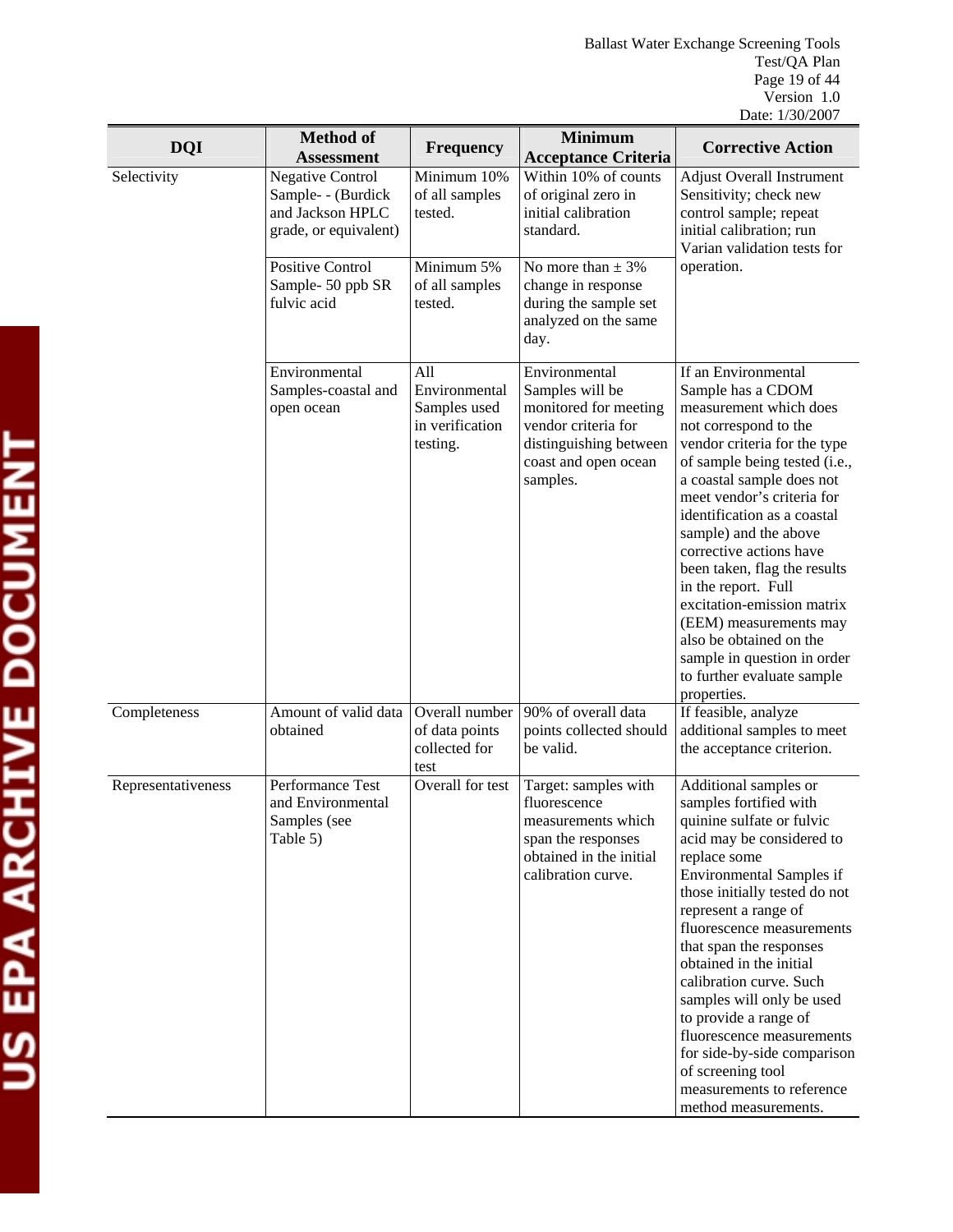| <b>DQI</b>         | <b>Method of</b><br><b>Assessment</b>                                                      | <b>Frequency</b>                                                    | <b>Minimum</b><br><b>Acceptance Criteria</b>                                                                                                   | <b>Corrective Action</b>                                                                                                                                                                                                                                                                                                                                                                                                                                                                                                         |
|--------------------|--------------------------------------------------------------------------------------------|---------------------------------------------------------------------|------------------------------------------------------------------------------------------------------------------------------------------------|----------------------------------------------------------------------------------------------------------------------------------------------------------------------------------------------------------------------------------------------------------------------------------------------------------------------------------------------------------------------------------------------------------------------------------------------------------------------------------------------------------------------------------|
| Selectivity        | <b>Negative Control</b><br>Sample- - (Burdick<br>and Jackson HPLC<br>grade, or equivalent) | Minimum 10%<br>of all samples<br>tested.                            | Within 10% of counts<br>of original zero in<br>initial calibration<br>standard.                                                                | <b>Adjust Overall Instrument</b><br>Sensitivity; check new<br>control sample; repeat<br>initial calibration; run<br>Varian validation tests for                                                                                                                                                                                                                                                                                                                                                                                  |
|                    | <b>Positive Control</b><br>Sample-50 ppb SR<br>fulvic acid                                 | Minimum 5%<br>of all samples<br>tested.                             | No more than $\pm$ 3%<br>change in response<br>during the sample set<br>analyzed on the same<br>day.                                           | operation.                                                                                                                                                                                                                                                                                                                                                                                                                                                                                                                       |
|                    | Environmental<br>Samples-coastal and<br>open ocean                                         | All<br>Environmental<br>Samples used<br>in verification<br>testing. | Environmental<br>Samples will be<br>monitored for meeting<br>vendor criteria for<br>distinguishing between<br>coast and open ocean<br>samples. | If an Environmental<br>Sample has a CDOM<br>measurement which does<br>not correspond to the<br>vendor criteria for the type<br>of sample being tested (i.e.,<br>a coastal sample does not<br>meet vendor's criteria for<br>identification as a coastal<br>sample) and the above<br>corrective actions have<br>been taken, flag the results<br>in the report. Full<br>excitation-emission matrix<br>(EEM) measurements may<br>also be obtained on the<br>sample in question in order<br>to further evaluate sample<br>properties. |
| Completeness       | Amount of valid data<br>obtained                                                           | Overall number<br>of data points<br>collected for<br>test           | 90% of overall data<br>points collected should<br>be valid.                                                                                    | If feasible, analyze<br>additional samples to meet<br>the acceptance criterion.                                                                                                                                                                                                                                                                                                                                                                                                                                                  |
| Representativeness | Performance Test<br>and Environmental<br>Samples (see<br>Table 5)                          | Overall for test                                                    | Target: samples with<br>fluorescence<br>measurements which<br>span the responses<br>obtained in the initial<br>calibration curve.              | Additional samples or<br>samples fortified with<br>quinine sulfate or fulvic<br>acid may be considered to<br>replace some<br><b>Environmental Samples if</b><br>those initially tested do not<br>represent a range of<br>fluorescence measurements<br>that span the responses<br>obtained in the initial<br>calibration curve. Such<br>samples will only be used<br>to provide a range of<br>fluorescence measurements<br>for side-by-side comparison<br>of screening tool<br>measurements to reference<br>method measurements.  |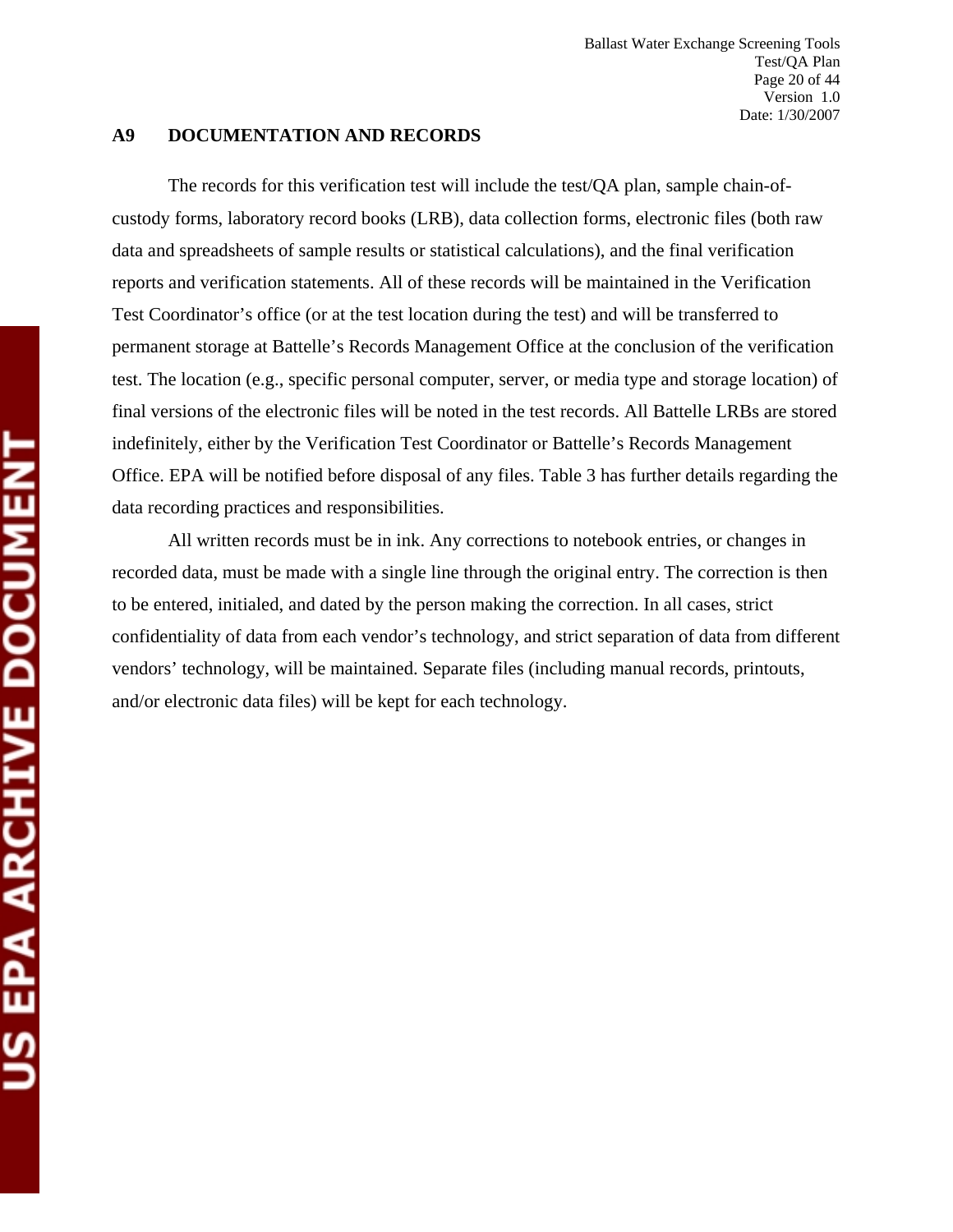#### **A9 DOCUMENTATION AND RECORDS**

The records for this verification test will include the test/QA plan, sample chain-ofcustody forms, laboratory record books (LRB), data collection forms, electronic files (both raw data and spreadsheets of sample results or statistical calculations), and the final verification reports and verification statements. All of these records will be maintained in the Verification Test Coordinator's office (or at the test location during the test) and will be transferred to permanent storage at Battelle's Records Management Office at the conclusion of the verification test. The location (e.g., specific personal computer, server, or media type and storage location) of final versions of the electronic files will be noted in the test records. All Battelle LRBs are stored indefinitely, either by the Verification Test Coordinator or Battelle's Records Management Office. EPA will be notified before disposal of any files. Table 3 has further details regarding the data recording practices and responsibilities.

All written records must be in ink. Any corrections to notebook entries, or changes in recorded data, must be made with a single line through the original entry. The correction is then to be entered, initialed, and dated by the person making the correction. In all cases, strict confidentiality of data from each vendor's technology, and strict separation of data from different vendors' technology, will be maintained. Separate files (including manual records, printouts, and/or electronic data files) will be kept for each technology.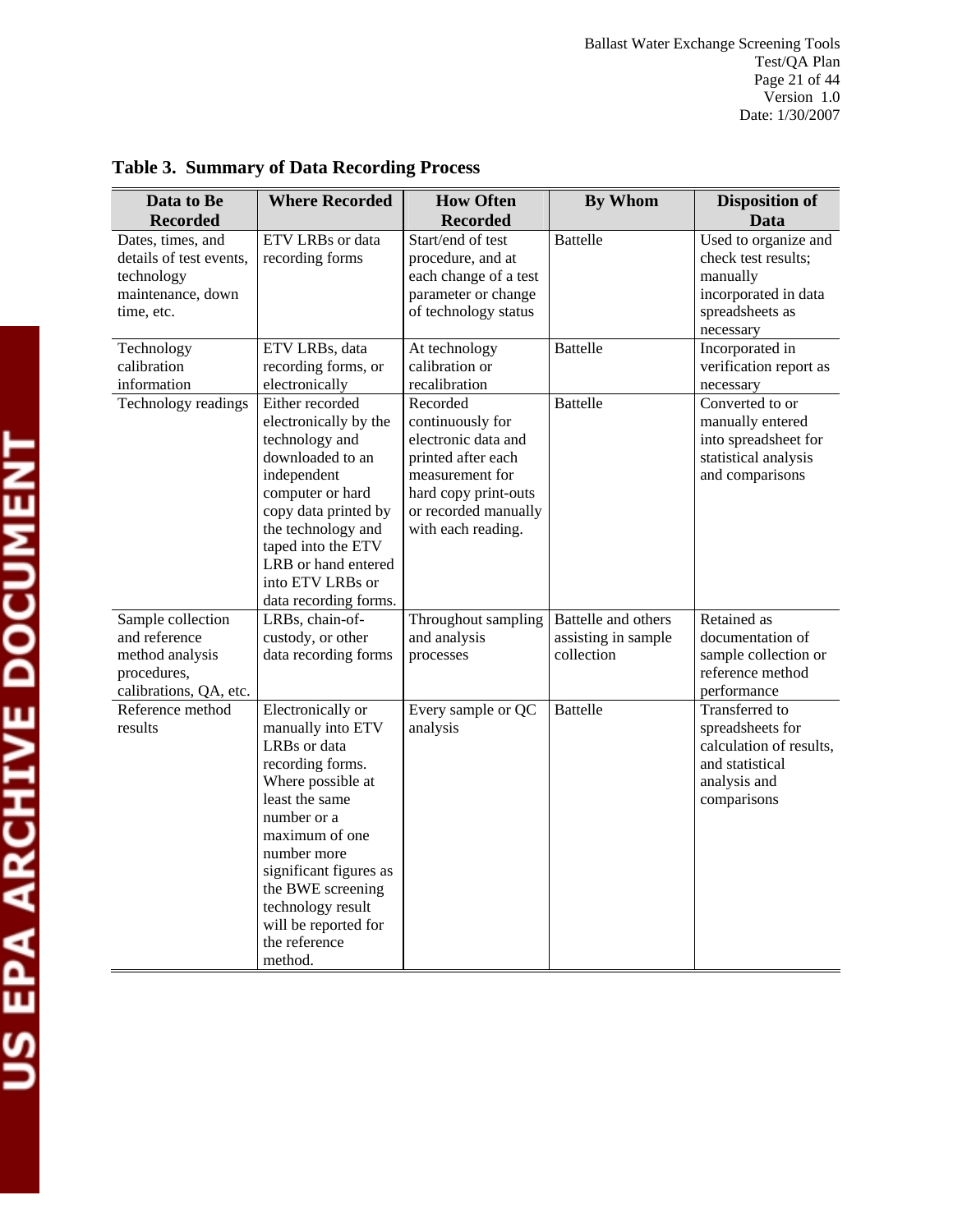Ballast Water Exchange Screening Tools Test/QA Plan Page 21 of 44 Version 1.0 Date: 1/30/2007

| Data to Be                                                                                     | <b>Where Recorded</b>                                                                                                                                                                                                                                                                     | <b>How Often</b>                                                                                                                                                   | <b>By Whom</b>                                           | <b>Disposition of</b>                                                                                                  |
|------------------------------------------------------------------------------------------------|-------------------------------------------------------------------------------------------------------------------------------------------------------------------------------------------------------------------------------------------------------------------------------------------|--------------------------------------------------------------------------------------------------------------------------------------------------------------------|----------------------------------------------------------|------------------------------------------------------------------------------------------------------------------------|
| <b>Recorded</b>                                                                                |                                                                                                                                                                                                                                                                                           | <b>Recorded</b>                                                                                                                                                    |                                                          | Data                                                                                                                   |
| Dates, times, and<br>details of test events,<br>technology<br>maintenance, down<br>time, etc.  | ETV LRBs or data<br>recording forms                                                                                                                                                                                                                                                       | Start/end of test<br>procedure, and at<br>each change of a test<br>parameter or change<br>of technology status                                                     | <b>Battelle</b>                                          | Used to organize and<br>check test results;<br>manually<br>incorporated in data<br>spreadsheets as<br>necessary        |
| Technology<br>calibration<br>information                                                       | ETV LRBs, data<br>recording forms, or<br>electronically                                                                                                                                                                                                                                   | At technology<br>calibration or<br>recalibration                                                                                                                   | <b>Battelle</b>                                          | Incorporated in<br>verification report as<br>necessary                                                                 |
| Technology readings                                                                            | Either recorded<br>electronically by the<br>technology and<br>downloaded to an<br>independent<br>computer or hard<br>copy data printed by<br>the technology and<br>taped into the ETV<br>LRB or hand entered<br>into ETV LRBs or<br>data recording forms.                                 | Recorded<br>continuously for<br>electronic data and<br>printed after each<br>measurement for<br>hard copy print-outs<br>or recorded manually<br>with each reading. | <b>Battelle</b>                                          | Converted to or<br>manually entered<br>into spreadsheet for<br>statistical analysis<br>and comparisons                 |
| Sample collection<br>and reference<br>method analysis<br>procedures,<br>calibrations, QA, etc. | LRBs, chain-of-<br>custody, or other<br>data recording forms                                                                                                                                                                                                                              | Throughout sampling<br>and analysis<br>processes                                                                                                                   | Battelle and others<br>assisting in sample<br>collection | Retained as<br>documentation of<br>sample collection or<br>reference method<br>performance                             |
| Reference method<br>results                                                                    | Electronically or<br>manually into ETV<br>LRBs or data<br>recording forms.<br>Where possible at<br>least the same<br>number or a<br>maximum of one<br>number more<br>significant figures as<br>the BWE screening<br>technology result<br>will be reported for<br>the reference<br>method. | Every sample or QC<br>analysis                                                                                                                                     | <b>Battelle</b>                                          | <b>Transferred</b> to<br>spreadsheets for<br>calculation of results,<br>and statistical<br>analysis and<br>comparisons |

# **Table 3. Summary of Data Recording Process**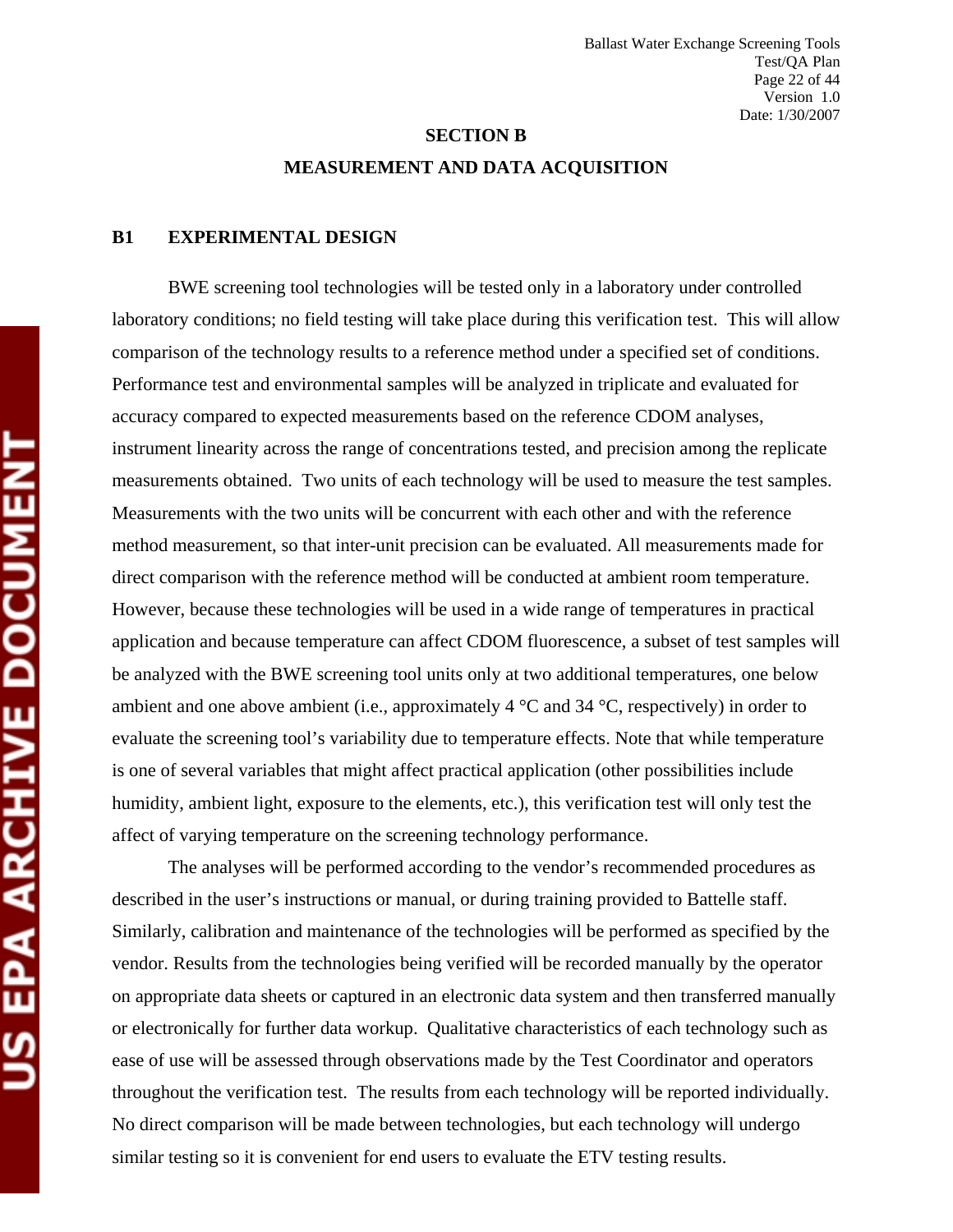# **SECTION B MEASUREMENT AND DATA ACQUISITION**

#### **B1 EXPERIMENTAL DESIGN**

BWE screening tool technologies will be tested only in a laboratory under controlled laboratory conditions; no field testing will take place during this verification test. This will allow comparison of the technology results to a reference method under a specified set of conditions. Performance test and environmental samples will be analyzed in triplicate and evaluated for accuracy compared to expected measurements based on the reference CDOM analyses, instrument linearity across the range of concentrations tested, and precision among the replicate measurements obtained. Two units of each technology will be used to measure the test samples. Measurements with the two units will be concurrent with each other and with the reference method measurement, so that inter-unit precision can be evaluated. All measurements made for direct comparison with the reference method will be conducted at ambient room temperature. However, because these technologies will be used in a wide range of temperatures in practical application and because temperature can affect CDOM fluorescence, a subset of test samples will be analyzed with the BWE screening tool units only at two additional temperatures, one below ambient and one above ambient (i.e., approximately  $4^{\circ}$ C and  $34^{\circ}$ C, respectively) in order to evaluate the screening tool's variability due to temperature effects. Note that while temperature is one of several variables that might affect practical application (other possibilities include humidity, ambient light, exposure to the elements, etc.), this verification test will only test the affect of varying temperature on the screening technology performance.

The analyses will be performed according to the vendor's recommended procedures as described in the user's instructions or manual, or during training provided to Battelle staff. Similarly, calibration and maintenance of the technologies will be performed as specified by the vendor. Results from the technologies being verified will be recorded manually by the operator on appropriate data sheets or captured in an electronic data system and then transferred manually or electronically for further data workup. Qualitative characteristics of each technology such as ease of use will be assessed through observations made by the Test Coordinator and operators throughout the verification test. The results from each technology will be reported individually. No direct comparison will be made between technologies, but each technology will undergo similar testing so it is convenient for end users to evaluate the ETV testing results.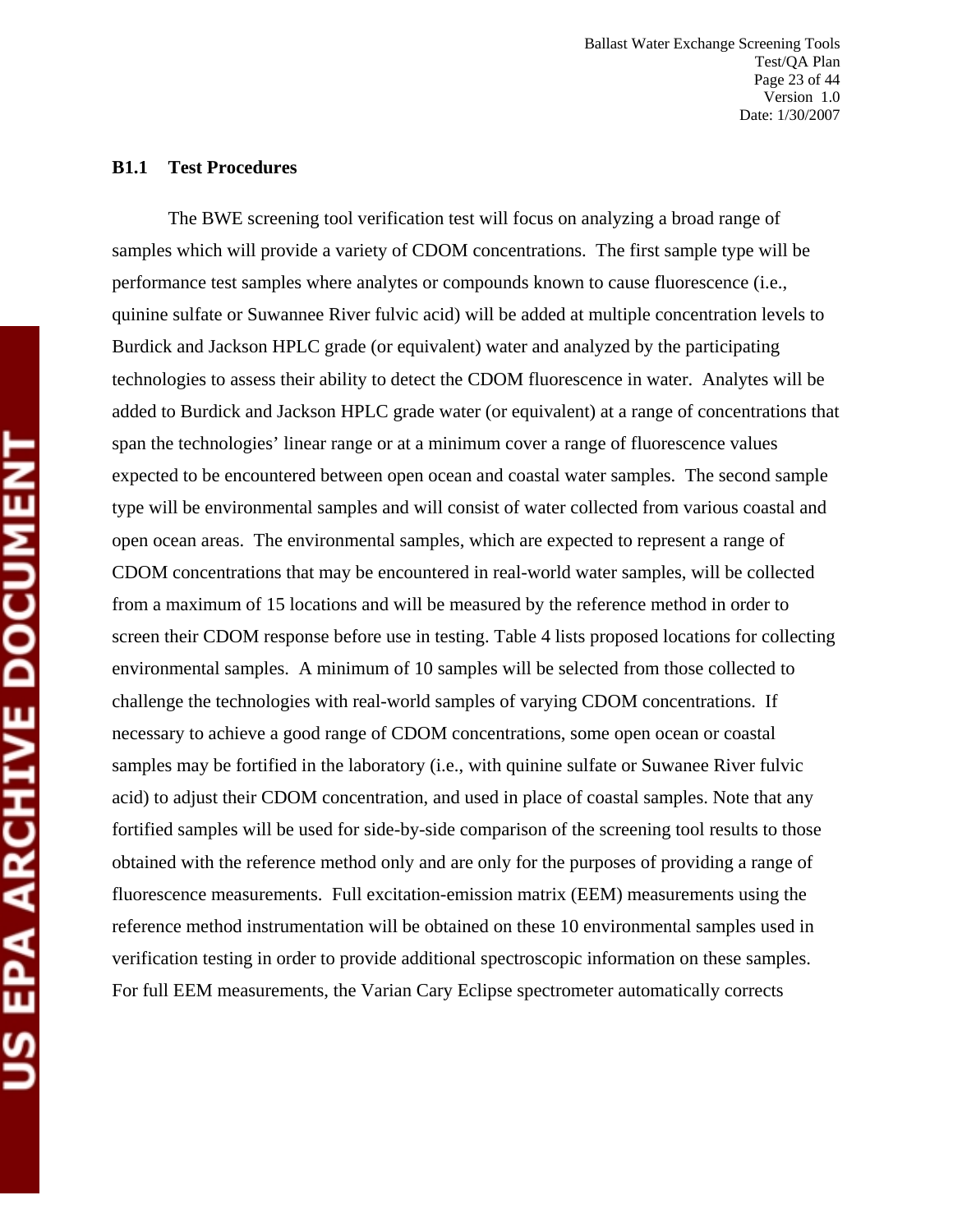#### **B1.1 Test Procedures**

The BWE screening tool verification test will focus on analyzing a broad range of samples which will provide a variety of CDOM concentrations. The first sample type will be performance test samples where analytes or compounds known to cause fluorescence (i.e., quinine sulfate or Suwannee River fulvic acid) will be added at multiple concentration levels to Burdick and Jackson HPLC grade (or equivalent) water and analyzed by the participating technologies to assess their ability to detect the CDOM fluorescence in water. Analytes will be added to Burdick and Jackson HPLC grade water (or equivalent) at a range of concentrations that span the technologies' linear range or at a minimum cover a range of fluorescence values expected to be encountered between open ocean and coastal water samples. The second sample type will be environmental samples and will consist of water collected from various coastal and open ocean areas. The environmental samples, which are expected to represent a range of CDOM concentrations that may be encountered in real-world water samples, will be collected from a maximum of 15 locations and will be measured by the reference method in order to screen their CDOM response before use in testing. Table 4 lists proposed locations for collecting environmental samples. A minimum of 10 samples will be selected from those collected to challenge the technologies with real-world samples of varying CDOM concentrations. If necessary to achieve a good range of CDOM concentrations, some open ocean or coastal samples may be fortified in the laboratory (i.e., with quinine sulfate or Suwanee River fulvic acid) to adjust their CDOM concentration, and used in place of coastal samples. Note that any fortified samples will be used for side-by-side comparison of the screening tool results to those obtained with the reference method only and are only for the purposes of providing a range of fluorescence measurements. Full excitation-emission matrix (EEM) measurements using the reference method instrumentation will be obtained on these 10 environmental samples used in verification testing in order to provide additional spectroscopic information on these samples. For full EEM measurements, the Varian Cary Eclipse spectrometer automatically corrects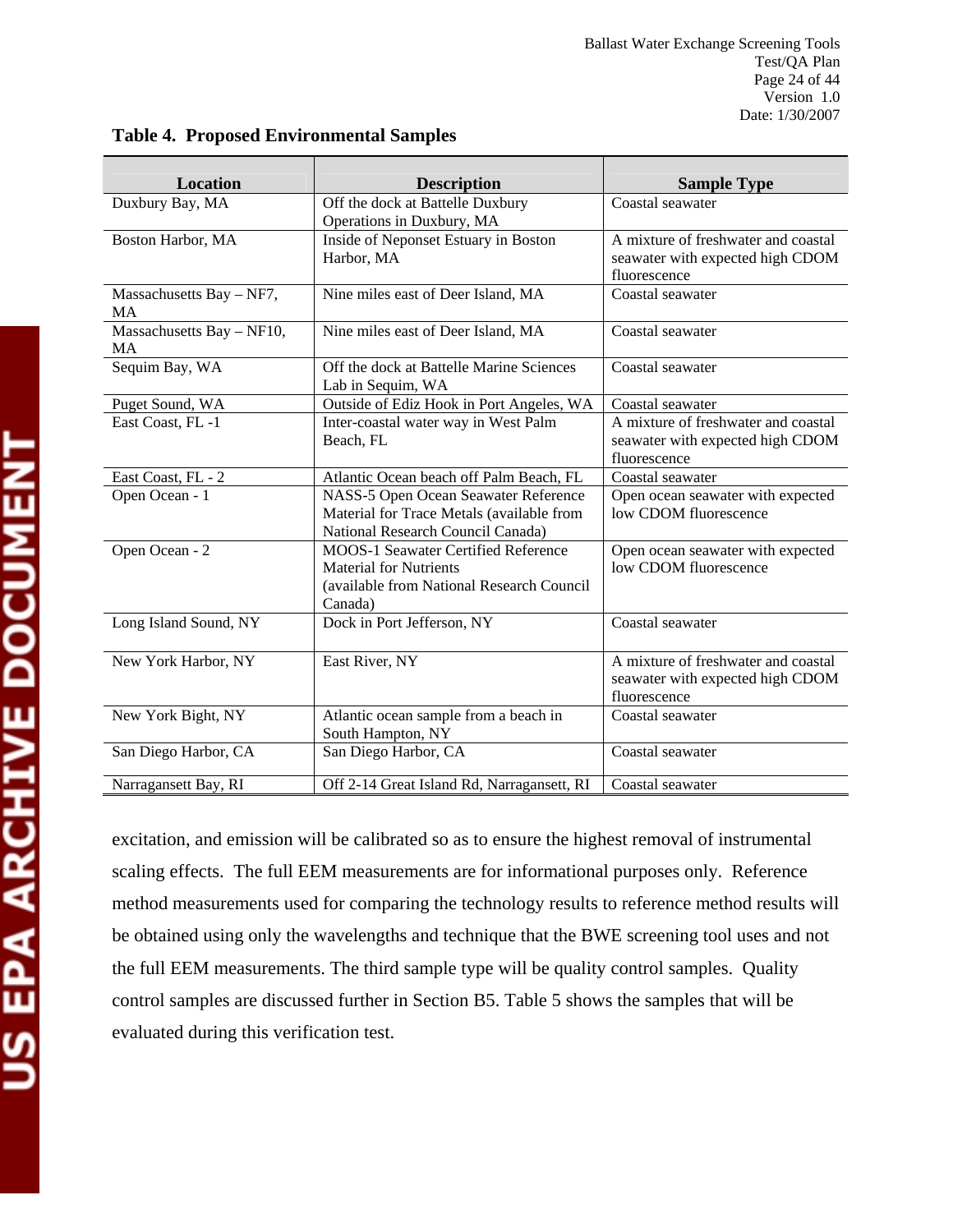| <b>Location</b>                       | <b>Description</b>                                                                                                                  | <b>Sample Type</b>                                                                      |  |
|---------------------------------------|-------------------------------------------------------------------------------------------------------------------------------------|-----------------------------------------------------------------------------------------|--|
| Duxbury Bay, MA                       | Off the dock at Battelle Duxbury                                                                                                    | Coastal seawater                                                                        |  |
|                                       | Operations in Duxbury, MA                                                                                                           |                                                                                         |  |
| Boston Harbor, MA                     | Inside of Neponset Estuary in Boston<br>Harbor, MA                                                                                  | A mixture of freshwater and coastal<br>seawater with expected high CDOM<br>fluorescence |  |
| Massachusetts Bay - NF7,<br><b>MA</b> | Nine miles east of Deer Island, MA                                                                                                  | Coastal seawater                                                                        |  |
| Massachusetts Bay - NF10,<br>MA       | Nine miles east of Deer Island, MA                                                                                                  | Coastal seawater                                                                        |  |
| Sequim Bay, WA                        | Off the dock at Battelle Marine Sciences<br>Lab in Sequim, WA                                                                       | Coastal seawater                                                                        |  |
| Puget Sound, WA                       | Outside of Ediz Hook in Port Angeles, WA                                                                                            | Coastal seawater                                                                        |  |
| East Coast, FL-1                      | Inter-coastal water way in West Palm<br>Beach, FL                                                                                   | A mixture of freshwater and coastal<br>seawater with expected high CDOM<br>fluorescence |  |
| East Coast, FL - 2                    | Atlantic Ocean beach off Palm Beach, FL                                                                                             | Coastal seawater                                                                        |  |
| Open Ocean - 1                        | NASS-5 Open Ocean Seawater Reference<br>Material for Trace Metals (available from<br>National Research Council Canada)              | Open ocean seawater with expected<br>low CDOM fluorescence                              |  |
| Open Ocean - 2                        | <b>MOOS-1 Seawater Certified Reference</b><br><b>Material for Nutrients</b><br>(available from National Research Council<br>Canada) | Open ocean seawater with expected<br>low CDOM fluorescence                              |  |
| Long Island Sound, NY                 | Dock in Port Jefferson, NY                                                                                                          | Coastal seawater                                                                        |  |
| New York Harbor, NY                   | East River, NY                                                                                                                      | A mixture of freshwater and coastal<br>seawater with expected high CDOM<br>fluorescence |  |
| New York Bight, NY                    | Atlantic ocean sample from a beach in<br>South Hampton, NY                                                                          | Coastal seawater                                                                        |  |
| San Diego Harbor, CA                  | San Diego Harbor, CA                                                                                                                | Coastal seawater                                                                        |  |
| Narragansett Bay, RI                  | Off 2-14 Great Island Rd, Narragansett, RI                                                                                          | Coastal seawater                                                                        |  |

# **Table 4. Proposed Environmental Samples**

excitation, and emission will be calibrated so as to ensure the highest removal of instrumental scaling effects. The full EEM measurements are for informational purposes only. Reference method measurements used for comparing the technology results to reference method results will be obtained using only the wavelengths and technique that the BWE screening tool uses and not the full EEM measurements. The third sample type will be quality control samples. Quality control samples are discussed further in Section B5. Table 5 shows the samples that will be evaluated during this verification test.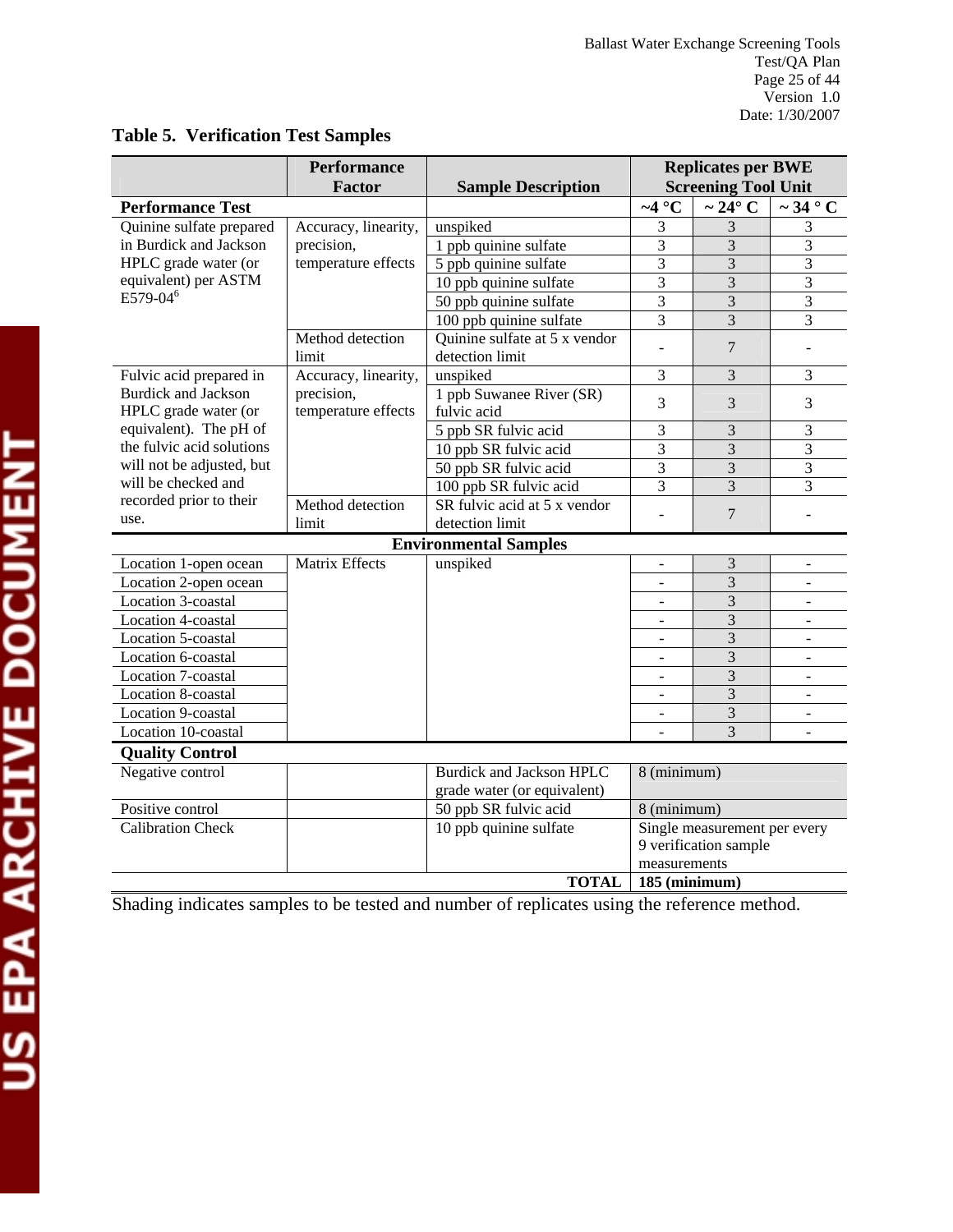|                                                                    | <b>Performance</b><br><b>Factor</b> | <b>Sample Description</b>     | <b>Replicates per BWE</b><br><b>Screening Tool Unit</b> |                              |                                |  |
|--------------------------------------------------------------------|-------------------------------------|-------------------------------|---------------------------------------------------------|------------------------------|--------------------------------|--|
| <b>Performance Test</b>                                            |                                     |                               | $\sim4$ °C                                              | $\sim$ 24 $\degree$ C        | $\overline{\sim 34^{\circ}}$ C |  |
| Quinine sulfate prepared                                           | Accuracy, linearity,                | unspiked                      | 3                                                       | 3                            | 3                              |  |
| in Burdick and Jackson                                             | precision,                          | 1 ppb quinine sulfate         | 3                                                       | 3                            | $\overline{3}$                 |  |
| HPLC grade water (or                                               | temperature effects                 | 5 ppb quinine sulfate         | 3                                                       | 3                            | 3                              |  |
| equivalent) per ASTM                                               |                                     | 10 ppb quinine sulfate        | 3                                                       | 3                            | 3                              |  |
| $E\bar{5}79-04^6$                                                  |                                     | 50 ppb quinine sulfate        | 3                                                       | $\overline{3}$               | 3                              |  |
|                                                                    |                                     | 100 ppb quinine sulfate       | 3                                                       | $\overline{3}$               | 3                              |  |
|                                                                    | Method detection                    | Quinine sulfate at 5 x vendor | L.                                                      | $\overline{7}$               |                                |  |
|                                                                    | limit                               | detection limit               |                                                         |                              | $\blacksquare$                 |  |
| Fulvic acid prepared in                                            | Accuracy, linearity,                | unspiked                      | 3                                                       | 3                            | $\overline{3}$                 |  |
| <b>Burdick and Jackson</b>                                         | precision,                          | 1 ppb Suwanee River (SR)      | 3                                                       | 3                            | 3                              |  |
| HPLC grade water (or                                               | temperature effects                 | fulvic acid                   |                                                         |                              |                                |  |
| equivalent). The pH of                                             |                                     | 5 ppb SR fulvic acid          | 3                                                       | 3                            | 3                              |  |
| the fulvic acid solutions                                          |                                     | 10 ppb SR fulvic acid         | 3                                                       | 3                            | $\mathfrak{Z}$                 |  |
| will not be adjusted, but                                          |                                     | 50 ppb SR fulvic acid         | 3                                                       | 3                            | $\overline{3}$                 |  |
| will be checked and                                                |                                     | 100 ppb SR fulvic acid        | $\overline{3}$                                          | $\overline{3}$               | $\overline{3}$                 |  |
| recorded prior to their                                            | Method detection                    | SR fulvic acid at 5 x vendor  |                                                         | $\overline{7}$               |                                |  |
| use.                                                               | limit                               | detection limit               |                                                         |                              |                                |  |
|                                                                    |                                     | <b>Environmental Samples</b>  |                                                         |                              |                                |  |
| Location 1-open ocean                                              | <b>Matrix Effects</b>               | unspiked                      |                                                         | 3                            |                                |  |
| Location 2-open ocean                                              |                                     |                               |                                                         | $\overline{3}$               |                                |  |
| Location 3-coastal                                                 |                                     |                               |                                                         | 3                            |                                |  |
| Location 4-coastal                                                 |                                     |                               |                                                         | 3                            |                                |  |
| Location 5-coastal                                                 |                                     |                               | ÷.                                                      | 3                            | $\blacksquare$                 |  |
| Location 6-coastal                                                 |                                     |                               | $\overline{\phantom{a}}$                                | 3                            | $\overline{\phantom{a}}$       |  |
| Location 7-coastal                                                 |                                     |                               |                                                         | 3                            |                                |  |
| Location 8-coastal                                                 |                                     |                               |                                                         | 3                            | $\overline{\phantom{a}}$       |  |
| Location 9-coastal                                                 |                                     |                               |                                                         | 3                            | $\overline{a}$                 |  |
| Location 10-coastal                                                |                                     |                               |                                                         | $\overline{3}$               |                                |  |
| <b>Quality Control</b>                                             |                                     |                               |                                                         |                              |                                |  |
| <b>Burdick and Jackson HPLC</b><br>Negative control<br>8 (minimum) |                                     |                               |                                                         |                              |                                |  |
|                                                                    |                                     | grade water (or equivalent)   |                                                         |                              |                                |  |
| Positive control                                                   |                                     | 50 ppb SR fulvic acid         | 8 (minimum)                                             |                              |                                |  |
| <b>Calibration Check</b>                                           |                                     | 10 ppb quinine sulfate        |                                                         | Single measurement per every |                                |  |
|                                                                    |                                     |                               |                                                         | 9 verification sample        |                                |  |
|                                                                    |                                     |                               | measurements                                            |                              |                                |  |
|                                                                    |                                     | <b>TOTAL</b>                  | $185$ (minimum)                                         |                              |                                |  |

# **Table 5. Verification Test Samples**

Shading indicates samples to be tested and number of replicates using the reference method.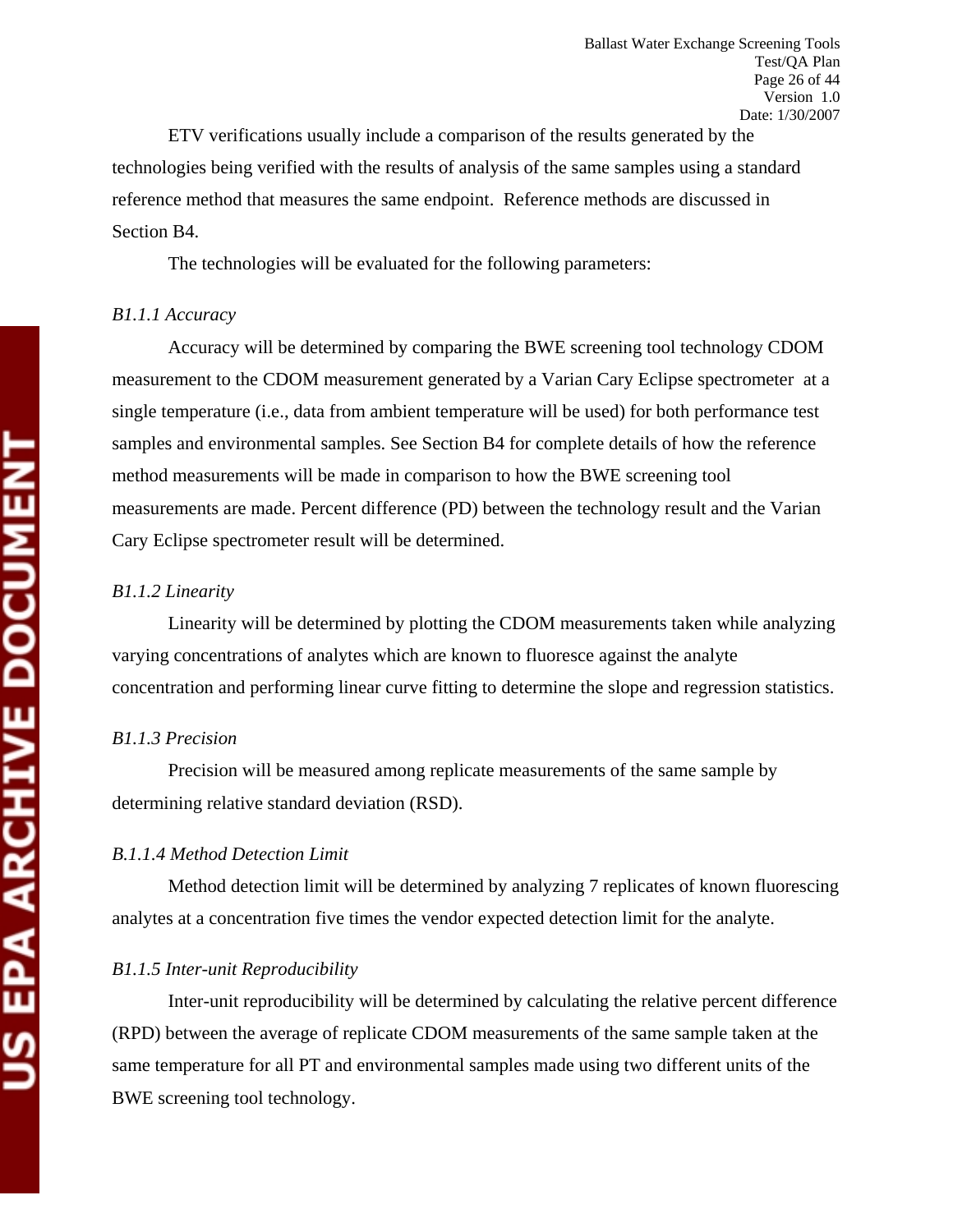ETV verifications usually include a comparison of the results generated by the technologies being verified with the results of analysis of the same samples using a standard reference method that measures the same endpoint. Reference methods are discussed in Section B4.

The technologies will be evaluated for the following parameters:

## *B1.1.1 Accuracy*

Accuracy will be determined by comparing the BWE screening tool technology CDOM measurement to the CDOM measurement generated by a Varian Cary Eclipse spectrometer at a single temperature (i.e., data from ambient temperature will be used) for both performance test samples and environmental samples. See Section B4 for complete details of how the reference method measurements will be made in comparison to how the BWE screening tool measurements are made. Percent difference (PD) between the technology result and the Varian Cary Eclipse spectrometer result will be determined.

# *B1.1.2 Linearity*

Linearity will be determined by plotting the CDOM measurements taken while analyzing varying concentrations of analytes which are known to fluoresce against the analyte concentration and performing linear curve fitting to determine the slope and regression statistics.

# *B1.1.3 Precision*

Precision will be measured among replicate measurements of the same sample by determining relative standard deviation (RSD).

# *B.1.1.4 Method Detection Limit*

Method detection limit will be determined by analyzing 7 replicates of known fluorescing analytes at a concentration five times the vendor expected detection limit for the analyte.

# *B1.1.5 Inter-unit Reproducibility*

Inter-unit reproducibility will be determined by calculating the relative percent difference (RPD) between the average of replicate CDOM measurements of the same sample taken at the same temperature for all PT and environmental samples made using two different units of the BWE screening tool technology.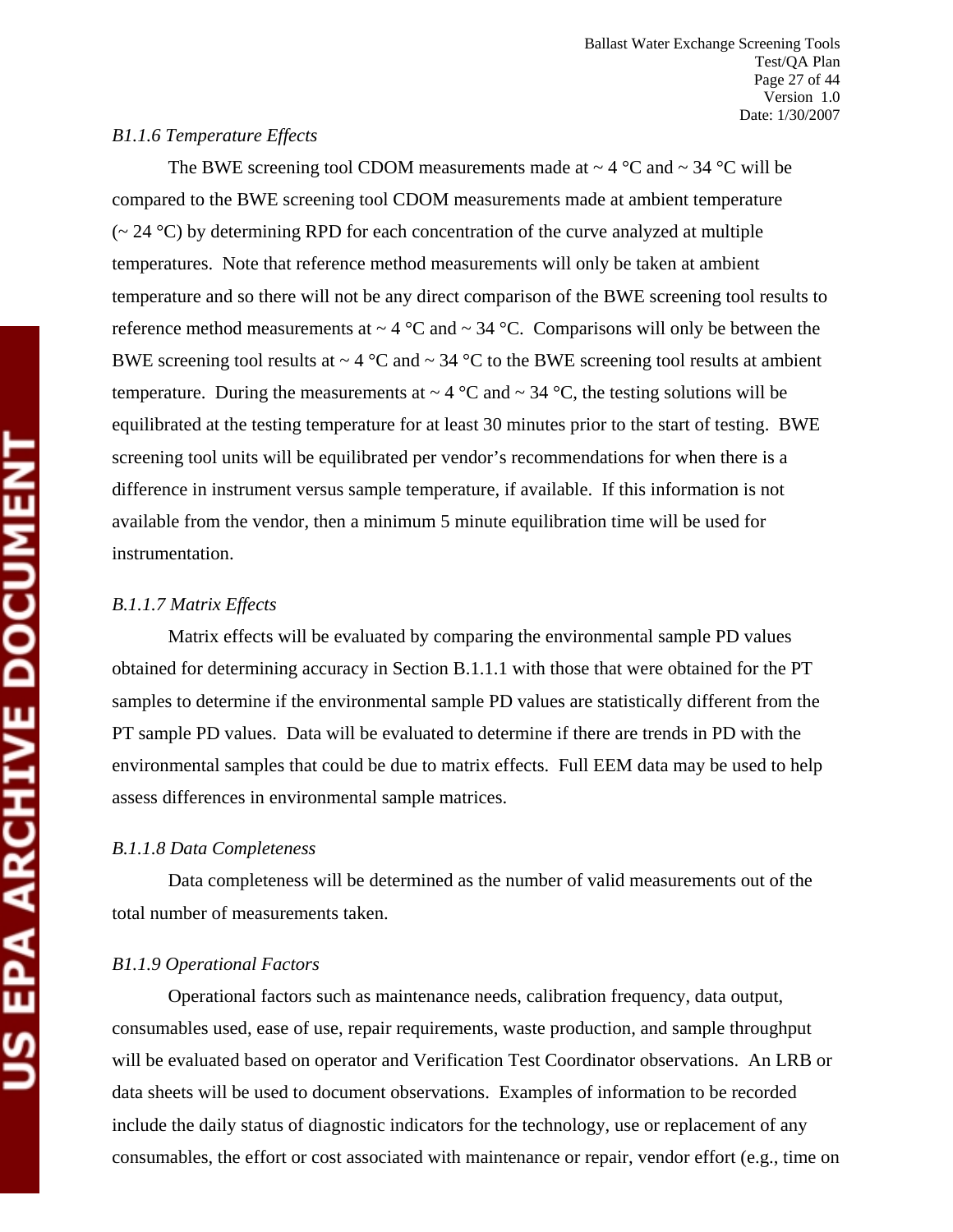#### *B1.1.6 Temperature Effects*

The BWE screening tool CDOM measurements made at  $\sim$  4 °C and  $\sim$  34 °C will be compared to the BWE screening tool CDOM measurements made at ambient temperature  $\sim$  24 °C) by determining RPD for each concentration of the curve analyzed at multiple temperatures. Note that reference method measurements will only be taken at ambient temperature and so there will not be any direct comparison of the BWE screening tool results to reference method measurements at  $\sim 4$  °C and  $\sim 34$  °C. Comparisons will only be between the BWE screening tool results at  $\sim 4$  °C and  $\sim 34$  °C to the BWE screening tool results at ambient temperature. During the measurements at  $\sim 4$  °C and  $\sim 34$  °C, the testing solutions will be equilibrated at the testing temperature for at least 30 minutes prior to the start of testing. BWE screening tool units will be equilibrated per vendor's recommendations for when there is a difference in instrument versus sample temperature, if available. If this information is not available from the vendor, then a minimum 5 minute equilibration time will be used for instrumentation.

#### *B.1.1.7 Matrix Effects*

Matrix effects will be evaluated by comparing the environmental sample PD values obtained for determining accuracy in Section B.1.1.1 with those that were obtained for the PT samples to determine if the environmental sample PD values are statistically different from the PT sample PD values. Data will be evaluated to determine if there are trends in PD with the environmental samples that could be due to matrix effects. Full EEM data may be used to help assess differences in environmental sample matrices.

# *B.1.1.8 Data Completeness*

Data completeness will be determined as the number of valid measurements out of the total number of measurements taken.

# *B1.1.9 Operational Factors*

Operational factors such as maintenance needs, calibration frequency, data output, consumables used, ease of use, repair requirements, waste production, and sample throughput will be evaluated based on operator and Verification Test Coordinator observations. An LRB or data sheets will be used to document observations. Examples of information to be recorded include the daily status of diagnostic indicators for the technology, use or replacement of any consumables, the effort or cost associated with maintenance or repair, vendor effort (e.g., time on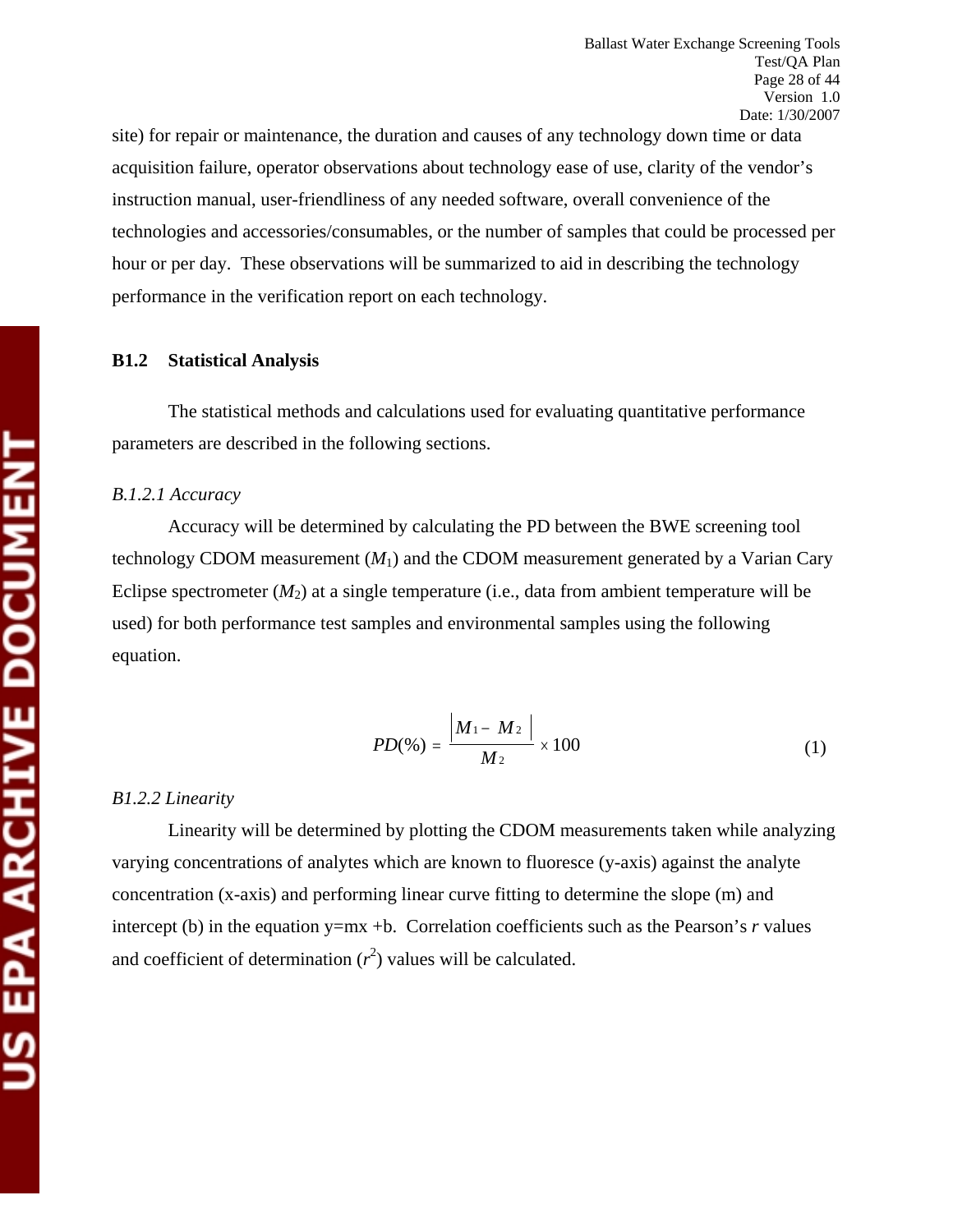site) for repair or maintenance, the duration and causes of any technology down time or data acquisition failure, operator observations about technology ease of use, clarity of the vendor's instruction manual, user-friendliness of any needed software, overall convenience of the technologies and accessories/consumables, or the number of samples that could be processed per hour or per day. These observations will be summarized to aid in describing the technology performance in the verification report on each technology.

#### **B1.2 Statistical Analysis**

The statistical methods and calculations used for evaluating quantitative performance parameters are described in the following sections.

#### *B.1.2.1 Accuracy*

Accuracy will be determined by calculating the PD between the BWE screening tool technology CDOM measurement  $(M_1)$  and the CDOM measurement generated by a Varian Cary Eclipse spectrometer  $(M_2)$  at a single temperature (i.e., data from ambient temperature will be used) for both performance test samples and environmental samples using the following equation.

$$
PD(\%)=\frac{|M_1-M_2|}{M_2}\times 100\tag{1}
$$

#### *B1.2.2 Linearity*

Linearity will be determined by plotting the CDOM measurements taken while analyzing varying concentrations of analytes which are known to fluoresce (y-axis) against the analyte concentration (x-axis) and performing linear curve fitting to determine the slope (m) and intercept (b) in the equation  $y=mx +b$ . Correlation coefficients such as the Pearson's *r* values and coefficient of determination  $(r^2)$  values will be calculated.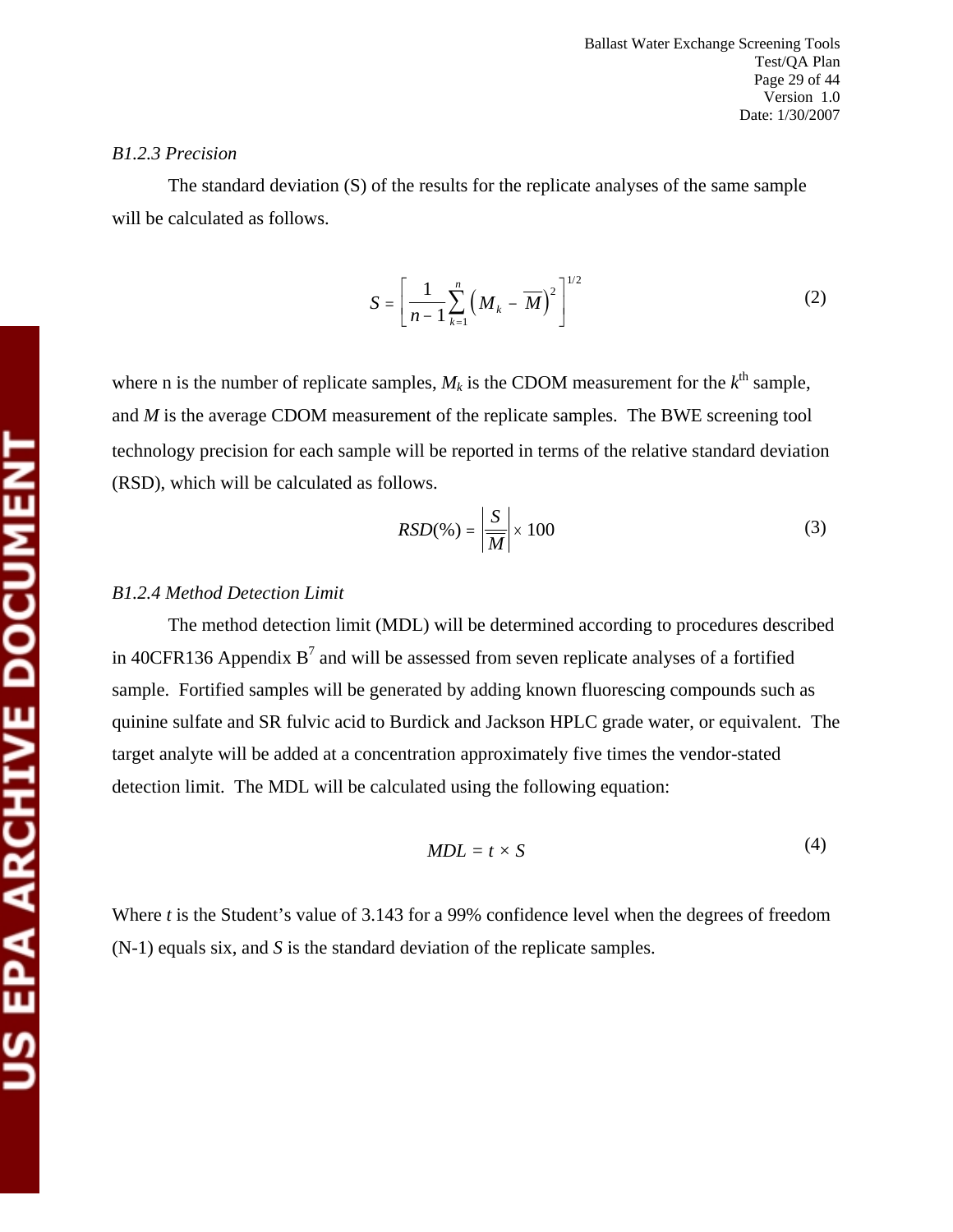#### *B1.2.3 Precision*

The standard deviation (S) of the results for the replicate analyses of the same sample will be calculated as follows.

$$
S = \left[\frac{1}{n-1} \sum_{k=1}^{n} \left(M_k - \overline{M}\right)^2\right]^{1/2}
$$
 (2)

where n is the number of replicate samples,  $M_k$  is the CDOM measurement for the  $k^{\text{th}}$  sample, and *M* is the average CDOM measurement of the replicate samples. The BWE screening tool technology precision for each sample will be reported in terms of the relative standard deviation (RSD), which will be calculated as follows.

$$
RSD(\%) = \left| \frac{S}{M} \right| \times 100 \tag{3}
$$

#### *B1.2.4 Method Detection Limit*

The method detection limit (MDL) will be determined according to procedures described in 40CFR136 Appendix  $B^7$  and will be assessed from seven replicate analyses of a fortified sample. Fortified samples will be generated by adding known fluorescing compounds such as quinine sulfate and SR fulvic acid to Burdick and Jackson HPLC grade water, or equivalent. The target analyte will be added at a concentration approximately five times the vendor-stated detection limit. The MDL will be calculated using the following equation:

$$
MDL = t \times S \tag{4}
$$

Where *t* is the Student's value of 3.143 for a 99% confidence level when the degrees of freedom (N-1) equals six, and *S* is the standard deviation of the replicate samples.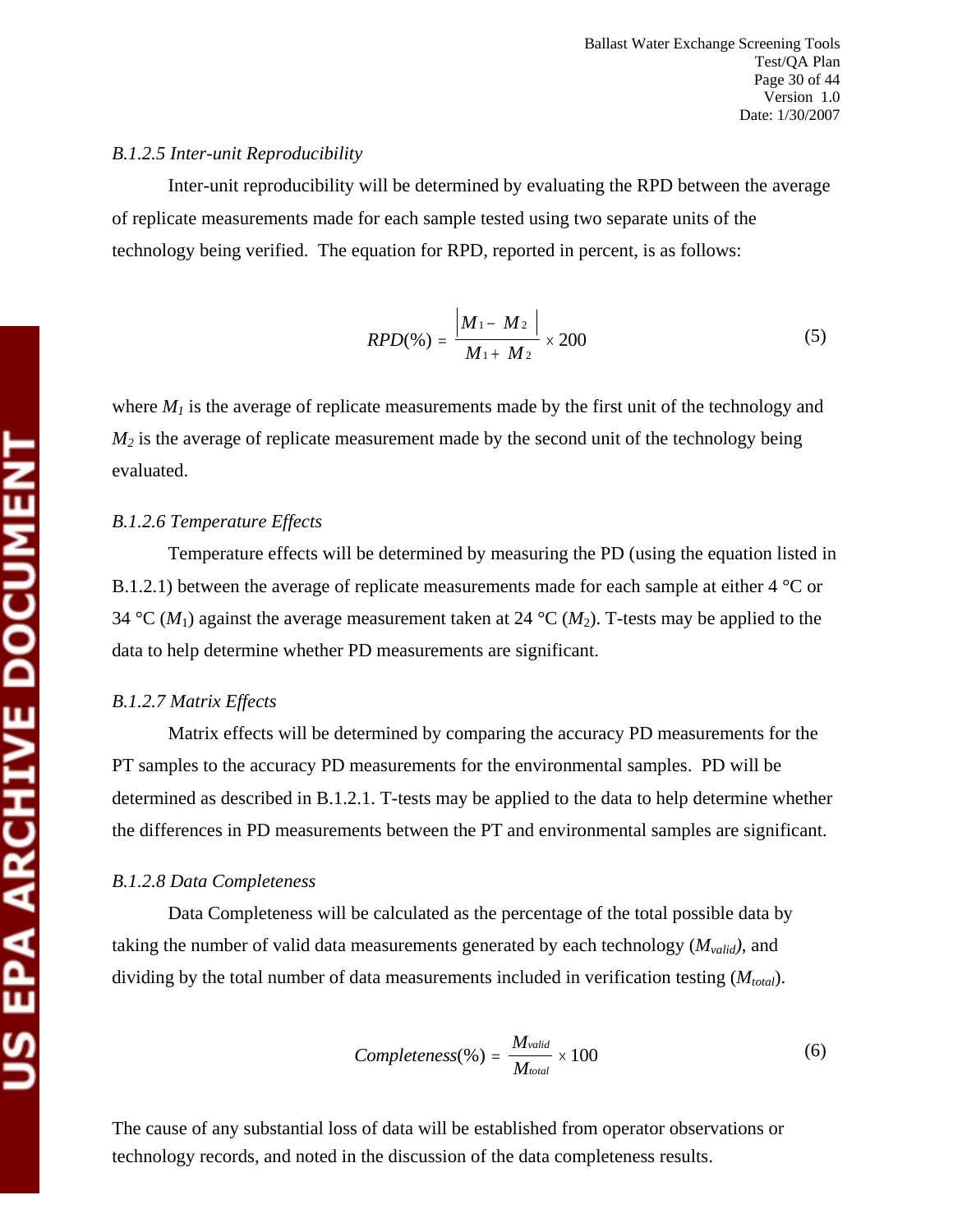#### *B.1.2.5 Inter-unit Reproducibility*

Inter-unit reproducibility will be determined by evaluating the RPD between the average of replicate measurements made for each sample tested using two separate units of the technology being verified. The equation for RPD, reported in percent, is as follows:

$$
RPD(\%)=\frac{|M_1-M_2|}{M_1+M_2}\times 200\tag{5}
$$

where  $M_l$  is the average of replicate measurements made by the first unit of the technology and  $M_2$  is the average of replicate measurement made by the second unit of the technology being evaluated.

#### *B.1.2.6 Temperature Effects*

Temperature effects will be determined by measuring the PD (using the equation listed in B.1.2.1) between the average of replicate measurements made for each sample at either 4 °C or 34 °C ( $M_1$ ) against the average measurement taken at 24 °C ( $M_2$ ). T-tests may be applied to the data to help determine whether PD measurements are significant.

#### *B.1.2.7 Matrix Effects*

Matrix effects will be determined by comparing the accuracy PD measurements for the PT samples to the accuracy PD measurements for the environmental samples. PD will be determined as described in B.1.2.1. T-tests may be applied to the data to help determine whether the differences in PD measurements between the PT and environmental samples are significant.

#### *B.1.2.8 Data Completeness*

Data Completeness will be calculated as the percentage of the total possible data by taking the number of valid data measurements generated by each technology (*Mvalid)*, and dividing by the total number of data measurements included in verification testing  $(M_{total})$ .

$$
Completeness(\%) = \frac{M_{valid}}{M_{total}} \times 100
$$
\n(6)

The cause of any substantial loss of data will be established from operator observations or technology records, and noted in the discussion of the data completeness results.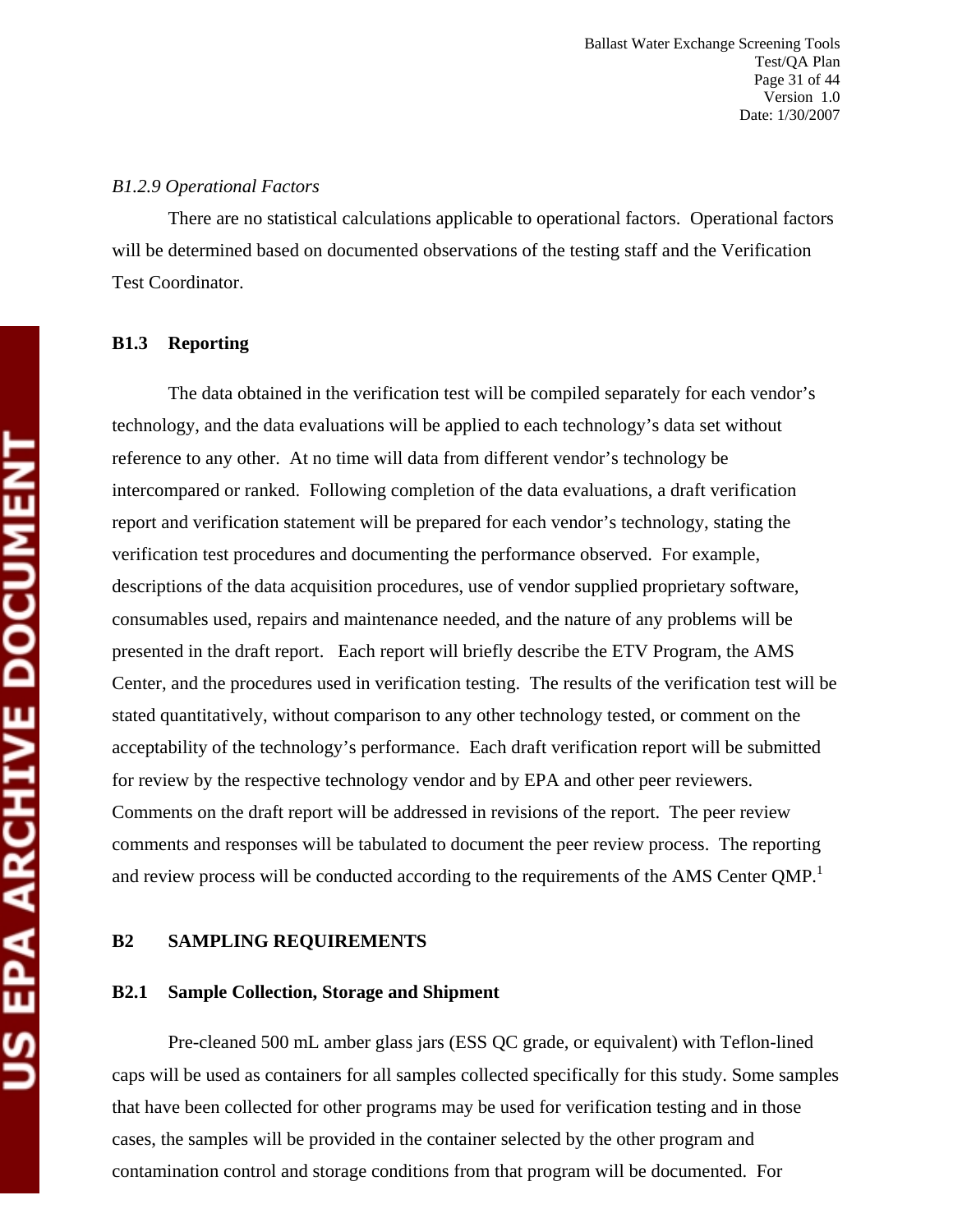#### *B1.2.9 Operational Factors*

There are no statistical calculations applicable to operational factors. Operational factors will be determined based on documented observations of the testing staff and the Verification Test Coordinator.

#### **B1.3 Reporting**

The data obtained in the verification test will be compiled separately for each vendor's technology, and the data evaluations will be applied to each technology's data set without reference to any other. At no time will data from different vendor's technology be intercompared or ranked. Following completion of the data evaluations, a draft verification report and verification statement will be prepared for each vendor's technology, stating the verification test procedures and documenting the performance observed. For example, descriptions of the data acquisition procedures, use of vendor supplied proprietary software, consumables used, repairs and maintenance needed, and the nature of any problems will be presented in the draft report. Each report will briefly describe the ETV Program, the AMS Center, and the procedures used in verification testing. The results of the verification test will be stated quantitatively, without comparison to any other technology tested, or comment on the acceptability of the technology's performance. Each draft verification report will be submitted for review by the respective technology vendor and by EPA and other peer reviewers. Comments on the draft report will be addressed in revisions of the report. The peer review comments and responses will be tabulated to document the peer review process. The reporting and review process will be conducted according to the requirements of the AMS Center QMP.<sup>1</sup>

#### **B2 SAMPLING REQUIREMENTS**

#### **B2.1 Sample Collection, Storage and Shipment**

Pre-cleaned 500 mL amber glass jars (ESS QC grade, or equivalent) with Teflon-lined caps will be used as containers for all samples collected specifically for this study. Some samples that have been collected for other programs may be used for verification testing and in those cases, the samples will be provided in the container selected by the other program and contamination control and storage conditions from that program will be documented. For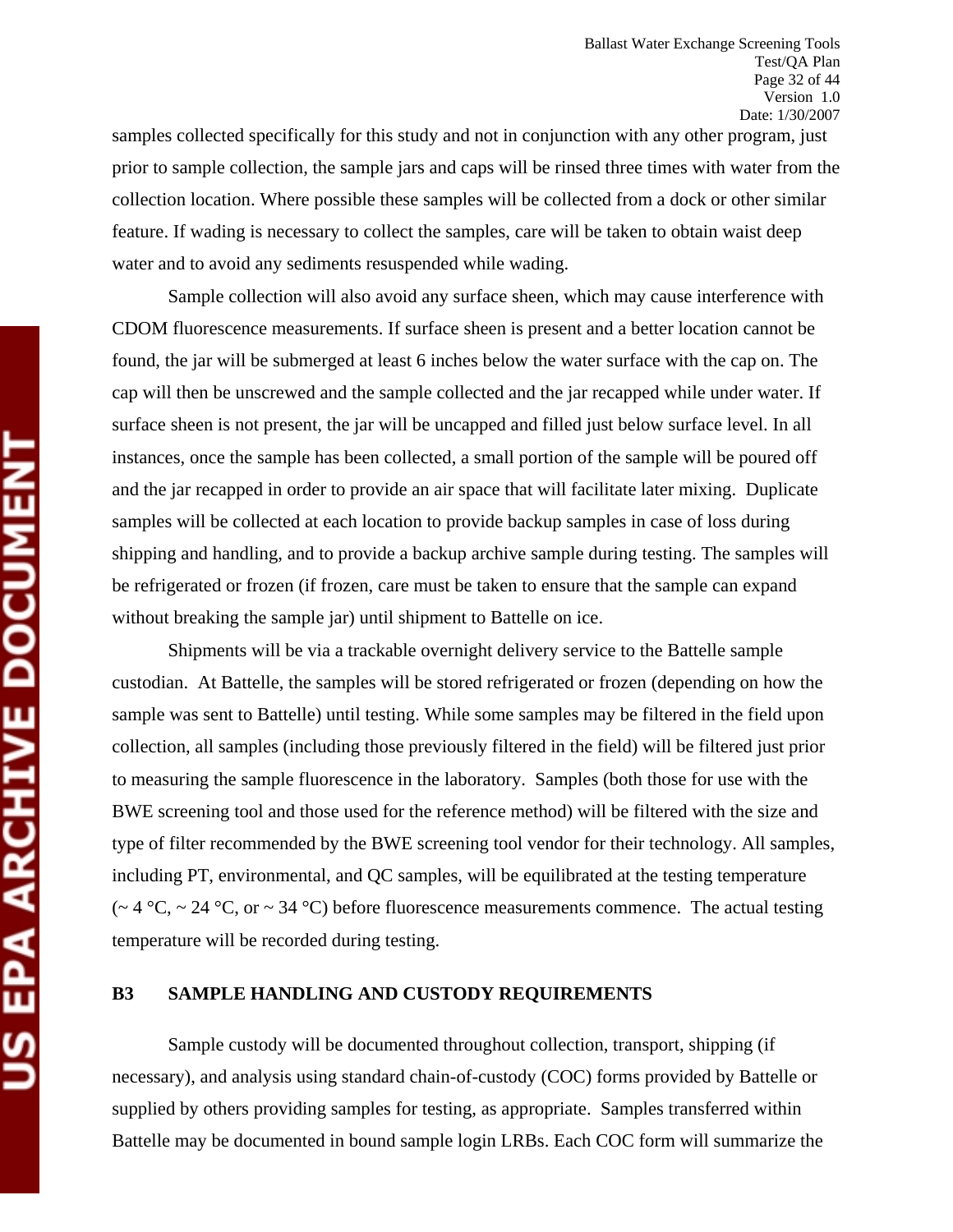samples collected specifically for this study and not in conjunction with any other program, just prior to sample collection, the sample jars and caps will be rinsed three times with water from the collection location. Where possible these samples will be collected from a dock or other similar feature. If wading is necessary to collect the samples, care will be taken to obtain waist deep water and to avoid any sediments resuspended while wading.

Sample collection will also avoid any surface sheen, which may cause interference with CDOM fluorescence measurements. If surface sheen is present and a better location cannot be found, the jar will be submerged at least 6 inches below the water surface with the cap on. The cap will then be unscrewed and the sample collected and the jar recapped while under water. If surface sheen is not present, the jar will be uncapped and filled just below surface level. In all instances, once the sample has been collected, a small portion of the sample will be poured off and the jar recapped in order to provide an air space that will facilitate later mixing. Duplicate samples will be collected at each location to provide backup samples in case of loss during shipping and handling, and to provide a backup archive sample during testing. The samples will be refrigerated or frozen (if frozen, care must be taken to ensure that the sample can expand without breaking the sample jar) until shipment to Battelle on ice.

Shipments will be via a trackable overnight delivery service to the Battelle sample custodian. At Battelle, the samples will be stored refrigerated or frozen (depending on how the sample was sent to Battelle) until testing. While some samples may be filtered in the field upon collection, all samples (including those previously filtered in the field) will be filtered just prior to measuring the sample fluorescence in the laboratory. Samples (both those for use with the BWE screening tool and those used for the reference method) will be filtered with the size and type of filter recommended by the BWE screening tool vendor for their technology. All samples, including PT, environmental, and QC samples, will be equilibrated at the testing temperature  $(-4 \degree C, -24 \degree C, \text{ or } -34 \degree C)$  before fluorescence measurements commence. The actual testing temperature will be recorded during testing.

#### **B3 SAMPLE HANDLING AND CUSTODY REQUIREMENTS**

Sample custody will be documented throughout collection, transport, shipping (if necessary), and analysis using standard chain-of-custody (COC) forms provided by Battelle or supplied by others providing samples for testing, as appropriate. Samples transferred within Battelle may be documented in bound sample login LRBs. Each COC form will summarize the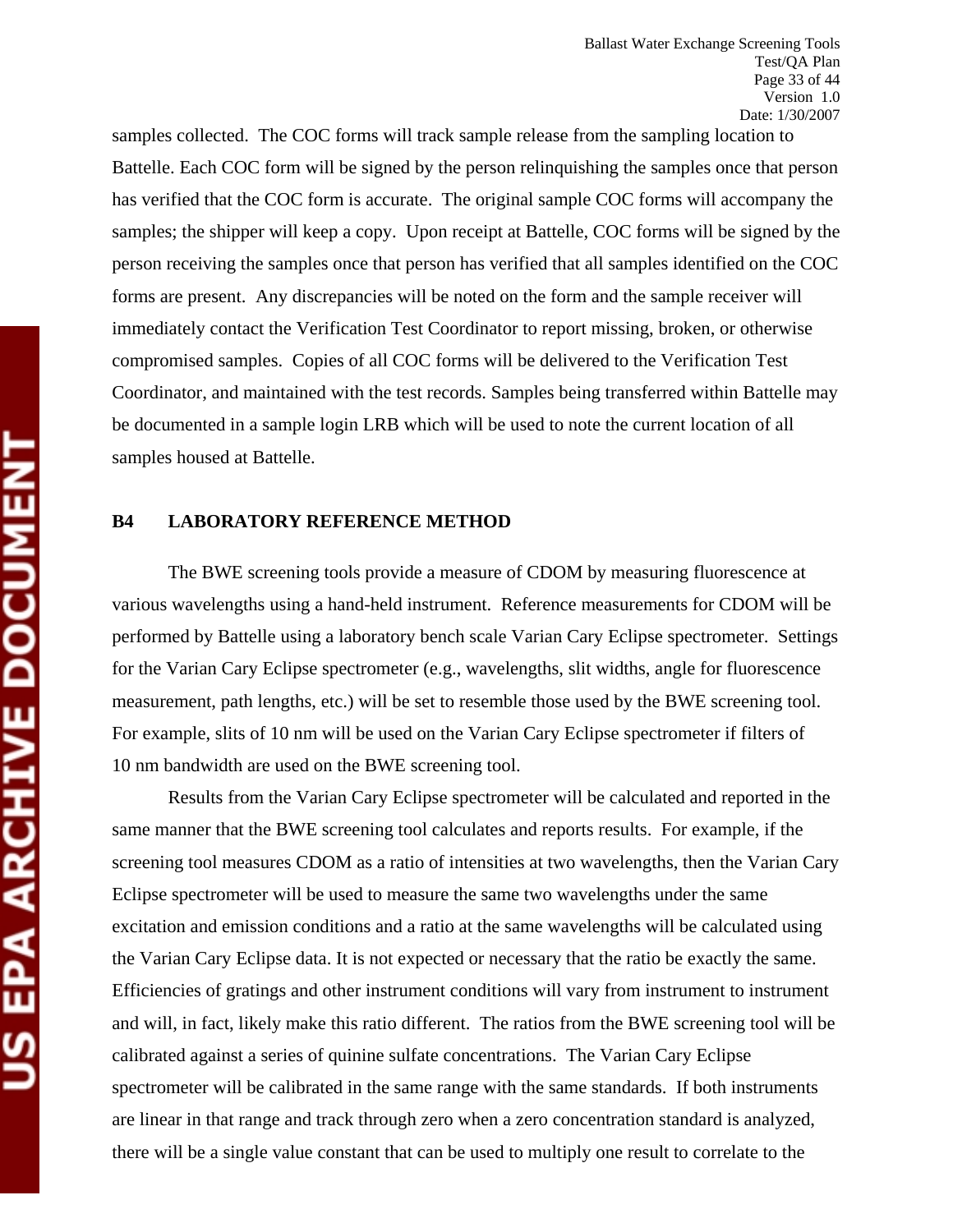samples collected. The COC forms will track sample release from the sampling location to Battelle. Each COC form will be signed by the person relinquishing the samples once that person has verified that the COC form is accurate. The original sample COC forms will accompany the samples; the shipper will keep a copy. Upon receipt at Battelle, COC forms will be signed by the person receiving the samples once that person has verified that all samples identified on the COC forms are present. Any discrepancies will be noted on the form and the sample receiver will immediately contact the Verification Test Coordinator to report missing, broken, or otherwise compromised samples. Copies of all COC forms will be delivered to the Verification Test Coordinator, and maintained with the test records. Samples being transferred within Battelle may be documented in a sample login LRB which will be used to note the current location of all samples housed at Battelle.

#### **B4 LABORATORY REFERENCE METHOD**

The BWE screening tools provide a measure of CDOM by measuring fluorescence at various wavelengths using a hand-held instrument. Reference measurements for CDOM will be performed by Battelle using a laboratory bench scale Varian Cary Eclipse spectrometer. Settings for the Varian Cary Eclipse spectrometer (e.g., wavelengths, slit widths, angle for fluorescence measurement, path lengths, etc.) will be set to resemble those used by the BWE screening tool. For example, slits of 10 nm will be used on the Varian Cary Eclipse spectrometer if filters of 10 nm bandwidth are used on the BWE screening tool.

Results from the Varian Cary Eclipse spectrometer will be calculated and reported in the same manner that the BWE screening tool calculates and reports results. For example, if the screening tool measures CDOM as a ratio of intensities at two wavelengths, then the Varian Cary Eclipse spectrometer will be used to measure the same two wavelengths under the same excitation and emission conditions and a ratio at the same wavelengths will be calculated using the Varian Cary Eclipse data. It is not expected or necessary that the ratio be exactly the same. Efficiencies of gratings and other instrument conditions will vary from instrument to instrument and will, in fact, likely make this ratio different. The ratios from the BWE screening tool will be calibrated against a series of quinine sulfate concentrations. The Varian Cary Eclipse spectrometer will be calibrated in the same range with the same standards. If both instruments are linear in that range and track through zero when a zero concentration standard is analyzed, there will be a single value constant that can be used to multiply one result to correlate to the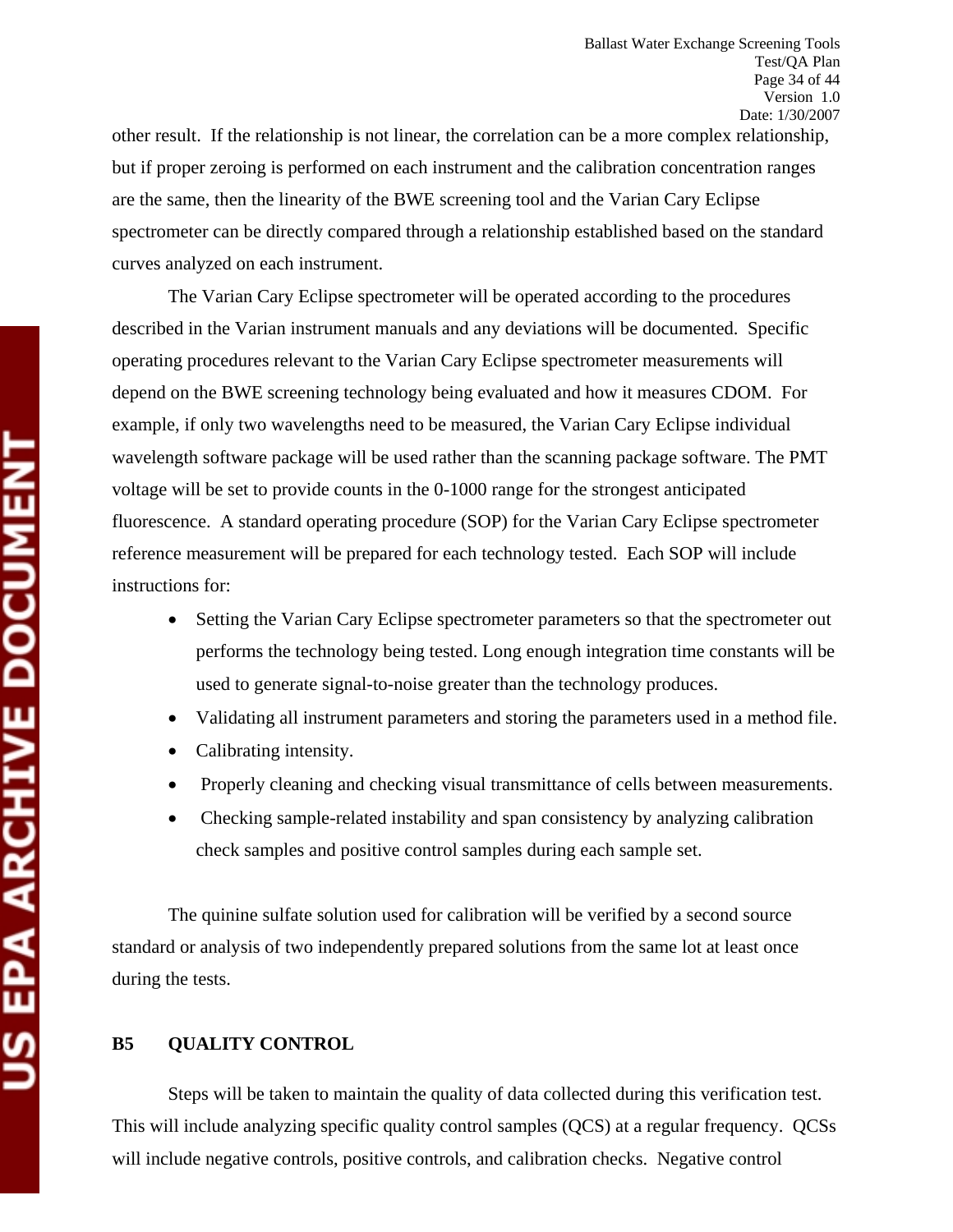other result. If the relationship is not linear, the correlation can be a more complex relationship, but if proper zeroing is performed on each instrument and the calibration concentration ranges are the same, then the linearity of the BWE screening tool and the Varian Cary Eclipse spectrometer can be directly compared through a relationship established based on the standard curves analyzed on each instrument.

The Varian Cary Eclipse spectrometer will be operated according to the procedures described in the Varian instrument manuals and any deviations will be documented. Specific operating procedures relevant to the Varian Cary Eclipse spectrometer measurements will depend on the BWE screening technology being evaluated and how it measures CDOM. For example, if only two wavelengths need to be measured, the Varian Cary Eclipse individual wavelength software package will be used rather than the scanning package software. The PMT voltage will be set to provide counts in the 0-1000 range for the strongest anticipated fluorescence. A standard operating procedure (SOP) for the Varian Cary Eclipse spectrometer reference measurement will be prepared for each technology tested. Each SOP will include instructions for:

- Setting the Varian Cary Eclipse spectrometer parameters so that the spectrometer out performs the technology being tested. Long enough integration time constants will be used to generate signal-to-noise greater than the technology produces.
- Validating all instrument parameters and storing the parameters used in a method file.
- Calibrating intensity.
- Properly cleaning and checking visual transmittance of cells between measurements.
- Checking sample-related instability and span consistency by analyzing calibration check samples and positive control samples during each sample set.

The quinine sulfate solution used for calibration will be verified by a second source standard or analysis of two independently prepared solutions from the same lot at least once during the tests.

# **B5 QUALITY CONTROL**

Steps will be taken to maintain the quality of data collected during this verification test. This will include analyzing specific quality control samples (QCS) at a regular frequency. QCSs will include negative controls, positive controls, and calibration checks. Negative control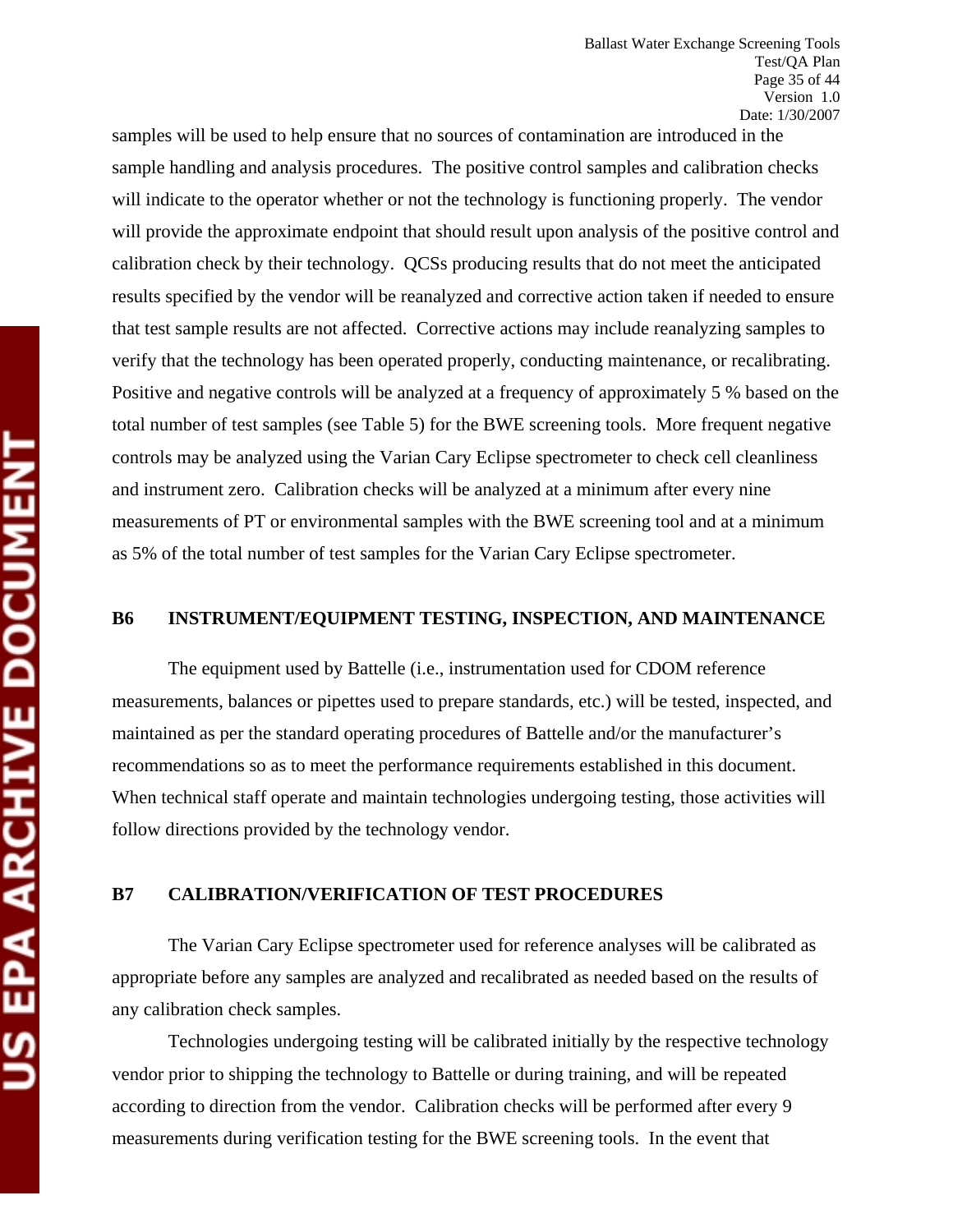samples will be used to help ensure that no sources of contamination are introduced in the sample handling and analysis procedures. The positive control samples and calibration checks will indicate to the operator whether or not the technology is functioning properly. The vendor will provide the approximate endpoint that should result upon analysis of the positive control and calibration check by their technology. QCSs producing results that do not meet the anticipated results specified by the vendor will be reanalyzed and corrective action taken if needed to ensure that test sample results are not affected. Corrective actions may include reanalyzing samples to verify that the technology has been operated properly, conducting maintenance, or recalibrating. Positive and negative controls will be analyzed at a frequency of approximately 5 % based on the total number of test samples (see Table 5) for the BWE screening tools. More frequent negative controls may be analyzed using the Varian Cary Eclipse spectrometer to check cell cleanliness and instrument zero. Calibration checks will be analyzed at a minimum after every nine measurements of PT or environmental samples with the BWE screening tool and at a minimum as 5% of the total number of test samples for the Varian Cary Eclipse spectrometer.

## **B6 INSTRUMENT/EQUIPMENT TESTING, INSPECTION, AND MAINTENANCE**

The equipment used by Battelle (i.e., instrumentation used for CDOM reference measurements, balances or pipettes used to prepare standards, etc.) will be tested, inspected, and maintained as per the standard operating procedures of Battelle and/or the manufacturer's recommendations so as to meet the performance requirements established in this document. When technical staff operate and maintain technologies undergoing testing, those activities will follow directions provided by the technology vendor.

# **B7 CALIBRATION/VERIFICATION OF TEST PROCEDURES**

The Varian Cary Eclipse spectrometer used for reference analyses will be calibrated as appropriate before any samples are analyzed and recalibrated as needed based on the results of any calibration check samples.

Technologies undergoing testing will be calibrated initially by the respective technology vendor prior to shipping the technology to Battelle or during training, and will be repeated according to direction from the vendor. Calibration checks will be performed after every 9 measurements during verification testing for the BWE screening tools. In the event that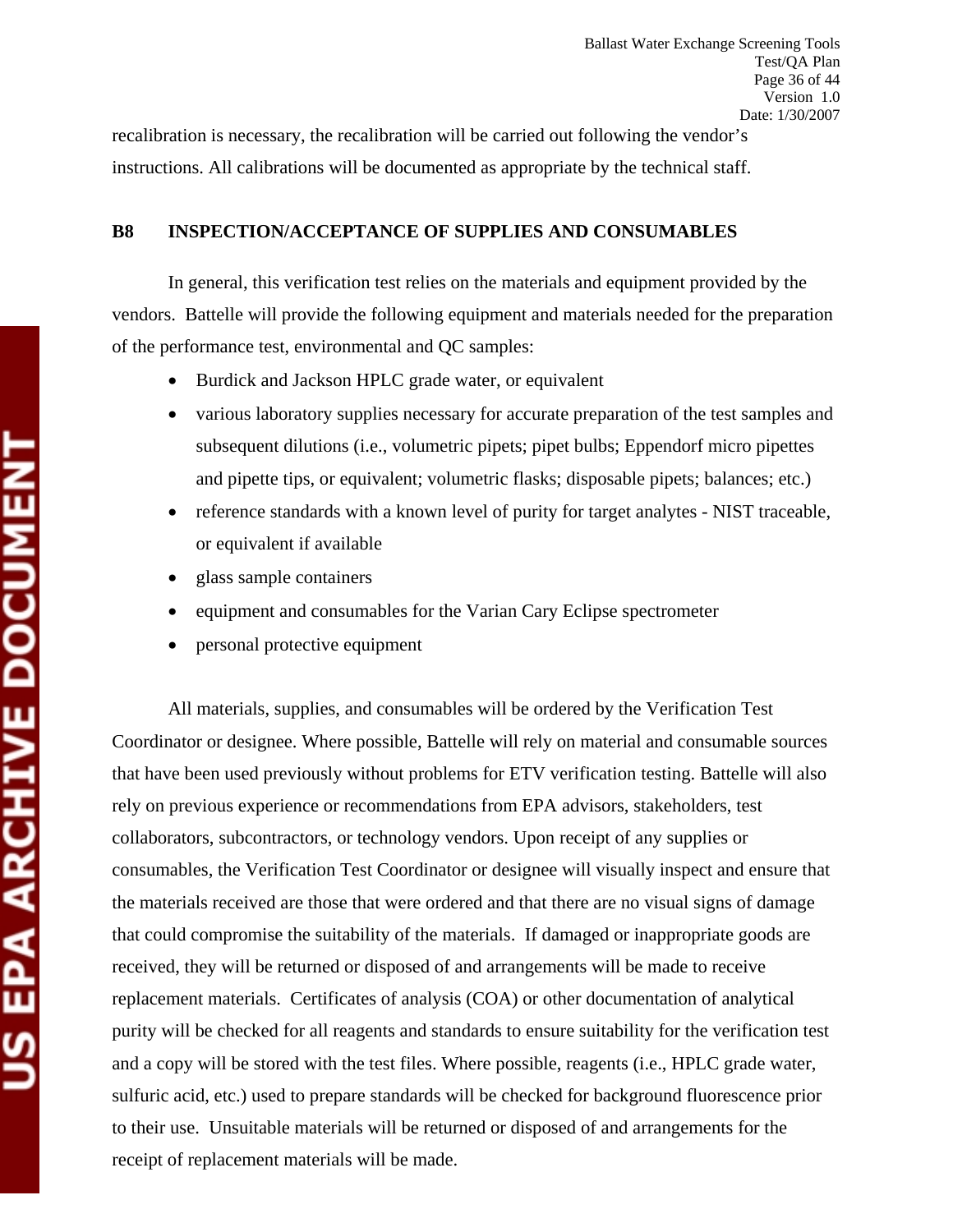recalibration is necessary, the recalibration will be carried out following the vendor's instructions. All calibrations will be documented as appropriate by the technical staff.

# **B8 INSPECTION/ACCEPTANCE OF SUPPLIES AND CONSUMABLES**

In general, this verification test relies on the materials and equipment provided by the vendors. Battelle will provide the following equipment and materials needed for the preparation of the performance test, environmental and QC samples:

- Burdick and Jackson HPLC grade water, or equivalent
- various laboratory supplies necessary for accurate preparation of the test samples and subsequent dilutions (i.e., volumetric pipets; pipet bulbs; Eppendorf micro pipettes and pipette tips, or equivalent; volumetric flasks; disposable pipets; balances; etc.)
- reference standards with a known level of purity for target analytes NIST traceable, or equivalent if available
- glass sample containers
- equipment and consumables for the Varian Cary Eclipse spectrometer
- personal protective equipment

All materials, supplies, and consumables will be ordered by the Verification Test Coordinator or designee. Where possible, Battelle will rely on material and consumable sources that have been used previously without problems for ETV verification testing. Battelle will also rely on previous experience or recommendations from EPA advisors, stakeholders, test collaborators, subcontractors, or technology vendors. Upon receipt of any supplies or consumables, the Verification Test Coordinator or designee will visually inspect and ensure that the materials received are those that were ordered and that there are no visual signs of damage that could compromise the suitability of the materials. If damaged or inappropriate goods are received, they will be returned or disposed of and arrangements will be made to receive replacement materials. Certificates of analysis (COA) or other documentation of analytical purity will be checked for all reagents and standards to ensure suitability for the verification test and a copy will be stored with the test files. Where possible, reagents (i.e., HPLC grade water, sulfuric acid, etc.) used to prepare standards will be checked for background fluorescence prior to their use. Unsuitable materials will be returned or disposed of and arrangements for the receipt of replacement materials will be made.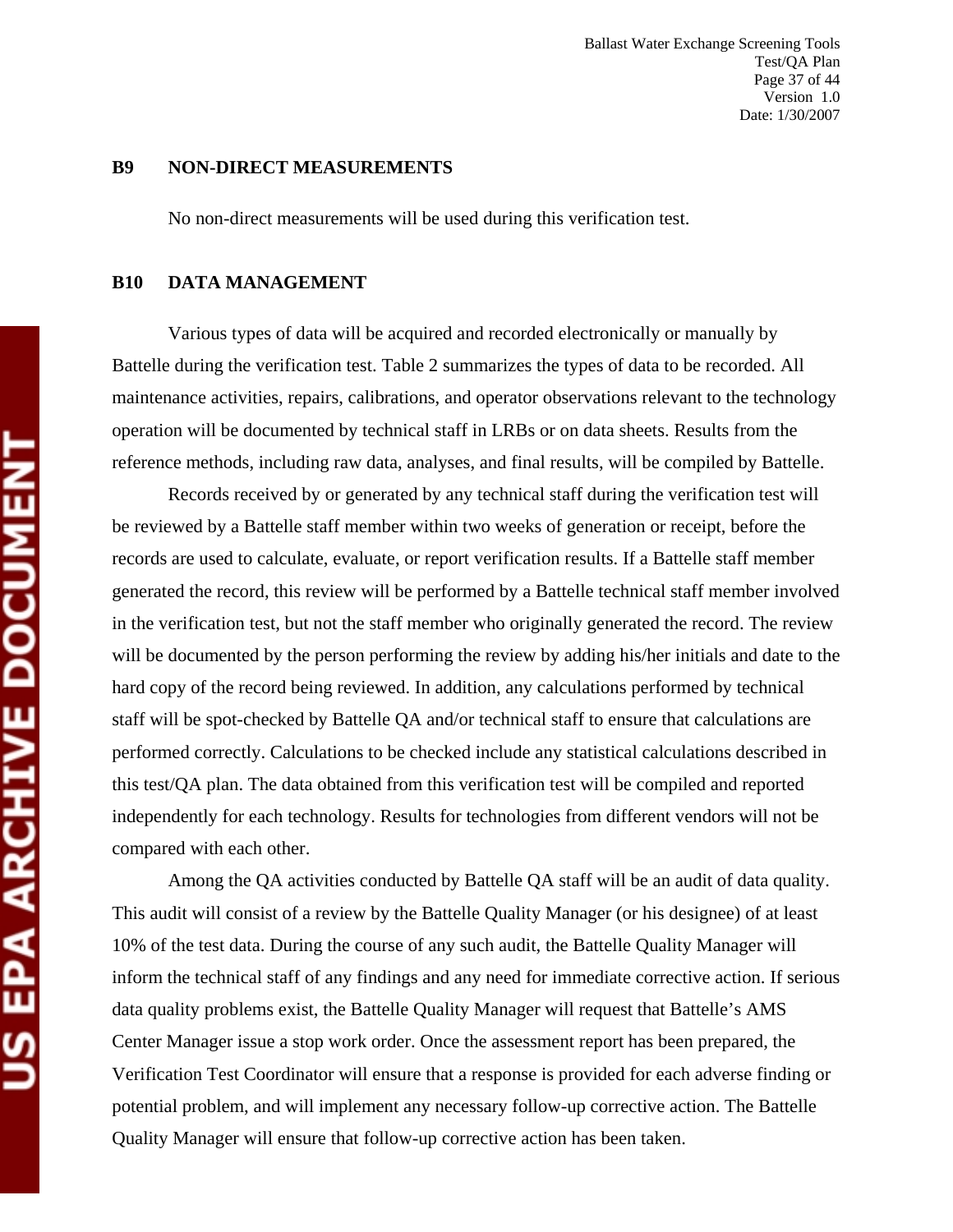Ballast Water Exchange Screening Tools Test/QA Plan Page 37 of 44 Version 1.0 Date: 1/30/2007

#### **B9 NON-DIRECT MEASUREMENTS**

No non-direct measurements will be used during this verification test.

#### **B10 DATA MANAGEMENT**

Various types of data will be acquired and recorded electronically or manually by Battelle during the verification test. Table 2 summarizes the types of data to be recorded. All maintenance activities, repairs, calibrations, and operator observations relevant to the technology operation will be documented by technical staff in LRBs or on data sheets. Results from the reference methods, including raw data, analyses, and final results, will be compiled by Battelle.

Records received by or generated by any technical staff during the verification test will be reviewed by a Battelle staff member within two weeks of generation or receipt, before the records are used to calculate, evaluate, or report verification results. If a Battelle staff member generated the record, this review will be performed by a Battelle technical staff member involved in the verification test, but not the staff member who originally generated the record. The review will be documented by the person performing the review by adding his/her initials and date to the hard copy of the record being reviewed. In addition, any calculations performed by technical staff will be spot-checked by Battelle QA and/or technical staff to ensure that calculations are performed correctly. Calculations to be checked include any statistical calculations described in this test/QA plan. The data obtained from this verification test will be compiled and reported independently for each technology. Results for technologies from different vendors will not be compared with each other.

Among the QA activities conducted by Battelle QA staff will be an audit of data quality. This audit will consist of a review by the Battelle Quality Manager (or his designee) of at least 10% of the test data. During the course of any such audit, the Battelle Quality Manager will inform the technical staff of any findings and any need for immediate corrective action. If serious data quality problems exist, the Battelle Quality Manager will request that Battelle's AMS Center Manager issue a stop work order. Once the assessment report has been prepared, the Verification Test Coordinator will ensure that a response is provided for each adverse finding or potential problem, and will implement any necessary follow-up corrective action. The Battelle Quality Manager will ensure that follow-up corrective action has been taken.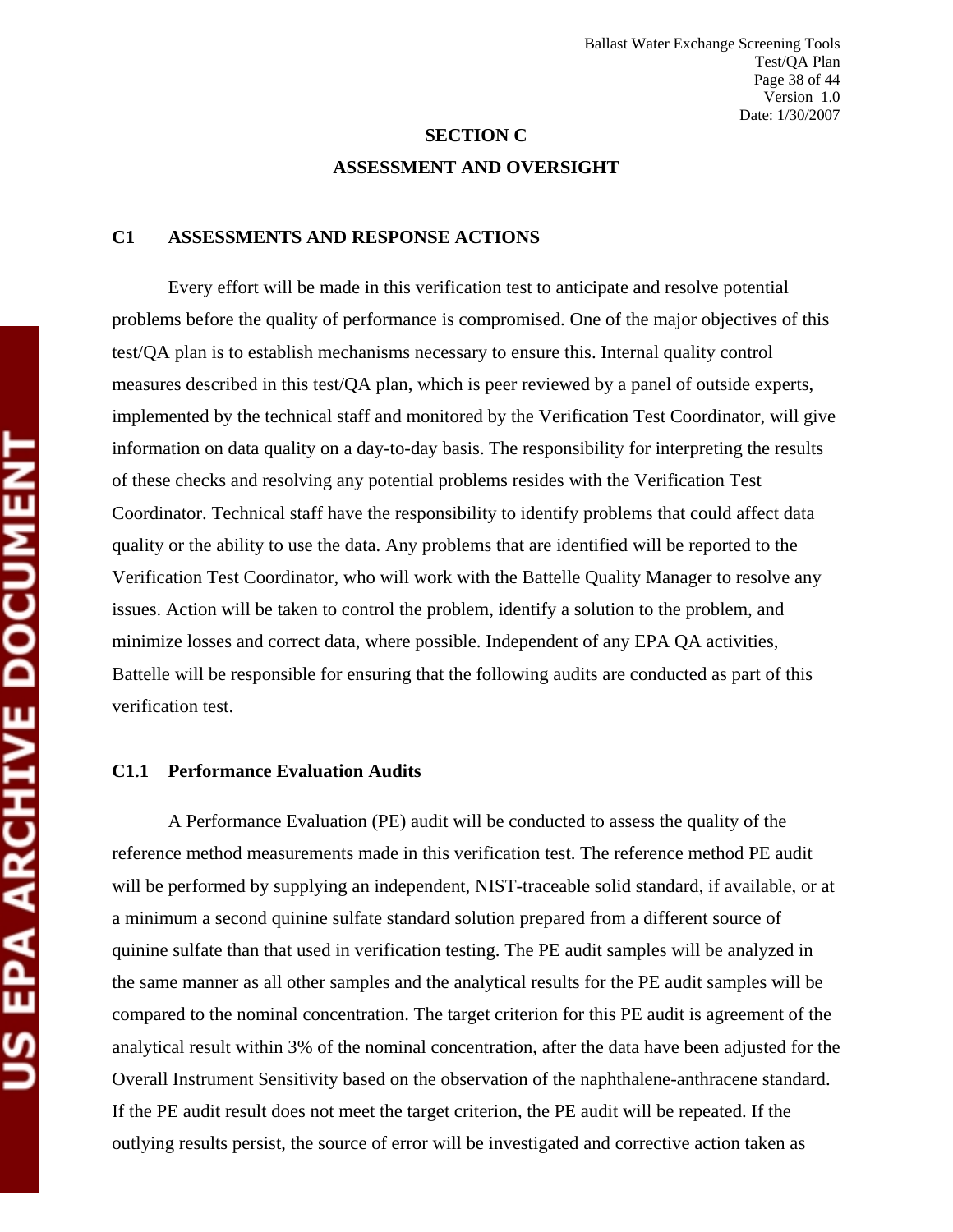# **SECTION C ASSESSMENT AND OVERSIGHT**

#### **C1 ASSESSMENTS AND RESPONSE ACTIONS**

Every effort will be made in this verification test to anticipate and resolve potential problems before the quality of performance is compromised. One of the major objectives of this test/QA plan is to establish mechanisms necessary to ensure this. Internal quality control measures described in this test/QA plan, which is peer reviewed by a panel of outside experts, implemented by the technical staff and monitored by the Verification Test Coordinator, will give information on data quality on a day-to-day basis. The responsibility for interpreting the results of these checks and resolving any potential problems resides with the Verification Test Coordinator. Technical staff have the responsibility to identify problems that could affect data quality or the ability to use the data. Any problems that are identified will be reported to the Verification Test Coordinator, who will work with the Battelle Quality Manager to resolve any issues. Action will be taken to control the problem, identify a solution to the problem, and minimize losses and correct data, where possible. Independent of any EPA QA activities, Battelle will be responsible for ensuring that the following audits are conducted as part of this verification test.

#### **C1.1 Performance Evaluation Audits**

A Performance Evaluation (PE) audit will be conducted to assess the quality of the reference method measurements made in this verification test. The reference method PE audit will be performed by supplying an independent, NIST-traceable solid standard, if available, or at a minimum a second quinine sulfate standard solution prepared from a different source of quinine sulfate than that used in verification testing. The PE audit samples will be analyzed in the same manner as all other samples and the analytical results for the PE audit samples will be compared to the nominal concentration. The target criterion for this PE audit is agreement of the analytical result within 3% of the nominal concentration, after the data have been adjusted for the Overall Instrument Sensitivity based on the observation of the naphthalene-anthracene standard. If the PE audit result does not meet the target criterion, the PE audit will be repeated. If the outlying results persist, the source of error will be investigated and corrective action taken as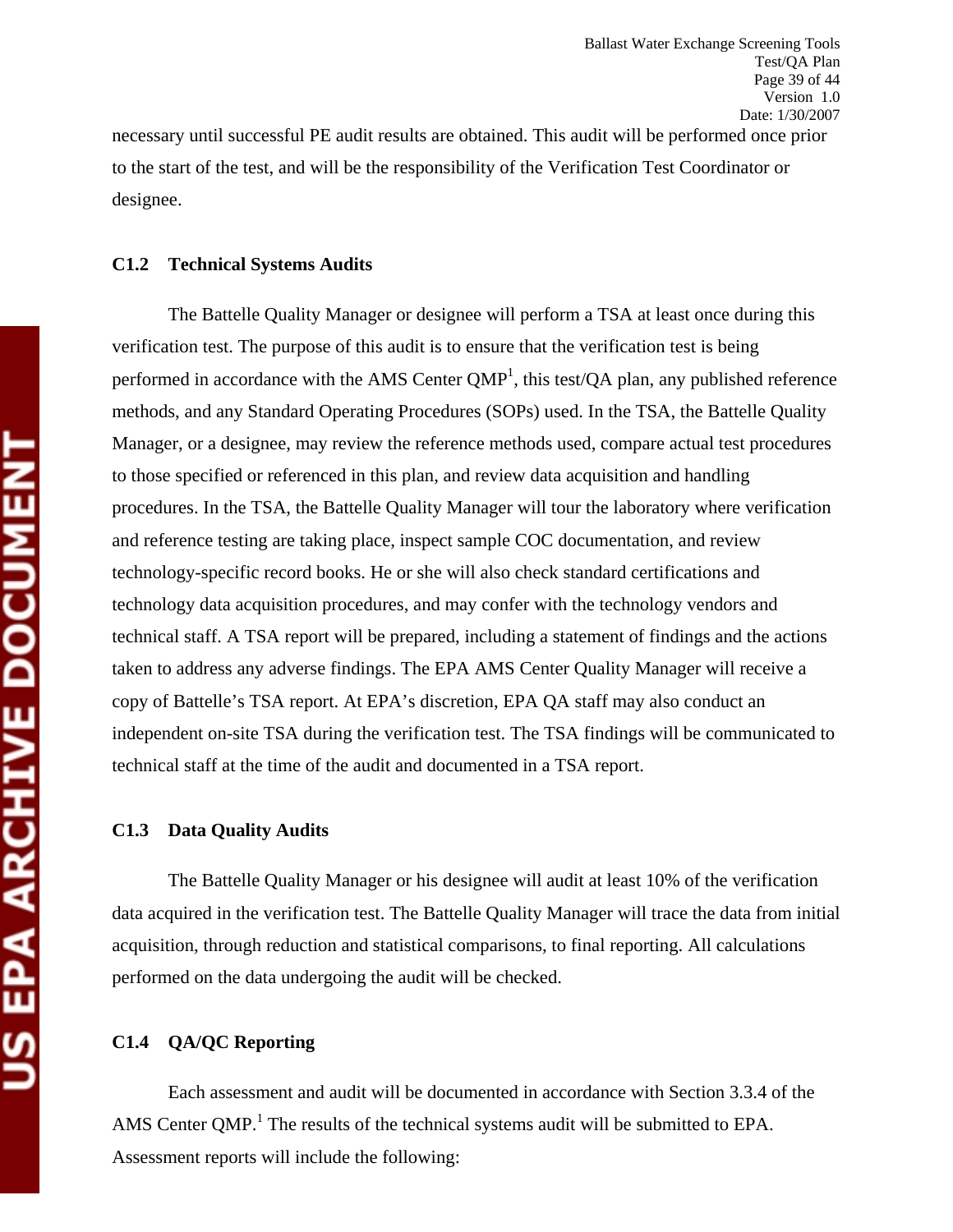necessary until successful PE audit results are obtained. This audit will be performed once prior to the start of the test, and will be the responsibility of the Verification Test Coordinator or designee.

#### **C1.2 Technical Systems Audits**

The Battelle Quality Manager or designee will perform a TSA at least once during this verification test. The purpose of this audit is to ensure that the verification test is being performed in accordance with the AMS Center  $QMP<sup>1</sup>$ , this test/ $QA$  plan, any published reference methods, and any Standard Operating Procedures (SOPs) used. In the TSA, the Battelle Quality Manager, or a designee, may review the reference methods used, compare actual test procedures to those specified or referenced in this plan, and review data acquisition and handling procedures. In the TSA, the Battelle Quality Manager will tour the laboratory where verification and reference testing are taking place, inspect sample COC documentation, and review technology-specific record books. He or she will also check standard certifications and technology data acquisition procedures, and may confer with the technology vendors and technical staff. A TSA report will be prepared, including a statement of findings and the actions taken to address any adverse findings. The EPA AMS Center Quality Manager will receive a copy of Battelle's TSA report. At EPA's discretion, EPA QA staff may also conduct an independent on-site TSA during the verification test. The TSA findings will be communicated to technical staff at the time of the audit and documented in a TSA report.

#### **C1.3 Data Quality Audits**

The Battelle Quality Manager or his designee will audit at least 10% of the verification data acquired in the verification test. The Battelle Quality Manager will trace the data from initial acquisition, through reduction and statistical comparisons, to final reporting. All calculations performed on the data undergoing the audit will be checked.

#### **C1.4 QA/QC Reporting**

Each assessment and audit will be documented in accordance with Section 3.3.4 of the AMS Center QMP.<sup>1</sup> The results of the technical systems audit will be submitted to EPA. Assessment reports will include the following: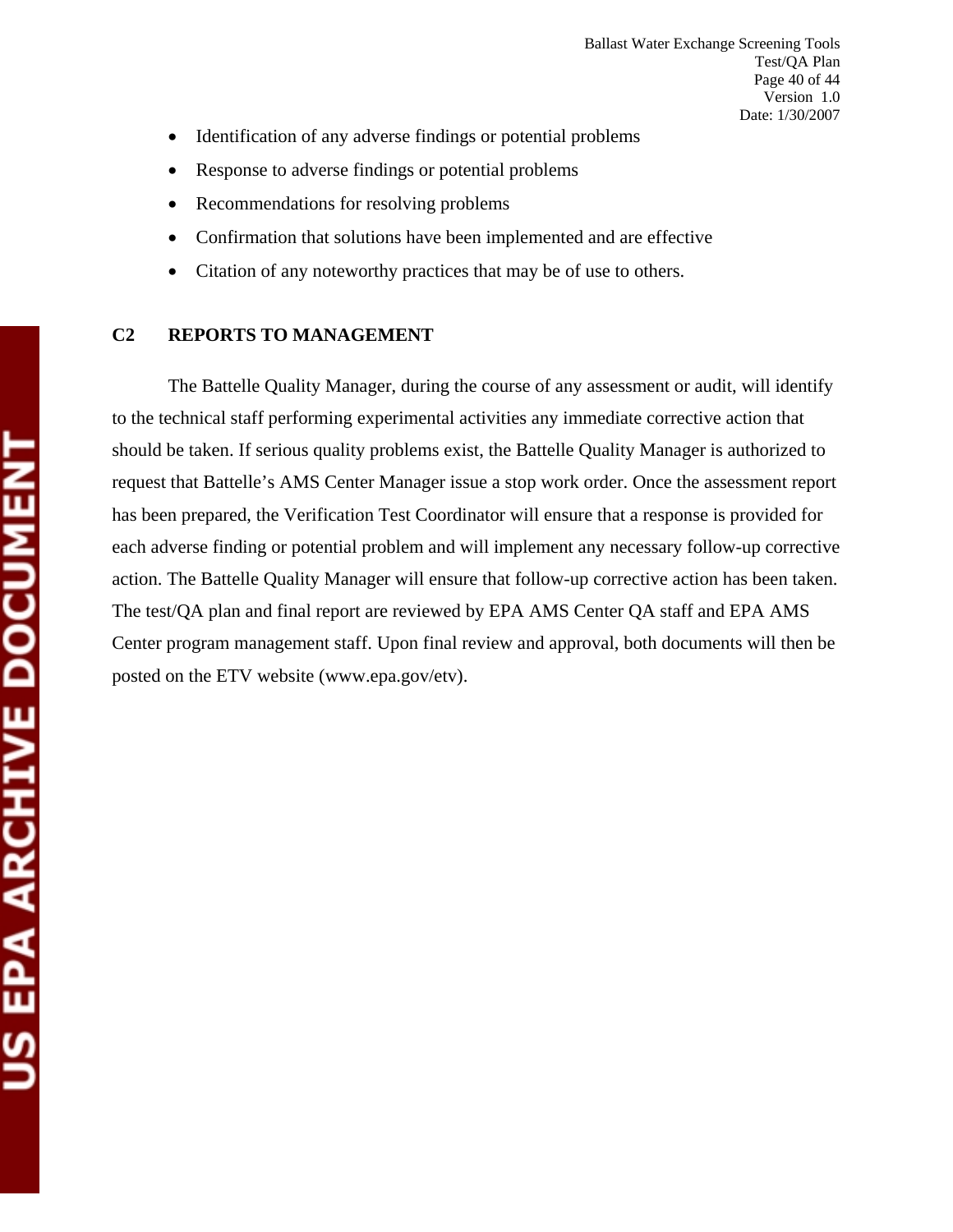- Identification of any adverse findings or potential problems
- Response to adverse findings or potential problems
- Recommendations for resolving problems
- Confirmation that solutions have been implemented and are effective
- Citation of any noteworthy practices that may be of use to others.

## **C2 REPORTS TO MANAGEMENT**

The Battelle Quality Manager, during the course of any assessment or audit, will identify to the technical staff performing experimental activities any immediate corrective action that should be taken. If serious quality problems exist, the Battelle Quality Manager is authorized to request that Battelle's AMS Center Manager issue a stop work order. Once the assessment report has been prepared, the Verification Test Coordinator will ensure that a response is provided for each adverse finding or potential problem and will implement any necessary follow-up corrective action. The Battelle Quality Manager will ensure that follow-up corrective action has been taken. The test/QA plan and final report are reviewed by EPA AMS Center QA staff and EPA AMS Center program management staff. Upon final review and approval, both documents will then be posted on the ETV website (www.epa.gov/etv).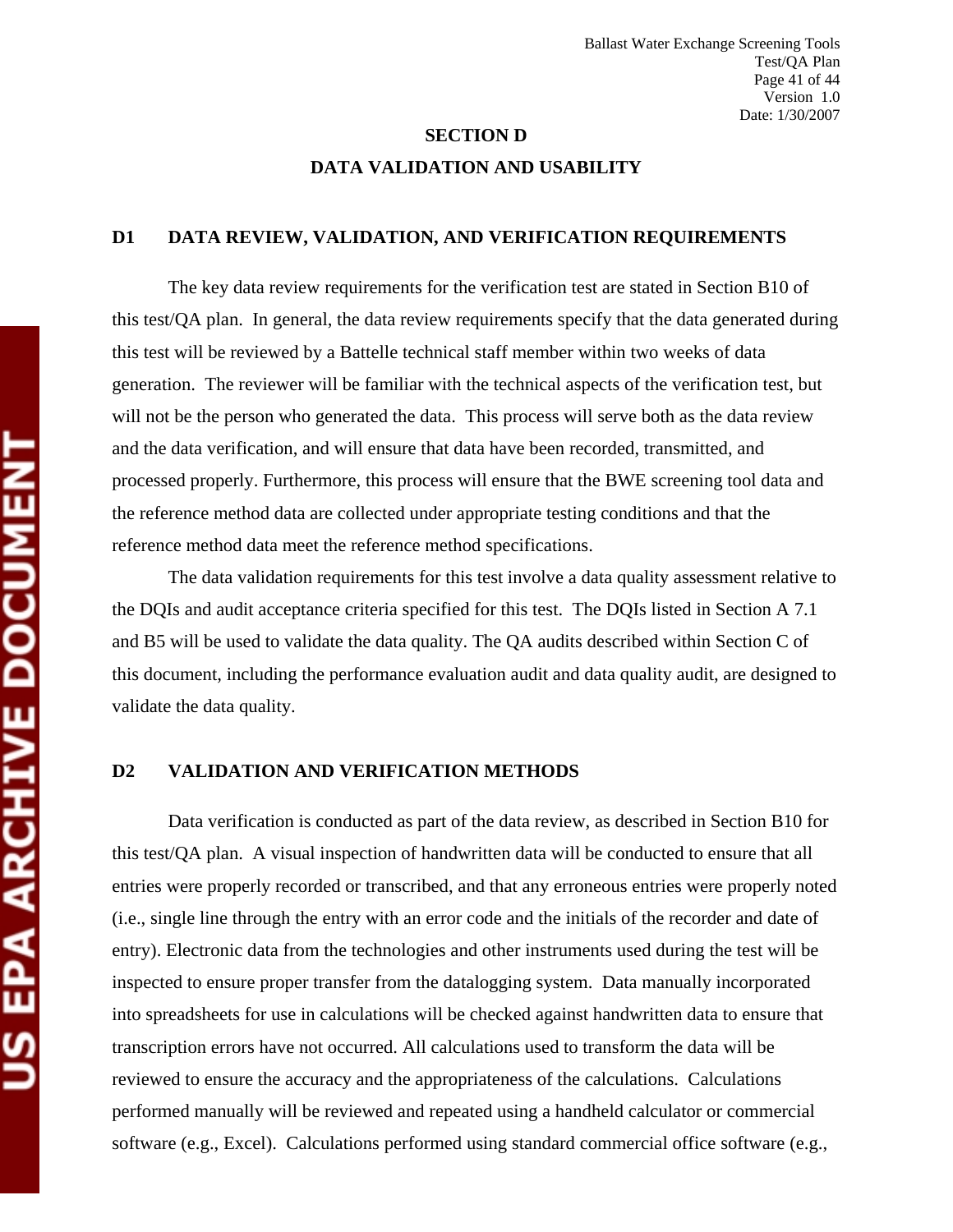# **SECTION D DATA VALIDATION AND USABILITY**

#### **D1 DATA REVIEW, VALIDATION, AND VERIFICATION REQUIREMENTS**

The key data review requirements for the verification test are stated in Section B10 of this test/QA plan. In general, the data review requirements specify that the data generated during this test will be reviewed by a Battelle technical staff member within two weeks of data generation. The reviewer will be familiar with the technical aspects of the verification test, but will not be the person who generated the data. This process will serve both as the data review and the data verification, and will ensure that data have been recorded, transmitted, and processed properly. Furthermore, this process will ensure that the BWE screening tool data and the reference method data are collected under appropriate testing conditions and that the reference method data meet the reference method specifications.

The data validation requirements for this test involve a data quality assessment relative to the DQIs and audit acceptance criteria specified for this test. The DQIs listed in Section A 7.1 and B5 will be used to validate the data quality. The QA audits described within Section C of this document, including the performance evaluation audit and data quality audit, are designed to validate the data quality.

#### **D2 VALIDATION AND VERIFICATION METHODS**

Data verification is conducted as part of the data review, as described in Section B10 for this test/QA plan. A visual inspection of handwritten data will be conducted to ensure that all entries were properly recorded or transcribed, and that any erroneous entries were properly noted (i.e., single line through the entry with an error code and the initials of the recorder and date of entry). Electronic data from the technologies and other instruments used during the test will be inspected to ensure proper transfer from the datalogging system. Data manually incorporated into spreadsheets for use in calculations will be checked against handwritten data to ensure that transcription errors have not occurred. All calculations used to transform the data will be reviewed to ensure the accuracy and the appropriateness of the calculations. Calculations performed manually will be reviewed and repeated using a handheld calculator or commercial software (e.g., Excel). Calculations performed using standard commercial office software (e.g.,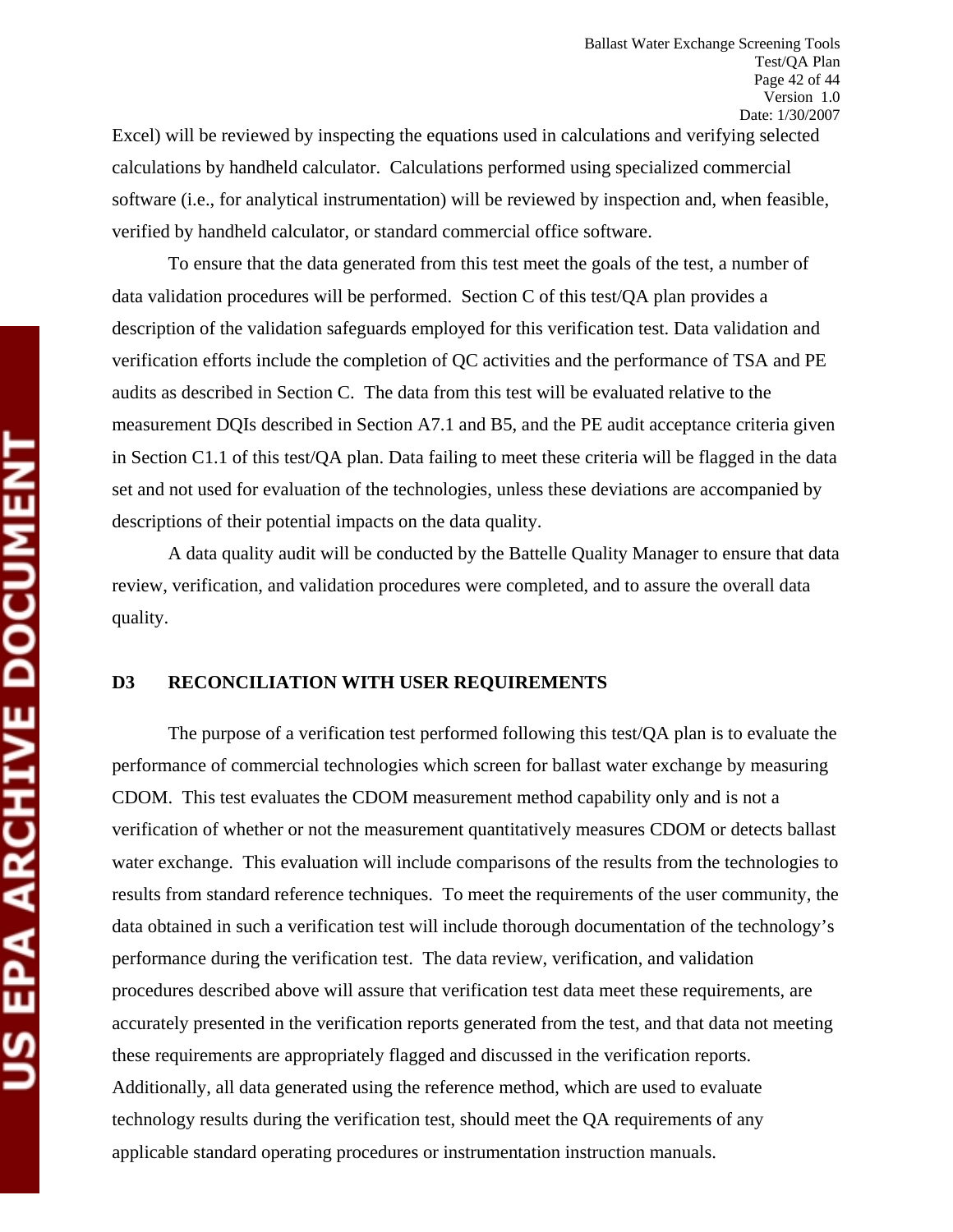Excel) will be reviewed by inspecting the equations used in calculations and verifying selected calculations by handheld calculator. Calculations performed using specialized commercial software (i.e., for analytical instrumentation) will be reviewed by inspection and, when feasible, verified by handheld calculator, or standard commercial office software.

To ensure that the data generated from this test meet the goals of the test, a number of data validation procedures will be performed. Section C of this test/QA plan provides a description of the validation safeguards employed for this verification test. Data validation and verification efforts include the completion of QC activities and the performance of TSA and PE audits as described in Section C. The data from this test will be evaluated relative to the measurement DQIs described in Section A7.1 and B5, and the PE audit acceptance criteria given in Section C1.1 of this test/QA plan. Data failing to meet these criteria will be flagged in the data set and not used for evaluation of the technologies, unless these deviations are accompanied by descriptions of their potential impacts on the data quality.

A data quality audit will be conducted by the Battelle Quality Manager to ensure that data review, verification, and validation procedures were completed, and to assure the overall data quality.

#### **D3 RECONCILIATION WITH USER REQUIREMENTS**

The purpose of a verification test performed following this test/QA plan is to evaluate the performance of commercial technologies which screen for ballast water exchange by measuring CDOM. This test evaluates the CDOM measurement method capability only and is not a verification of whether or not the measurement quantitatively measures CDOM or detects ballast water exchange. This evaluation will include comparisons of the results from the technologies to results from standard reference techniques. To meet the requirements of the user community, the data obtained in such a verification test will include thorough documentation of the technology's performance during the verification test. The data review, verification, and validation procedures described above will assure that verification test data meet these requirements, are accurately presented in the verification reports generated from the test, and that data not meeting these requirements are appropriately flagged and discussed in the verification reports. Additionally, all data generated using the reference method, which are used to evaluate technology results during the verification test, should meet the QA requirements of any applicable standard operating procedures or instrumentation instruction manuals.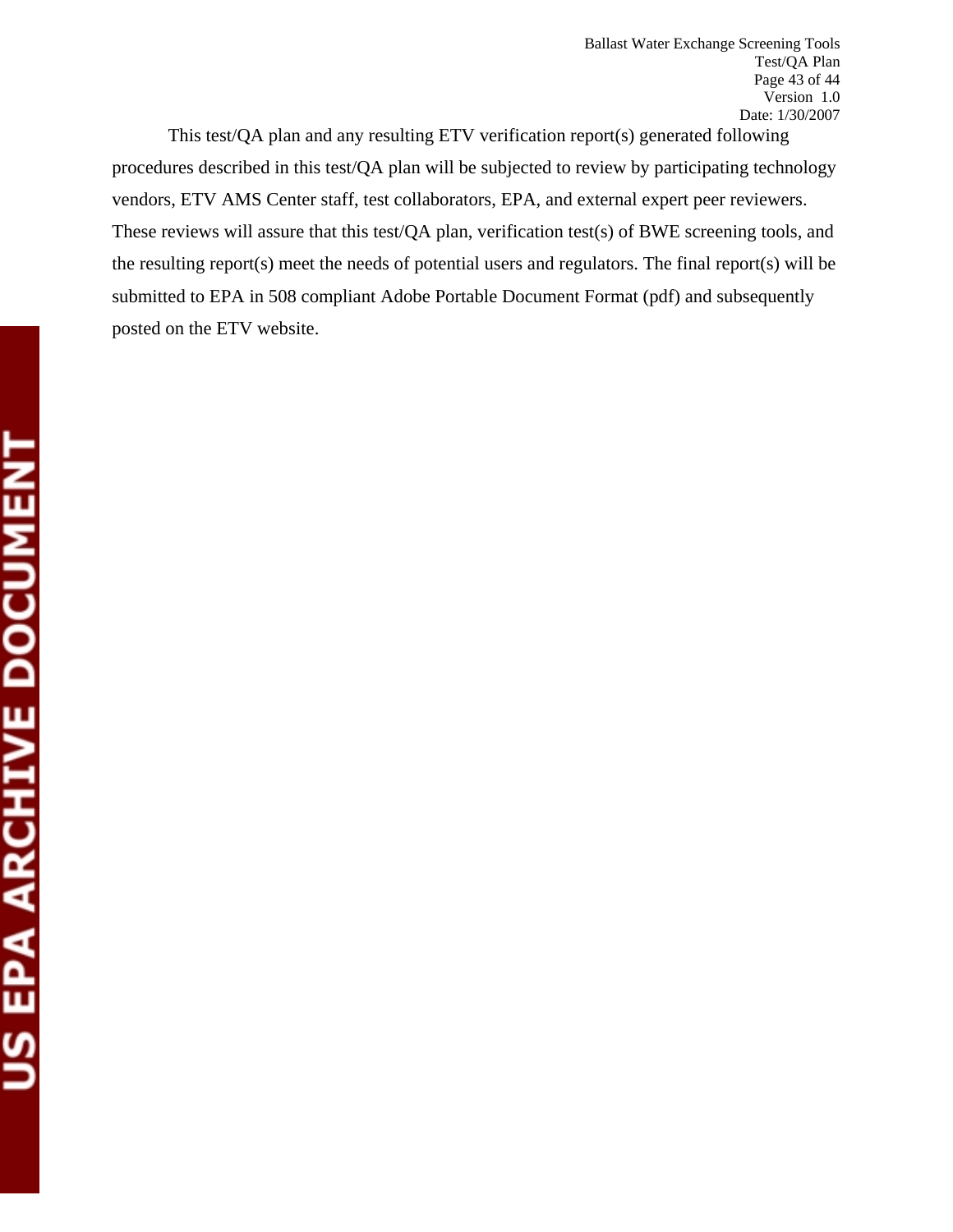This test/QA plan and any resulting ETV verification report(s) generated following procedures described in this test/QA plan will be subjected to review by participating technology vendors, ETV AMS Center staff, test collaborators, EPA, and external expert peer reviewers. These reviews will assure that this test/QA plan, verification test(s) of BWE screening tools, and the resulting report(s) meet the needs of potential users and regulators. The final report(s) will be submitted to EPA in 508 compliant Adobe Portable Document Format (pdf) and subsequently posted on the ETV website.